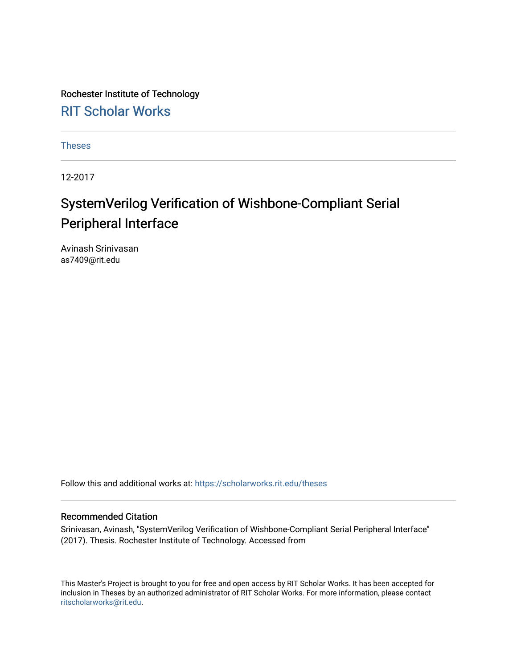Rochester Institute of Technology [RIT Scholar Works](https://scholarworks.rit.edu/)

[Theses](https://scholarworks.rit.edu/theses) 

12-2017

## SystemVerilog Verification of Wishbone-Compliant Serial Peripheral Interface

Avinash Srinivasan as7409@rit.edu

Follow this and additional works at: [https://scholarworks.rit.edu/theses](https://scholarworks.rit.edu/theses?utm_source=scholarworks.rit.edu%2Ftheses%2F9709&utm_medium=PDF&utm_campaign=PDFCoverPages) 

### Recommended Citation

Srinivasan, Avinash, "SystemVerilog Verification of Wishbone-Compliant Serial Peripheral Interface" (2017). Thesis. Rochester Institute of Technology. Accessed from

This Master's Project is brought to you for free and open access by RIT Scholar Works. It has been accepted for inclusion in Theses by an authorized administrator of RIT Scholar Works. For more information, please contact [ritscholarworks@rit.edu](mailto:ritscholarworks@rit.edu).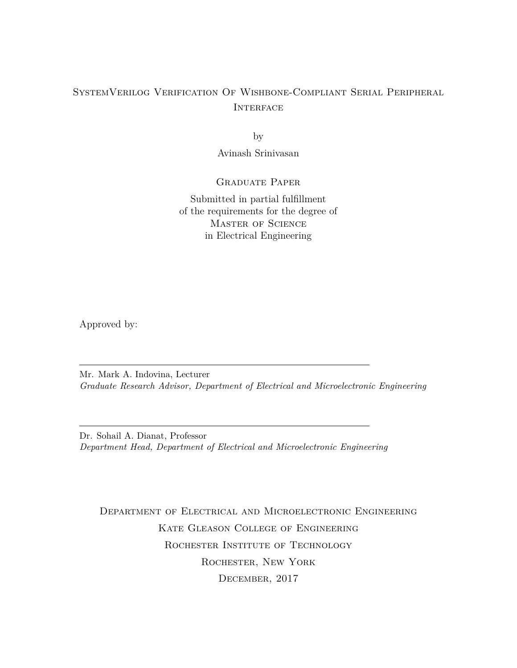### SystemVerilog Verification Of Wishbone-Compliant Serial Peripheral **INTERFACE**

by

Avinash Srinivasan

### Graduate Paper

Submitted in partial fulfillment of the requirements for the degree of Master of Science in Electrical Engineering

Approved by:

Mr. Mark A. Indovina, Lecturer *Graduate Research Advisor, Department of Electrical and Microelectronic Engineering*

Dr. Sohail A. Dianat, Professor *Department Head, Department of Electrical and Microelectronic Engineering*

Department of Electrical and Microelectronic Engineering Kate Gleason College of Engineering ROCHESTER INSTITUTE OF TECHNOLOGY Rochester, New York December, 2017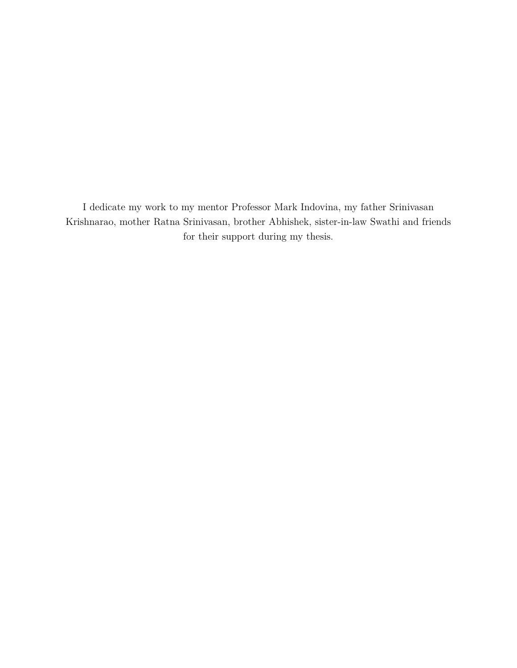I dedicate my work to my mentor Professor Mark Indovina, my father Srinivasan Krishnarao, mother Ratna Srinivasan, brother Abhishek, sister-in-law Swathi and friends for their support during my thesis.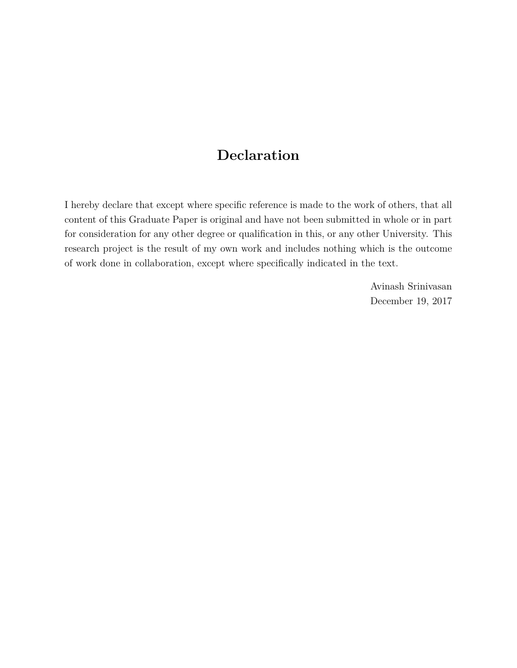## **Declaration**

I hereby declare that except where specific reference is made to the work of others, that all content of this Graduate Paper is original and have not been submitted in whole or in part for consideration for any other degree or qualification in this, or any other University. This research project is the result of my own work and includes nothing which is the outcome of work done in collaboration, except where specifically indicated in the text.

> Avinash Srinivasan December 19, 2017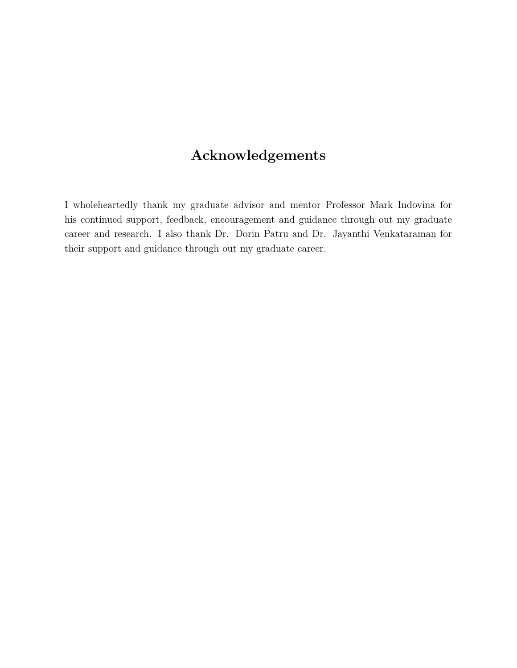## **Acknowledgements**

I wholeheartedly thank my graduate advisor and mentor Professor Mark Indovina for his continued support, feedback, encouragement and guidance through out my graduate career and research. I also thank Dr. Dorin Patru and Dr. Jayanthi Venkataraman for their support and guidance through out my graduate career.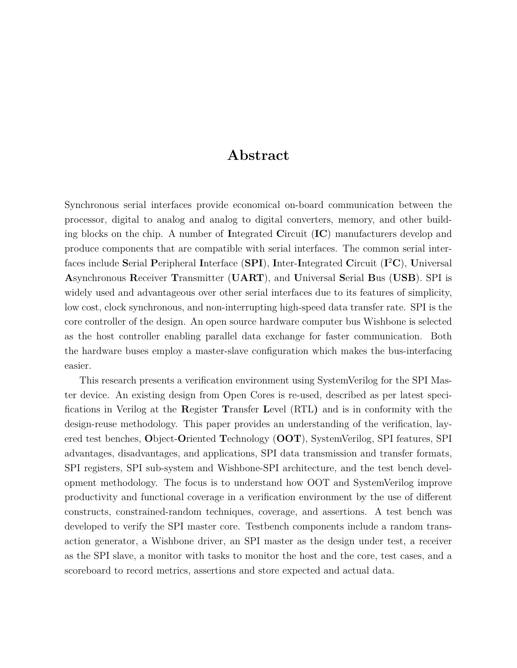### **Abstract**

Synchronous serial interfaces provide economical on-board communication between the processor, digital to analog and analog to digital converters, memory, and other building blocks on the chip. A number of **I**ntegrated **C**ircuit (**IC**) manufacturers develop and produce components that are compatible with serial interfaces. The common serial interfaces include **S**erial **P**eripheral **I**nterface (**SPI**), **I**nter-**I**ntegrated **C**ircuit (**I** <sup>2</sup>**C**), **U**niversal **A**synchronous **R**eceiver **T**ransmitter (**UART**), and **U**niversal **S**erial **B**us (**USB**). SPI is widely used and advantageous over other serial interfaces due to its features of simplicity, low cost, clock synchronous, and non-interrupting high-speed data transfer rate. SPI is the core controller of the design. An open source hardware computer bus Wishbone is selected as the host controller enabling parallel data exchange for faster communication. Both the hardware buses employ a master-slave configuration which makes the bus-interfacing easier.

This research presents a verification environment using SystemVerilog for the SPI Master device. An existing design from Open Cores is re-used, described as per latest specifications in Verilog at the **R**egister **T**ransfer **L**evel (RTL**)** and is in conformity with the design-reuse methodology. This paper provides an understanding of the verification, layered test benches, **O**bject-**O**riented **T**echnology (**OOT**), SystemVerilog, SPI features, SPI advantages, disadvantages, and applications, SPI data transmission and transfer formats, SPI registers, SPI sub-system and Wishbone-SPI architecture, and the test bench development methodology. The focus is to understand how OOT and SystemVerilog improve productivity and functional coverage in a verification environment by the use of different constructs, constrained-random techniques, coverage, and assertions. A test bench was developed to verify the SPI master core. Testbench components include a random transaction generator, a Wishbone driver, an SPI master as the design under test, a receiver as the SPI slave, a monitor with tasks to monitor the host and the core, test cases, and a scoreboard to record metrics, assertions and store expected and actual data.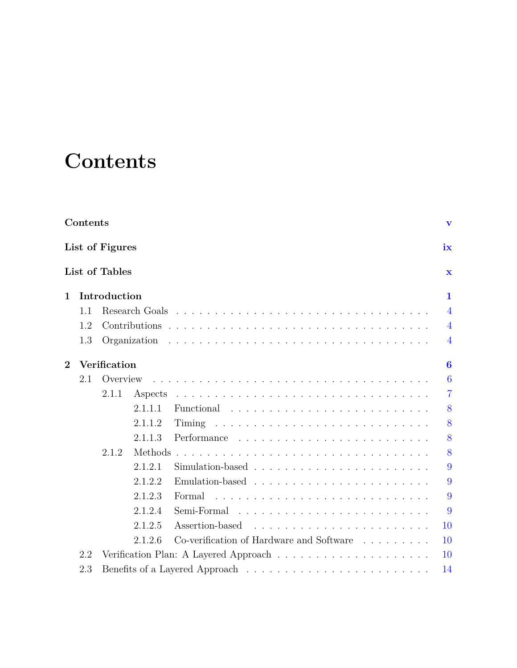# <span id="page-6-0"></span>**Contents**

|                | Contents<br>$\mathbf{v}$ |                |         |                                          |                         |  |  |  |
|----------------|--------------------------|----------------|---------|------------------------------------------|-------------------------|--|--|--|
|                | List of Figures<br>ix    |                |         |                                          |                         |  |  |  |
|                |                          | List of Tables |         |                                          | $\overline{\mathbf{x}}$ |  |  |  |
| $\mathbf 1$    |                          | Introduction   |         |                                          | 1                       |  |  |  |
|                | 1.1                      |                |         |                                          | $\overline{4}$          |  |  |  |
|                | 1.2                      |                |         |                                          | $\overline{4}$          |  |  |  |
|                | 1.3                      |                |         |                                          | $\overline{4}$          |  |  |  |
| $\overline{2}$ |                          | Verification   |         |                                          | $\bf{6}$                |  |  |  |
|                | 2.1                      | Overview       |         |                                          | 6                       |  |  |  |
|                |                          | 2.1.1          | Aspects |                                          | $\overline{7}$          |  |  |  |
|                |                          |                | 2.1.1.1 |                                          | 8                       |  |  |  |
|                |                          |                | 2.1.1.2 |                                          | 8                       |  |  |  |
|                |                          |                | 2.1.1.3 | Performance                              | 8                       |  |  |  |
|                |                          | 2.1.2          | Methods |                                          | 8                       |  |  |  |
|                |                          |                | 2.1.2.1 |                                          | 9                       |  |  |  |
|                |                          |                | 2.1.2.2 |                                          | 9                       |  |  |  |
|                |                          |                | 2.1.2.3 | Formal                                   | 9                       |  |  |  |
|                |                          |                | 2.1.2.4 | Semi-Formal                              | 9                       |  |  |  |
|                |                          |                | 2.1.2.5 | Assertion-based                          | 10                      |  |  |  |
|                |                          |                | 2.1.2.6 | Co-verification of Hardware and Software | 10                      |  |  |  |
|                | 2.2                      |                |         |                                          | <b>10</b>               |  |  |  |
|                | 2.3                      |                |         |                                          | 14                      |  |  |  |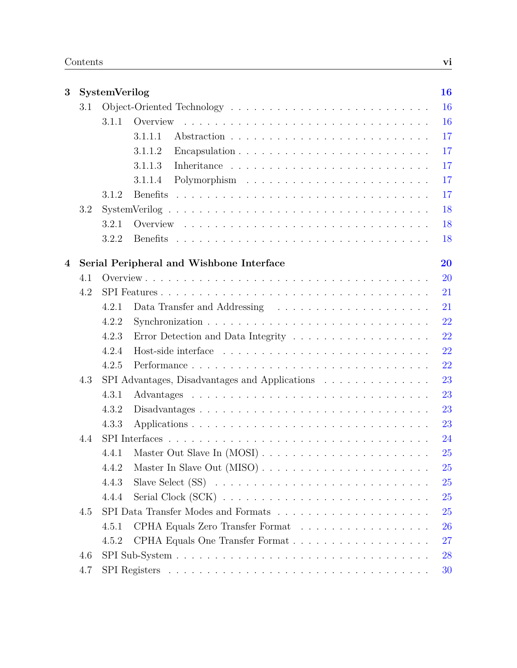| $\overline{\mathbf{3}}$ |     | SystemVerilog |                                                                                | 16 |
|-------------------------|-----|---------------|--------------------------------------------------------------------------------|----|
|                         | 3.1 |               |                                                                                | 16 |
|                         |     | 3.1.1         | Overview                                                                       | 16 |
|                         |     |               | 3.1.1.1                                                                        | 17 |
|                         |     |               | 3.1.1.2                                                                        | 17 |
|                         |     |               | 3.1.1.3                                                                        | 17 |
|                         |     |               | 3.1.1.4                                                                        | 17 |
|                         |     | 3.1.2         | <b>Benefits</b>                                                                | 17 |
|                         | 3.2 |               |                                                                                | 18 |
|                         |     | 3.2.1         |                                                                                | 18 |
|                         |     | 3.2.2         |                                                                                | 18 |
| 4                       |     |               | Serial Peripheral and Wishbone Interface                                       | 20 |
|                         | 4.1 |               |                                                                                | 20 |
|                         | 4.2 |               |                                                                                | 21 |
|                         |     | 4.2.1         | Data Transfer and Addressing                                                   | 21 |
|                         |     | 4.2.2         |                                                                                | 22 |
|                         |     | 4.2.3         |                                                                                | 22 |
|                         |     | 4.2.4         |                                                                                | 22 |
|                         |     | 4.2.5         | Performance                                                                    | 22 |
|                         | 4.3 |               | SPI Advantages, Disadvantages and Applications                                 | 23 |
|                         |     | 4.3.1         |                                                                                | 23 |
|                         |     | 4.3.2         | $Disadvantages \ldots \ldots \ldots \ldots \ldots \ldots \ldots \ldots \ldots$ | 23 |
|                         |     | 4.3.3         |                                                                                | 23 |
|                         | 4.4 |               |                                                                                | 24 |
|                         |     | 4.4.1         |                                                                                | 25 |
|                         |     | 4.4.2         |                                                                                | 25 |
|                         |     | 4.4.3         |                                                                                | 25 |
|                         |     | 4.4.4         |                                                                                | 25 |
|                         | 4.5 |               |                                                                                | 25 |
|                         |     | 4.5.1         | CPHA Equals Zero Transfer Format                                               | 26 |
|                         |     | 4.5.2         |                                                                                | 27 |
|                         | 4.6 |               |                                                                                | 28 |
|                         | 4.7 |               |                                                                                | 30 |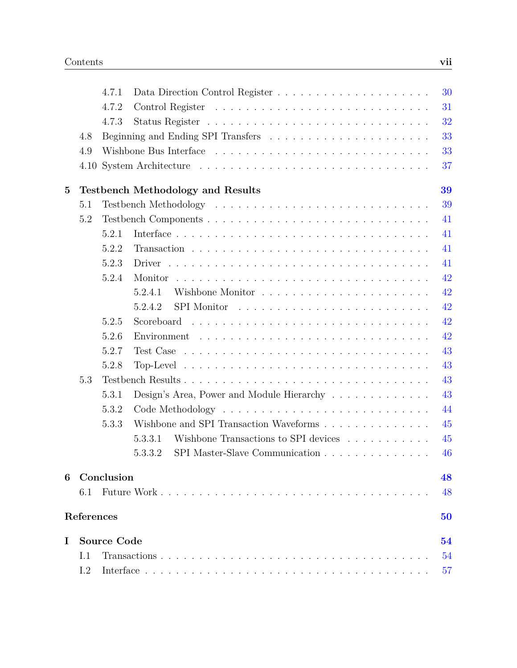|          |            | 4.7.1              |                                                                                     | 30 |
|----------|------------|--------------------|-------------------------------------------------------------------------------------|----|
|          |            | 4.7.2              |                                                                                     | 31 |
|          |            | 4.7.3              |                                                                                     | 32 |
|          | 4.8        |                    |                                                                                     | 33 |
|          | 4.9        |                    |                                                                                     | 33 |
|          |            |                    |                                                                                     | 37 |
| $\bf{5}$ |            |                    | <b>Testbench Methodology and Results</b>                                            | 39 |
|          | 5.1        |                    |                                                                                     | 39 |
|          | 5.2        |                    |                                                                                     | 41 |
|          |            | 5.2.1              |                                                                                     | 41 |
|          |            | 5.2.2              |                                                                                     | 41 |
|          |            | 5.2.3              |                                                                                     | 41 |
|          |            | 5.2.4              |                                                                                     | 42 |
|          |            |                    | 5.2.4.1                                                                             | 42 |
|          |            |                    | 5.2.4.2                                                                             | 42 |
|          |            | 5.2.5              |                                                                                     | 42 |
|          |            | 5.2.6              |                                                                                     | 42 |
|          |            | 5.2.7              | $Test Case \dots \dots \dots \dots \dots \dots \dots \dots \dots \dots \dots \dots$ | 43 |
|          |            | 5.2.8              |                                                                                     | 43 |
|          | 5.3        |                    |                                                                                     | 43 |
|          |            | 5.3.1              | Design's Area, Power and Module Hierarchy                                           | 43 |
|          |            | 5.3.2              |                                                                                     | 44 |
|          |            | 5.3.3              | Wishbone and SPI Transaction Waveforms                                              | 45 |
|          |            |                    | Wishbone Transactions to SPI devices<br>5.3.3.1                                     | 45 |
|          |            |                    | 5.3.3.2<br>SPI Master-Slave Communication                                           | 46 |
| 6        |            | Conclusion         |                                                                                     | 48 |
|          | 6.1        |                    |                                                                                     | 48 |
|          | References |                    |                                                                                     | 50 |
| I        |            | <b>Source Code</b> |                                                                                     | 54 |
|          | I.1        |                    |                                                                                     | 54 |
|          | I.2        |                    |                                                                                     | 57 |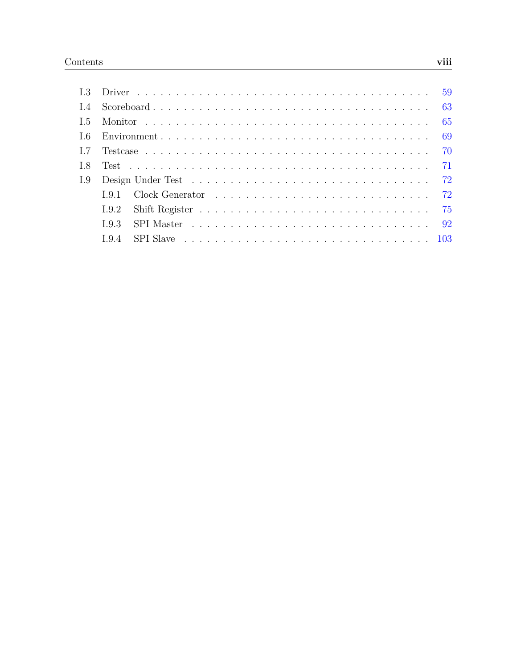| I.5  |  |  |
|------|--|--|
| - L6 |  |  |
|      |  |  |
| I.8  |  |  |
| I.9  |  |  |
|      |  |  |
|      |  |  |
|      |  |  |
|      |  |  |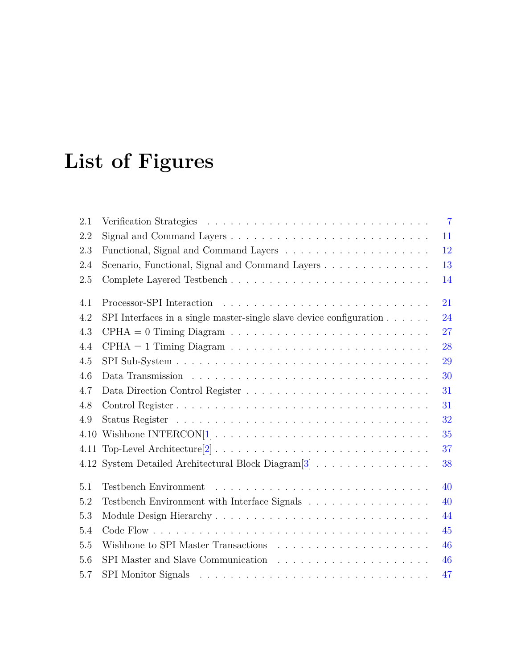# <span id="page-10-0"></span>**List of Figures**

| 2.1  |                                                                                     | $\overline{7}$ |
|------|-------------------------------------------------------------------------------------|----------------|
| 2.2  |                                                                                     | 11             |
| 2.3  |                                                                                     | 12             |
| 2.4  | Scenario, Functional, Signal and Command Layers                                     | 13             |
| 2.5  |                                                                                     | 14             |
| 4.1  |                                                                                     | 21             |
| 4.2  | SPI Interfaces in a single master-single slave device configuration $\ldots \ldots$ | 24             |
| 4.3  |                                                                                     | 27             |
| 4.4  |                                                                                     | 28             |
| 4.5  |                                                                                     | 29             |
| 4.6  |                                                                                     | 30             |
| 4.7  |                                                                                     | 31             |
| 4.8  |                                                                                     | 31             |
| 4.9  |                                                                                     | 32             |
| 4.10 |                                                                                     | 35             |
|      |                                                                                     | 37             |
|      | 4.12 System Detailed Architectural Block Diagram <sup>[3]</sup>                     | 38             |
| 5.1  | Testbench Environment                                                               | 40             |
| 5.2  | Testbench Environment with Interface Signals $\ldots \ldots \ldots \ldots \ldots$   | 40             |
| 5.3  |                                                                                     | 44             |
| 5.4  |                                                                                     | 45             |
| 5.5  |                                                                                     | 46             |
| 5.6  |                                                                                     | 46             |
| 5.7  |                                                                                     | 47             |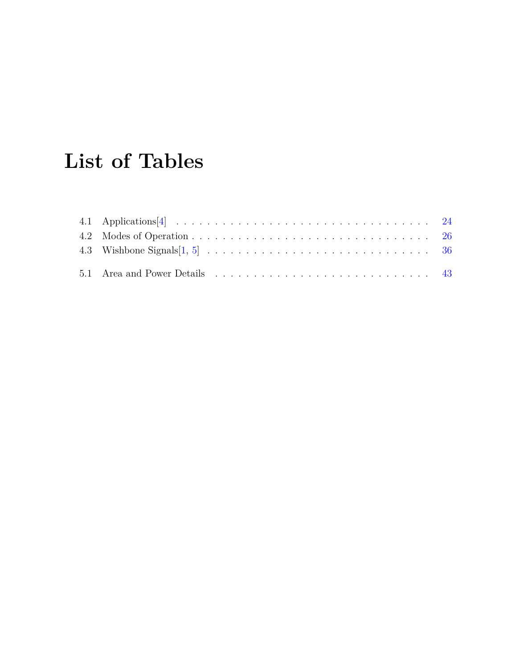# <span id="page-11-0"></span>**List of Tables**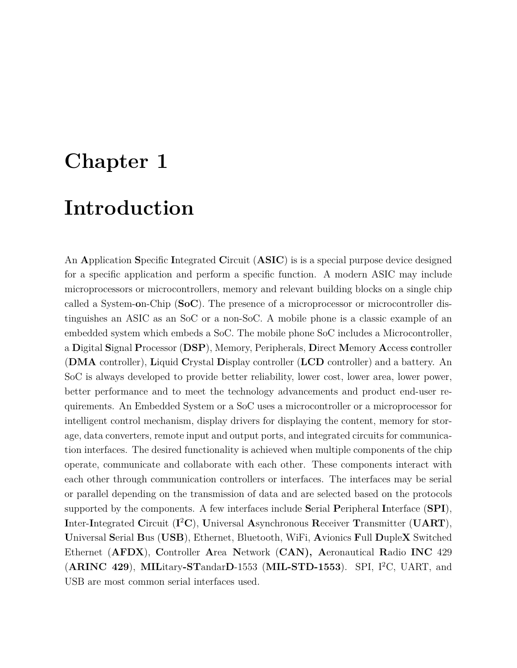## <span id="page-12-0"></span>**Chapter 1**

## **Introduction**

An **A**pplication **S**pecific **I**ntegrated **C**ircuit (**ASIC**) is is a special purpose device designed for a specific application and perform a specific function. A modern ASIC may include microprocessors or microcontrollers, memory and relevant building blocks on a single chip called a System-**o**n-Chip (**SoC**). The presence of a microprocessor or microcontroller distinguishes an ASIC as an SoC or a non-SoC. A mobile phone is a classic example of an embedded system which embeds a SoC. The mobile phone SoC includes a Microcontroller, a **D**igital **S**ignal **P**rocessor (**DSP**), Memory, Peripherals, **D**irect **M**emory **A**ccess **c**ontroller (**DMA** controller), **L**iquid **C**rystal **D**isplay controller (**LCD** controller) and a battery. An SoC is always developed to provide better reliability, lower cost, lower area, lower power, better performance and to meet the technology advancements and product end-user requirements. An Embedded System or a SoC uses a microcontroller or a microprocessor for intelligent control mechanism, display drivers for displaying the content, memory for storage, data converters, remote input and output ports, and integrated circuits for communication interfaces. The desired functionality is achieved when multiple components of the chip operate, communicate and collaborate with each other. These components interact with each other through communication controllers or interfaces. The interfaces may be serial or parallel depending on the transmission of data and are selected based on the protocols supported by the components. A few interfaces include **S**erial **P**eripheral **I**nterface (**SPI**), **I**nter-**I**ntegrated **C**ircuit (**I** <sup>2</sup>**C**), **U**niversal **A**synchronous **R**eceiver **T**ransmitter (**UART**), **U**niversal **S**erial **B**us (**USB**), Ethernet, Bluetooth, WiFi, **A**vionics **F**ull **D**uple**X** Switched Ethernet (**AFDX**), **C**ontroller **A**rea **N**etwork (**CAN), A**eronautical **R**adio **INC** 429 (**ARINC 429**), **MIL**itary**-ST**andar**D**-1553 (**MIL-STD-1553**). SPI, I<sup>2</sup>C, UART, and USB are most common serial interfaces used.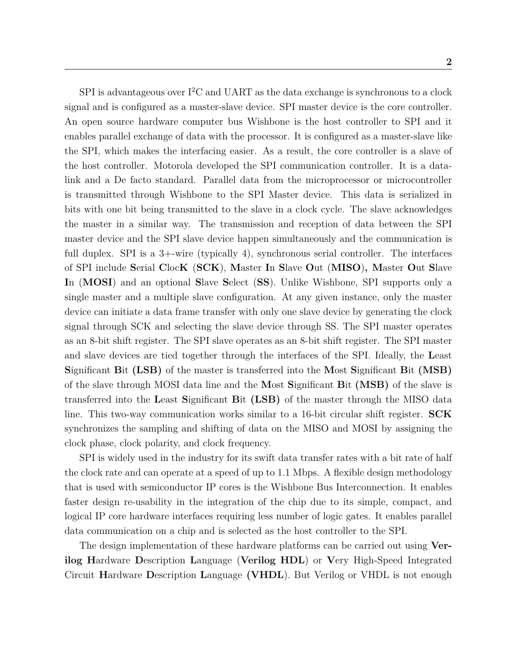SPI is advantageous over  $I^2C$  and UART as the data exchange is synchronous to a clock signal and is configured as a master-slave device. SPI master device is the core controller. An open source hardware computer bus Wishbone is the host controller to SPI and it enables parallel exchange of data with the processor. It is configured as a master-slave like the SPI, which makes the interfacing easier. As a result, the core controller is a slave of the host controller. Motorola developed the SPI communication controller. It is a datalink and a De facto standard. Parallel data from the microprocessor or microcontroller is transmitted through Wishbone to the SPI Master device. This data is serialized in bits with one bit being transmitted to the slave in a clock cycle. The slave acknowledges the master in a similar way. The transmission and reception of data between the SPI master device and the SPI slave device happen simultaneously and the communication is full duplex. SPI is a 3+-wire (typically 4), synchronous serial controller. The interfaces of SPI include **S**erial **C**loc**K** (**SCK**), **M**aster **I**n **S**lave **O**ut (**MISO**)**, M**aster **O**ut **S**lave **I**n (**MOSI**) and an optional **S**lave **S**elect (**SS**). Unlike Wishbone, SPI supports only a single master and a multiple slave configuration. At any given instance, only the master device can initiate a data frame transfer with only one slave device by generating the clock signal through SCK and selecting the slave device through SS. The SPI master operates as an 8-bit shift register. The SPI slave operates as an 8-bit shift register. The SPI master and slave devices are tied together through the interfaces of the SPI. Ideally, the **L**east **S**ignificant **B**it **(LSB)** of the master is transferred into the **M**ost **S**ignificant **B**it **(MSB)** of the slave through MOSI data line and the **M**ost **S**ignificant **B**it **(MSB)** of the slave is transferred into the **L**east **S**ignificant **B**it **(LSB)** of the master through the MISO data line. This two-way communication works similar to a 16-bit circular shift register. **SCK** synchronizes the sampling and shifting of data on the MISO and MOSI by assigning the clock phase, clock polarity, and clock frequency.

SPI is widely used in the industry for its swift data transfer rates with a bit rate of half the clock rate and can operate at a speed of up to 1.1 Mbps. A flexible design methodology that is used with semiconductor IP cores is the Wishbone Bus Interconnection. It enables faster design re-usability in the integration of the chip due to its simple, compact, and logical IP core hardware interfaces requiring less number of logic gates. It enables parallel data communication on a chip and is selected as the host controller to the SPI.

The design implementation of these hardware platforms can be carried out using **Verilog H**ardware **D**escription **L**anguage (**Verilog HDL**) or **V**ery High-Speed Integrated Circuit **H**ardware **D**escription **L**anguage **(VHDL**). But Verilog or VHDL is not enough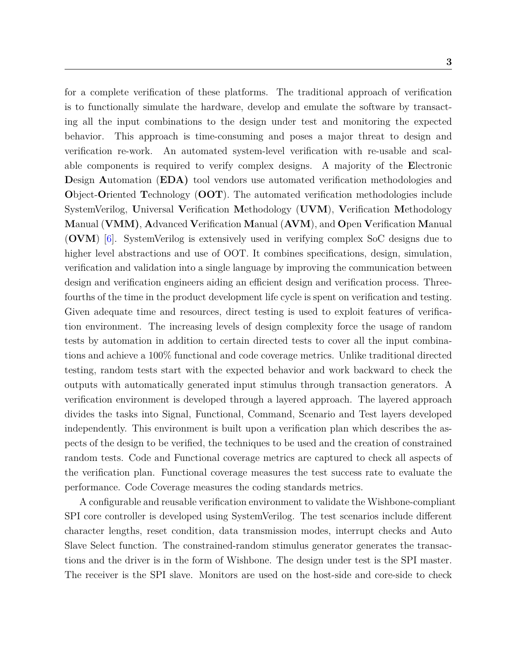for a complete verification of these platforms. The traditional approach of verification is to functionally simulate the hardware, develop and emulate the software by transacting all the input combinations to the design under test and monitoring the expected behavior. This approach is time-consuming and poses a major threat to design and verification re-work. An automated system-level verification with re-usable and scalable components is required to verify complex designs. A majority of the **E**lectronic **D**esign **A**utomation (**EDA)** tool vendors use automated verification methodologies and **O**bject-**O**riented **T**echnology (**OOT**). The automated verification methodologies include SystemVerilog, **U**niversal **V**erification **M**ethodology (**UVM**), **V**erification **M**ethodology **M**anual (**VMM)**, **A**dvanced **V**erification **M**anual (**AVM**), and **O**pen **V**erification **M**anual (**OVM**) [\[6\]](#page-61-6). SystemVerilog is extensively used in verifying complex SoC designs due to higher level abstractions and use of OOT. It combines specifications, design, simulation, verification and validation into a single language by improving the communication between design and verification engineers aiding an efficient design and verification process. Threefourths of the time in the product development life cycle is spent on verification and testing. Given adequate time and resources, direct testing is used to exploit features of verification environment. The increasing levels of design complexity force the usage of random tests by automation in addition to certain directed tests to cover all the input combinations and achieve a 100% functional and code coverage metrics. Unlike traditional directed testing, random tests start with the expected behavior and work backward to check the outputs with automatically generated input stimulus through transaction generators. A verification environment is developed through a layered approach. The layered approach divides the tasks into Signal, Functional, Command, Scenario and Test layers developed independently. This environment is built upon a verification plan which describes the aspects of the design to be verified, the techniques to be used and the creation of constrained random tests. Code and Functional coverage metrics are captured to check all aspects of the verification plan. Functional coverage measures the test success rate to evaluate the performance. Code Coverage measures the coding standards metrics.

A configurable and reusable verification environment to validate the Wishbone-compliant SPI core controller is developed using SystemVerilog. The test scenarios include different character lengths, reset condition, data transmission modes, interrupt checks and Auto Slave Select function. The constrained-random stimulus generator generates the transactions and the driver is in the form of Wishbone. The design under test is the SPI master. The receiver is the SPI slave. Monitors are used on the host-side and core-side to check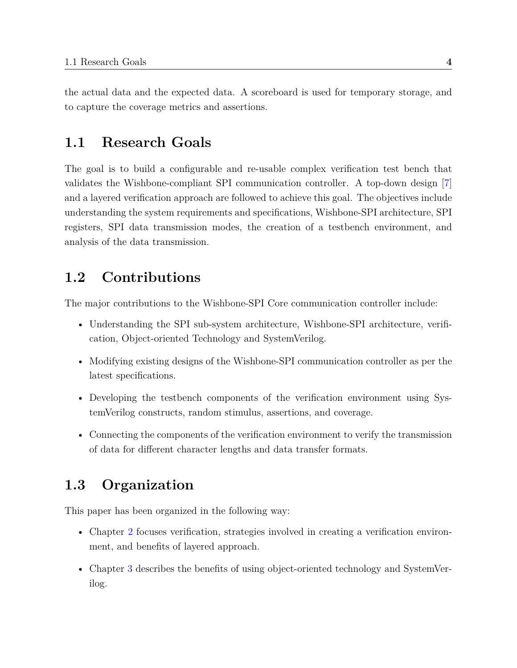the actual data and the expected data. A scoreboard is used for temporary storage, and to capture the coverage metrics and assertions.

## <span id="page-15-0"></span>**1.1 Research Goals**

The goal is to build a configurable and re-usable complex verification test bench that validates the Wishbone-compliant SPI communication controller. A top-down design [\[7\]](#page-61-7) and a layered verification approach are followed to achieve this goal. The objectives include understanding the system requirements and specifications, Wishbone-SPI architecture, SPI registers, SPI data transmission modes, the creation of a testbench environment, and analysis of the data transmission.

## <span id="page-15-1"></span>**1.2 Contributions**

The major contributions to the Wishbone-SPI Core communication controller include:

- Understanding the SPI sub-system architecture, Wishbone-SPI architecture, verification, Object-oriented Technology and SystemVerilog.
- Modifying existing designs of the Wishbone-SPI communication controller as per the latest specifications.
- Developing the testbench components of the verification environment using SystemVerilog constructs, random stimulus, assertions, and coverage.
- Connecting the components of the verification environment to verify the transmission of data for different character lengths and data transfer formats.

## <span id="page-15-2"></span>**1.3 Organization**

This paper has been organized in the following way:

- Chapter [2](#page-17-0) focuses verification, strategies involved in creating a verification environment, and benefits of layered approach.
- Chapter [3](#page-27-0) describes the benefits of using object-oriented technology and SystemVerilog.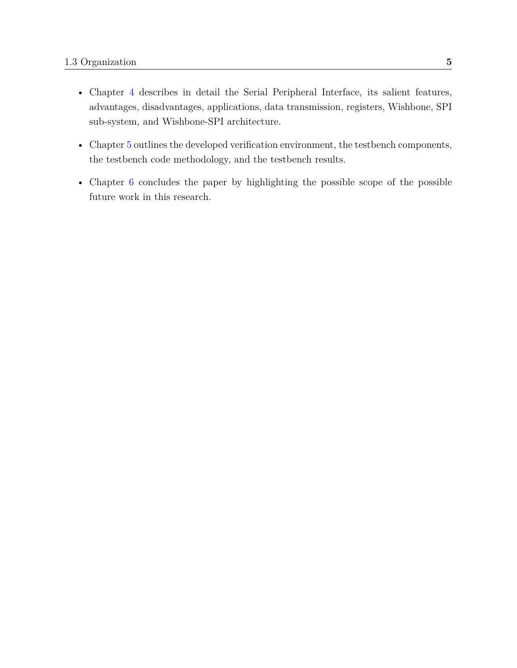- Chapter [4](#page-31-0) describes in detail the Serial Peripheral Interface, its salient features, advantages, disadvantages, applications, data transmission, registers, Wishbone, SPI sub-system, and Wishbone-SPI architecture.
- Chapter [5](#page-50-0) outlines the developed verification environment, the testbench components, the testbench code methodology, and the testbench results.
- Chapter [6](#page-59-0) concludes the paper by highlighting the possible scope of the possible future work in this research.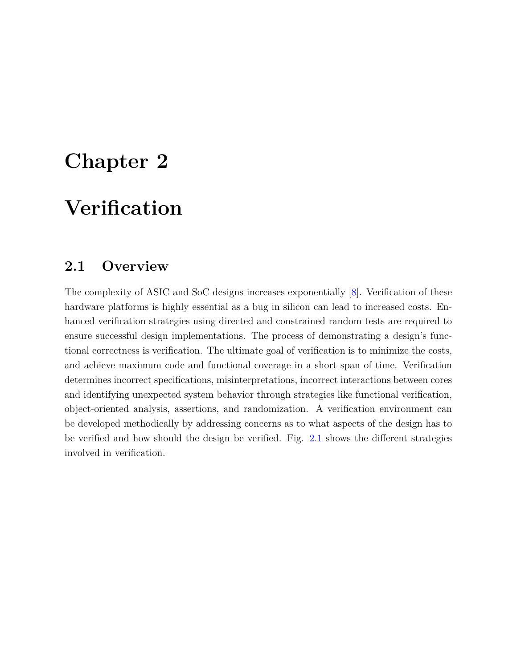## <span id="page-17-0"></span>**Chapter 2**

## **Verification**

## <span id="page-17-1"></span>**2.1 Overview**

The complexity of ASIC and SoC designs increases exponentially [\[8\]](#page-61-8). Verification of these hardware platforms is highly essential as a bug in silicon can lead to increased costs. Enhanced verification strategies using directed and constrained random tests are required to ensure successful design implementations. The process of demonstrating a design's functional correctness is verification. The ultimate goal of verification is to minimize the costs, and achieve maximum code and functional coverage in a short span of time. Verification determines incorrect specifications, misinterpretations, incorrect interactions between cores and identifying unexpected system behavior through strategies like functional verification, object-oriented analysis, assertions, and randomization. A verification environment can be developed methodically by addressing concerns as to what aspects of the design has to be verified and how should the design be verified. Fig. [2.1](#page-18-1) shows the different strategies involved in verification.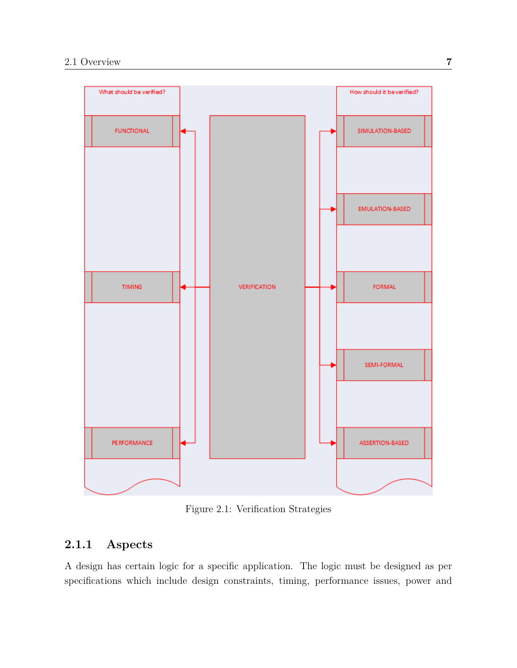<span id="page-18-1"></span>

Figure 2.1: Verification Strategies

## <span id="page-18-0"></span>**2.1.1 Aspects**

A design has certain logic for a specific application. The logic must be designed as per specifications which include design constraints, timing, performance issues, power and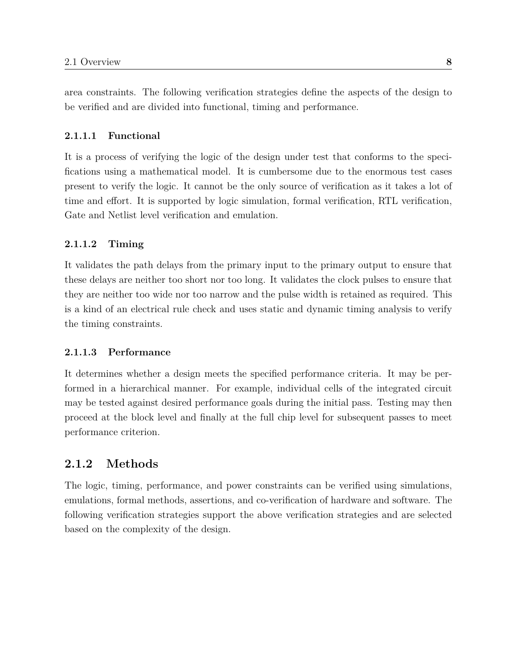area constraints. The following verification strategies define the aspects of the design to be verified and are divided into functional, timing and performance.

#### <span id="page-19-0"></span>**2.1.1.1 Functional**

It is a process of verifying the logic of the design under test that conforms to the specifications using a mathematical model. It is cumbersome due to the enormous test cases present to verify the logic. It cannot be the only source of verification as it takes a lot of time and effort. It is supported by logic simulation, formal verification, RTL verification, Gate and Netlist level verification and emulation.

### <span id="page-19-1"></span>**2.1.1.2 Timing**

It validates the path delays from the primary input to the primary output to ensure that these delays are neither too short nor too long. It validates the clock pulses to ensure that they are neither too wide nor too narrow and the pulse width is retained as required. This is a kind of an electrical rule check and uses static and dynamic timing analysis to verify the timing constraints.

### <span id="page-19-2"></span>**2.1.1.3 Performance**

It determines whether a design meets the specified performance criteria. It may be performed in a hierarchical manner. For example, individual cells of the integrated circuit may be tested against desired performance goals during the initial pass. Testing may then proceed at the block level and finally at the full chip level for subsequent passes to meet performance criterion.

### <span id="page-19-3"></span>**2.1.2 Methods**

The logic, timing, performance, and power constraints can be verified using simulations, emulations, formal methods, assertions, and co-verification of hardware and software. The following verification strategies support the above verification strategies and are selected based on the complexity of the design.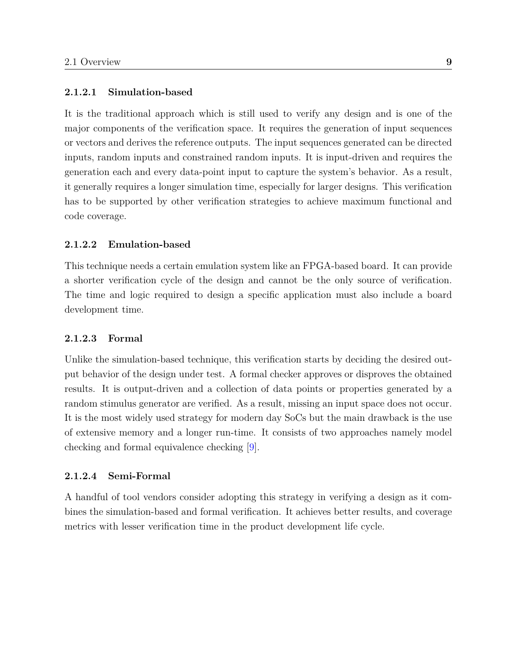### <span id="page-20-0"></span>**2.1.2.1 Simulation-based**

It is the traditional approach which is still used to verify any design and is one of the major components of the verification space. It requires the generation of input sequences or vectors and derives the reference outputs. The input sequences generated can be directed inputs, random inputs and constrained random inputs. It is input-driven and requires the generation each and every data-point input to capture the system's behavior. As a result, it generally requires a longer simulation time, especially for larger designs. This verification has to be supported by other verification strategies to achieve maximum functional and code coverage.

#### <span id="page-20-1"></span>**2.1.2.2 Emulation-based**

This technique needs a certain emulation system like an FPGA-based board. It can provide a shorter verification cycle of the design and cannot be the only source of verification. The time and logic required to design a specific application must also include a board development time.

### <span id="page-20-2"></span>**2.1.2.3 Formal**

Unlike the simulation-based technique, this verification starts by deciding the desired output behavior of the design under test. A formal checker approves or disproves the obtained results. It is output-driven and a collection of data points or properties generated by a random stimulus generator are verified. As a result, missing an input space does not occur. It is the most widely used strategy for modern day SoCs but the main drawback is the use of extensive memory and a longer run-time. It consists of two approaches namely model checking and formal equivalence checking [\[9\]](#page-61-9).

#### <span id="page-20-3"></span>**2.1.2.4 Semi-Formal**

A handful of tool vendors consider adopting this strategy in verifying a design as it combines the simulation-based and formal verification. It achieves better results, and coverage metrics with lesser verification time in the product development life cycle.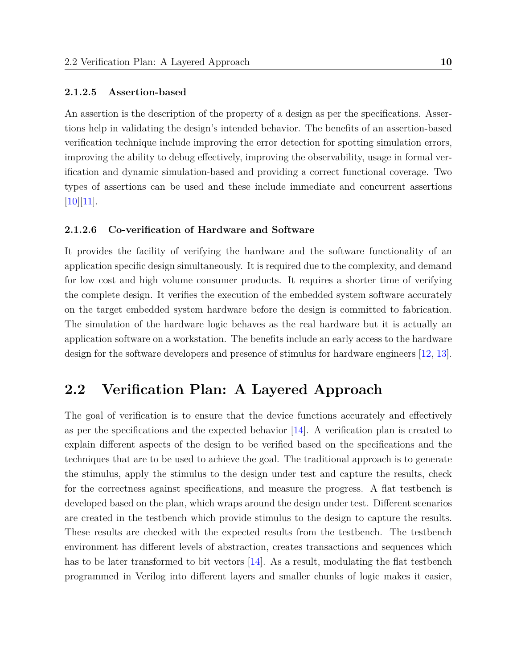#### <span id="page-21-0"></span>**2.1.2.5 Assertion-based**

An assertion is the description of the property of a design as per the specifications. Assertions help in validating the design's intended behavior. The benefits of an assertion-based verification technique include improving the error detection for spotting simulation errors, improving the ability to debug effectively, improving the observability, usage in formal verification and dynamic simulation-based and providing a correct functional coverage. Two types of assertions can be used and these include immediate and concurrent assertions  $[10][11]$  $[10][11]$ .

#### <span id="page-21-1"></span>**2.1.2.6 Co-verification of Hardware and Software**

It provides the facility of verifying the hardware and the software functionality of an application specific design simultaneously. It is required due to the complexity, and demand for low cost and high volume consumer products. It requires a shorter time of verifying the complete design. It verifies the execution of the embedded system software accurately on the target embedded system hardware before the design is committed to fabrication. The simulation of the hardware logic behaves as the real hardware but it is actually an application software on a workstation. The benefits include an early access to the hardware design for the software developers and presence of stimulus for hardware engineers [\[12,](#page-62-2) [13\]](#page-62-3).

### <span id="page-21-2"></span>**2.2 Verification Plan: A Layered Approach**

The goal of verification is to ensure that the device functions accurately and effectively as per the specifications and the expected behavior [\[14\]](#page-62-4). A verification plan is created to explain different aspects of the design to be verified based on the specifications and the techniques that are to be used to achieve the goal. The traditional approach is to generate the stimulus, apply the stimulus to the design under test and capture the results, check for the correctness against specifications, and measure the progress. A flat testbench is developed based on the plan, which wraps around the design under test. Different scenarios are created in the testbench which provide stimulus to the design to capture the results. These results are checked with the expected results from the testbench. The testbench environment has different levels of abstraction, creates transactions and sequences which has to be later transformed to bit vectors [\[14\]](#page-62-4). As a result, modulating the flat testbench programmed in Verilog into different layers and smaller chunks of logic makes it easier,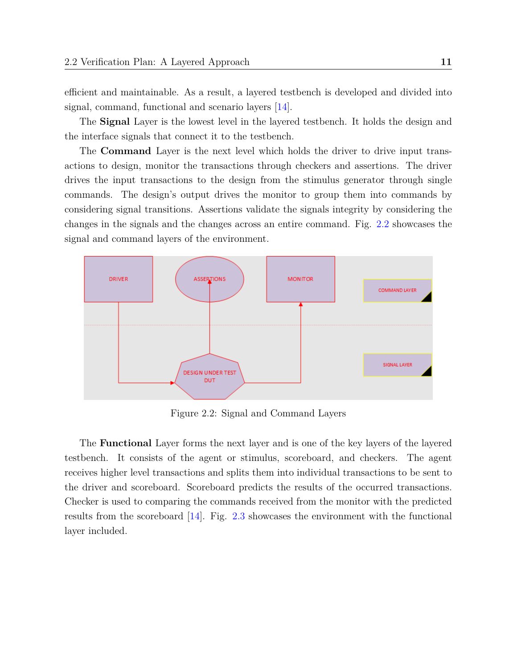efficient and maintainable. As a result, a layered testbench is developed and divided into signal, command, functional and scenario layers [\[14\]](#page-62-4).

The **Signal** Layer is the lowest level in the layered testbench. It holds the design and the interface signals that connect it to the testbench.

The **Command** Layer is the next level which holds the driver to drive input transactions to design, monitor the transactions through checkers and assertions. The driver drives the input transactions to the design from the stimulus generator through single commands. The design's output drives the monitor to group them into commands by considering signal transitions. Assertions validate the signals integrity by considering the changes in the signals and the changes across an entire command. Fig. [2.2](#page-22-0) showcases the signal and command layers of the environment.

<span id="page-22-0"></span>

Figure 2.2: Signal and Command Layers

The **Functional** Layer forms the next layer and is one of the key layers of the layered testbench. It consists of the agent or stimulus, scoreboard, and checkers. The agent receives higher level transactions and splits them into individual transactions to be sent to the driver and scoreboard. Scoreboard predicts the results of the occurred transactions. Checker is used to comparing the commands received from the monitor with the predicted results from the scoreboard [\[14\]](#page-62-4). Fig. [2.3](#page-23-0) showcases the environment with the functional layer included.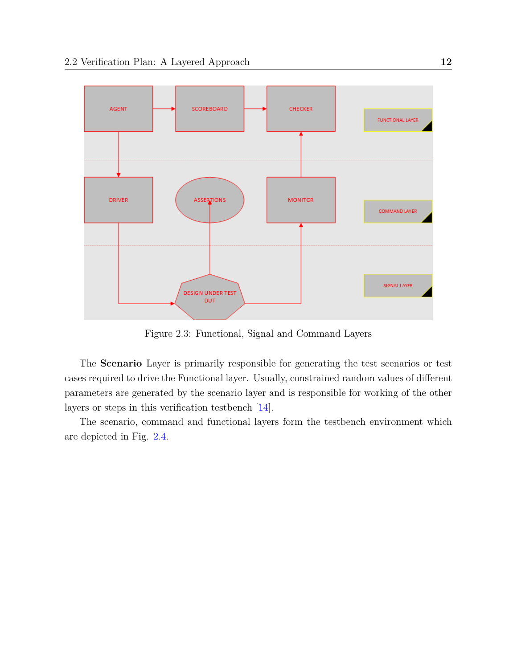<span id="page-23-0"></span>

Figure 2.3: Functional, Signal and Command Layers

The **Scenario** Layer is primarily responsible for generating the test scenarios or test cases required to drive the Functional layer. Usually, constrained random values of different parameters are generated by the scenario layer and is responsible for working of the other layers or steps in this verification testbench [\[14\]](#page-62-4).

The scenario, command and functional layers form the testbench environment which are depicted in Fig. [2.4.](#page-24-0)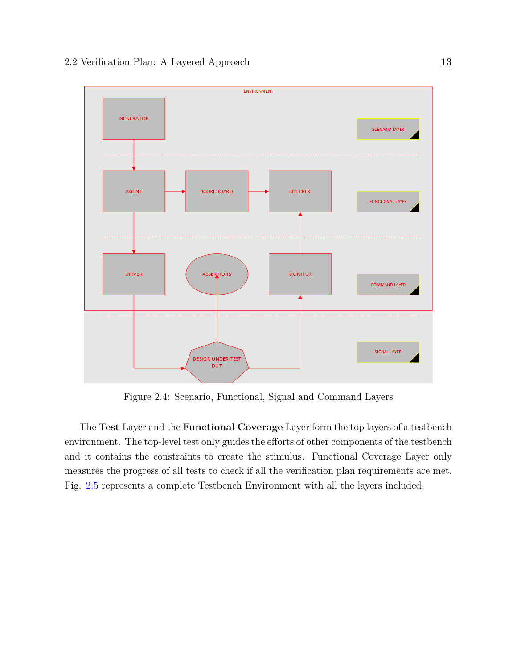<span id="page-24-0"></span>

Figure 2.4: Scenario, Functional, Signal and Command Layers

The **Test** Layer and the **Functional Coverage** Layer form the top layers of a testbench environment. The top-level test only guides the efforts of other components of the testbench and it contains the constraints to create the stimulus. Functional Coverage Layer only measures the progress of all tests to check if all the verification plan requirements are met. Fig. [2.5](#page-25-1) represents a complete Testbench Environment with all the layers included.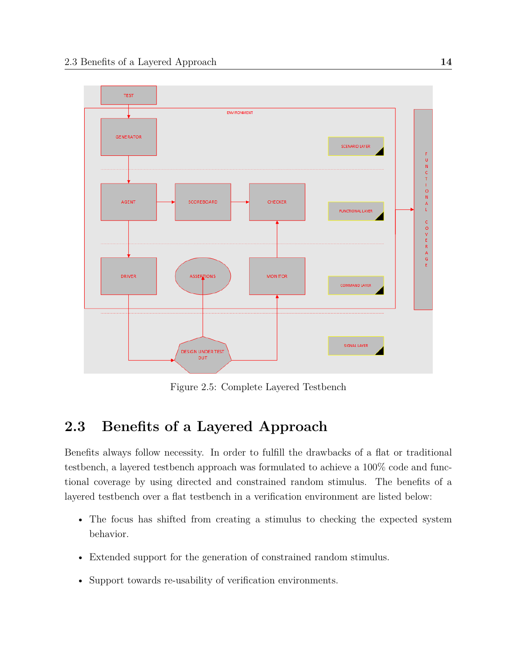<span id="page-25-1"></span>

Figure 2.5: Complete Layered Testbench

## <span id="page-25-0"></span>**2.3 Benefits of a Layered Approach**

Benefits always follow necessity. In order to fulfill the drawbacks of a flat or traditional testbench, a layered testbench approach was formulated to achieve a 100% code and functional coverage by using directed and constrained random stimulus. The benefits of a layered testbench over a flat testbench in a verification environment are listed below:

- The focus has shifted from creating a stimulus to checking the expected system behavior.
- Extended support for the generation of constrained random stimulus.
- Support towards re-usability of verification environments.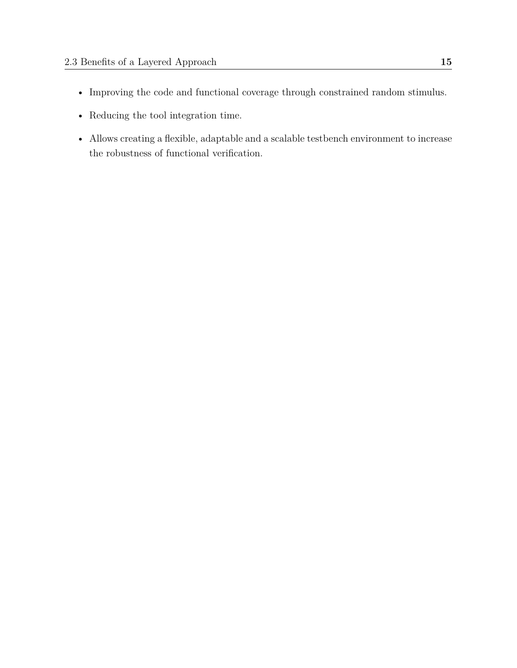- Improving the code and functional coverage through constrained random stimulus.
- Reducing the tool integration time.
- Allows creating a flexible, adaptable and a scalable testbench environment to increase the robustness of functional verification.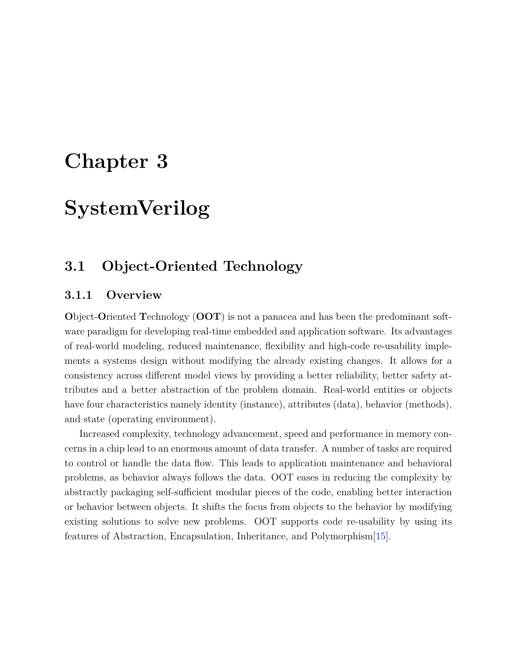## <span id="page-27-0"></span>**Chapter 3**

## **SystemVerilog**

## <span id="page-27-1"></span>**3.1 Object-Oriented Technology**

### <span id="page-27-2"></span>**3.1.1 Overview**

**O**bject-**O**riented **T**echnology (**OOT**) is not a panacea and has been the predominant software paradigm for developing real-time embedded and application software. Its advantages of real-world modeling, reduced maintenance, flexibility and high-code re-usability implements a systems design without modifying the already existing changes. It allows for a consistency across different model views by providing a better reliability, better safety attributes and a better abstraction of the problem domain. Real-world entities or objects have four characteristics namely identity (instance), attributes (data), behavior (methods), and state (operating environment).

Increased complexity, technology advancement, speed and performance in memory concerns in a chip lead to an enormous amount of data transfer. A number of tasks are required to control or handle the data flow. This leads to application maintenance and behavioral problems, as behavior always follows the data. OOT eases in reducing the complexity by abstractly packaging self-sufficient modular pieces of the code, enabling better interaction or behavior between objects. It shifts the focus from objects to the behavior by modifying existing solutions to solve new problems. OOT supports code re-usability by using its features of Abstraction, Encapsulation, Inheritance, and Polymorphism[\[15\]](#page-62-5).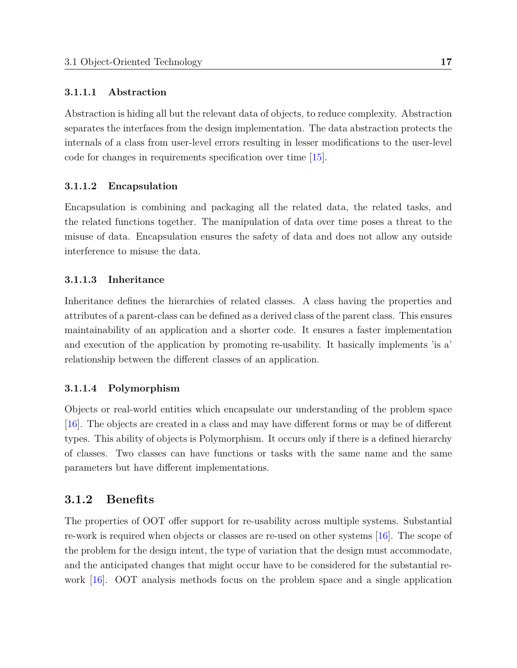### <span id="page-28-0"></span>**3.1.1.1 Abstraction**

Abstraction is hiding all but the relevant data of objects, to reduce complexity. Abstraction separates the interfaces from the design implementation. The data abstraction protects the internals of a class from user-level errors resulting in lesser modifications to the user-level code for changes in requirements specification over time [\[15\]](#page-62-5).

### <span id="page-28-1"></span>**3.1.1.2 Encapsulation**

Encapsulation is combining and packaging all the related data, the related tasks, and the related functions together. The manipulation of data over time poses a threat to the misuse of data. Encapsulation ensures the safety of data and does not allow any outside interference to misuse the data.

### <span id="page-28-2"></span>**3.1.1.3 Inheritance**

Inheritance defines the hierarchies of related classes. A class having the properties and attributes of a parent-class can be defined as a derived class of the parent class. This ensures maintainability of an application and a shorter code. It ensures a faster implementation and execution of the application by promoting re-usability. It basically implements 'is a' relationship between the different classes of an application.

#### <span id="page-28-3"></span>**3.1.1.4 Polymorphism**

Objects or real-world entities which encapsulate our understanding of the problem space [\[16\]](#page-62-6). The objects are created in a class and may have different forms or may be of different types. This ability of objects is Polymorphism. It occurs only if there is a defined hierarchy of classes. Two classes can have functions or tasks with the same name and the same parameters but have different implementations.

### <span id="page-28-4"></span>**3.1.2 Benefits**

The properties of OOT offer support for re-usability across multiple systems. Substantial re-work is required when objects or classes are re-used on other systems [\[16\]](#page-62-6). The scope of the problem for the design intent, the type of variation that the design must accommodate, and the anticipated changes that might occur have to be considered for the substantial rework [\[16\]](#page-62-6). OOT analysis methods focus on the problem space and a single application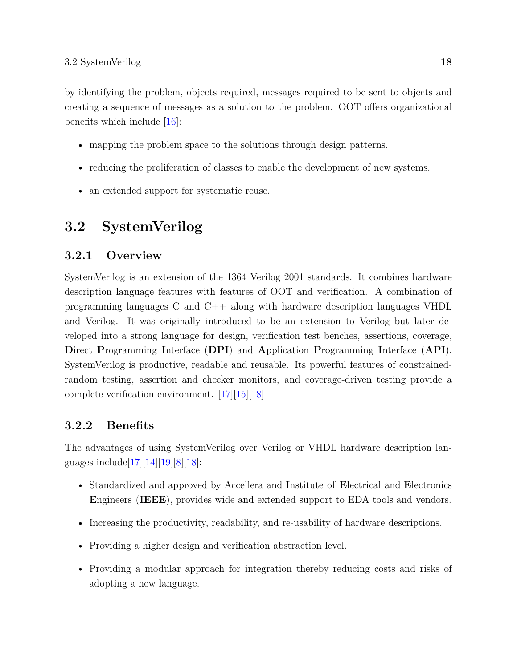by identifying the problem, objects required, messages required to be sent to objects and creating a sequence of messages as a solution to the problem. OOT offers organizational benefits which include [\[16\]](#page-62-6):

- mapping the problem space to the solutions through design patterns.
- reducing the proliferation of classes to enable the development of new systems.
- an extended support for systematic reuse.

## <span id="page-29-0"></span>**3.2 SystemVerilog**

### <span id="page-29-1"></span>**3.2.1 Overview**

SystemVerilog is an extension of the 1364 Verilog 2001 standards. It combines hardware description language features with features of OOT and verification. A combination of programming languages C and C++ along with hardware description languages VHDL and Verilog. It was originally introduced to be an extension to Verilog but later developed into a strong language for design, verification test benches, assertions, coverage, **D**irect **P**rogramming **I**nterface (**DPI**) and **A**pplication **P**rogramming **I**nterface (**API**). SystemVerilog is productive, readable and reusable. Its powerful features of constrainedrandom testing, assertion and checker monitors, and coverage-driven testing provide a complete verification environment. [\[17\]](#page-62-7)[\[15\]](#page-62-5)[\[18\]](#page-62-8)

### <span id="page-29-2"></span>**3.2.2 Benefits**

The advantages of using SystemVerilog over Verilog or VHDL hardware description languages include  $[17][14][19][8][18]$  $[17][14][19][8][18]$  $[17][14][19][8][18]$  $[17][14][19][8][18]$  $[17][14][19][8][18]$ :

- Standardized and approved by Accellera and **I**nstitute of **E**lectrical and **E**lectronics **E**ngineers (**IEEE**), provides wide and extended support to EDA tools and vendors.
- Increasing the productivity, readability, and re-usability of hardware descriptions.
- Providing a higher design and verification abstraction level.
- Providing a modular approach for integration thereby reducing costs and risks of adopting a new language.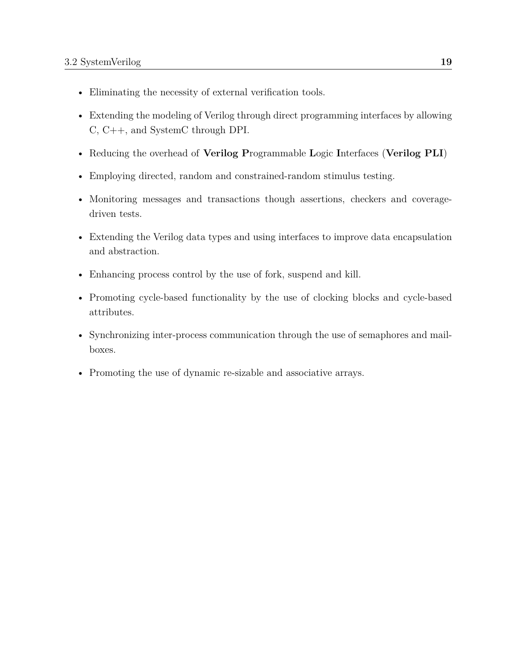- Eliminating the necessity of external verification tools.
- Extending the modeling of Verilog through direct programming interfaces by allowing C, C++, and SystemC through DPI.
- Reducing the overhead of **Verilog P**rogrammable **L**ogic **I**nterfaces (**Verilog PLI**)
- Employing directed, random and constrained-random stimulus testing.
- Monitoring messages and transactions though assertions, checkers and coveragedriven tests.
- Extending the Verilog data types and using interfaces to improve data encapsulation and abstraction.
- Enhancing process control by the use of fork, suspend and kill.
- Promoting cycle-based functionality by the use of clocking blocks and cycle-based attributes.
- Synchronizing inter-process communication through the use of semaphores and mailboxes.
- Promoting the use of dynamic re-sizable and associative arrays.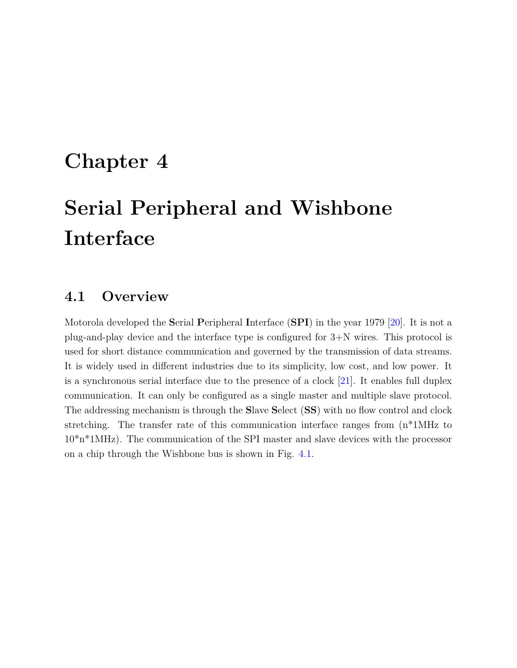## <span id="page-31-0"></span>**Chapter 4**

# **Serial Peripheral and Wishbone Interface**

## <span id="page-31-1"></span>**4.1 Overview**

Motorola developed the **S**erial **P**eripheral **I**nterface (**SPI**) in the year 1979 [\[20\]](#page-63-0). It is not a plug-and-play device and the interface type is configured for 3+N wires. This protocol is used for short distance communication and governed by the transmission of data streams. It is widely used in different industries due to its simplicity, low cost, and low power. It is a synchronous serial interface due to the presence of a clock [\[21\]](#page-63-1). It enables full duplex communication. It can only be configured as a single master and multiple slave protocol. The addressing mechanism is through the **S**lave **S**elect (**SS**) with no flow control and clock stretching. The transfer rate of this communication interface ranges from (n\*1MHz to 10\*n\*1MHz). The communication of the SPI master and slave devices with the processor on a chip through the Wishbone bus is shown in Fig. [4.1.](#page-32-2)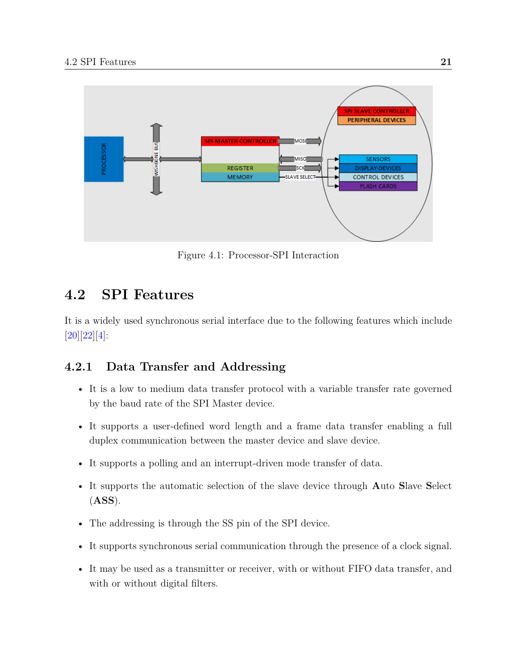<span id="page-32-2"></span>

Figure 4.1: Processor-SPI Interaction

## <span id="page-32-0"></span>**4.2 SPI Features**

It is a widely used synchronous serial interface due to the following features which include [\[20\]](#page-63-0)[\[22\]](#page-63-2)[\[4\]](#page-61-4):

### <span id="page-32-1"></span>**4.2.1 Data Transfer and Addressing**

- It is a low to medium data transfer protocol with a variable transfer rate governed by the baud rate of the SPI Master device.
- It supports a user-defined word length and a frame data transfer enabling a full duplex communication between the master device and slave device.
- It supports a polling and an interrupt-driven mode transfer of data.
- It supports the automatic selection of the slave device through **A**uto **S**lave **S**elect (**ASS**).
- The addressing is through the SS pin of the SPI device.
- It supports synchronous serial communication through the presence of a clock signal.
- It may be used as a transmitter or receiver, with or without FIFO data transfer, and with or without digital filters.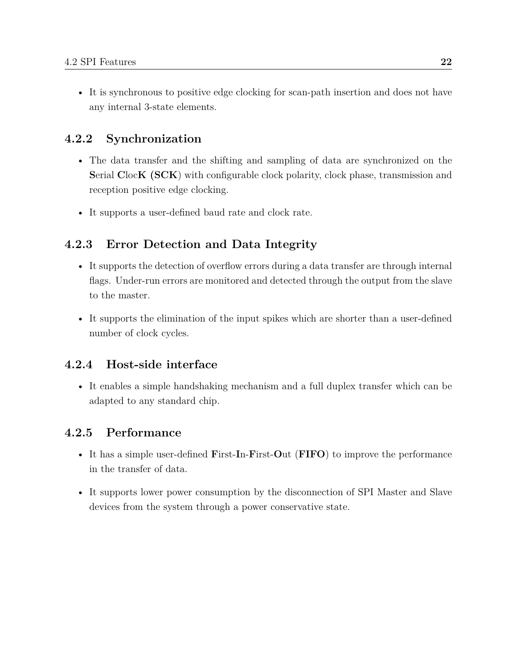• It is synchronous to positive edge clocking for scan-path insertion and does not have any internal 3-state elements.

### <span id="page-33-0"></span>**4.2.2 Synchronization**

- The data transfer and the shifting and sampling of data are synchronized on the **S**erial **C**loc**K (SCK**) with configurable clock polarity, clock phase, transmission and reception positive edge clocking.
- It supports a user-defined baud rate and clock rate.

### <span id="page-33-1"></span>**4.2.3 Error Detection and Data Integrity**

- It supports the detection of overflow errors during a data transfer are through internal flags. Under-run errors are monitored and detected through the output from the slave to the master.
- It supports the elimination of the input spikes which are shorter than a user-defined number of clock cycles.

### <span id="page-33-2"></span>**4.2.4 Host-side interface**

• It enables a simple handshaking mechanism and a full duplex transfer which can be adapted to any standard chip.

### <span id="page-33-3"></span>**4.2.5 Performance**

- It has a simple user-defined **F**irst-**I**n-**F**irst-**O**ut (**FIFO**) to improve the performance in the transfer of data.
- It supports lower power consumption by the disconnection of SPI Master and Slave devices from the system through a power conservative state.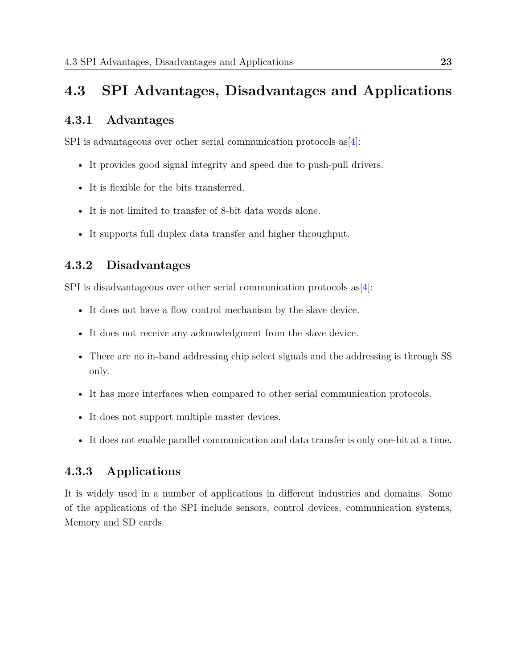## <span id="page-34-0"></span>**4.3 SPI Advantages, Disadvantages and Applications**

### <span id="page-34-1"></span>**4.3.1 Advantages**

SPI is advantageous over other serial communication protocols as [\[4\]](#page-61-4):

- It provides good signal integrity and speed due to push-pull drivers.
- It is flexible for the bits transferred.
- It is not limited to transfer of 8-bit data words alone.
- It supports full duplex data transfer and higher throughput.

### <span id="page-34-2"></span>**4.3.2 Disadvantages**

SPI is disadvantageous over other serial communication protocols as [\[4\]](#page-61-4):

- It does not have a flow control mechanism by the slave device.
- It does not receive any acknowledgment from the slave device.
- There are no in-band addressing chip select signals and the addressing is through SS only.
- It has more interfaces when compared to other serial communication protocols.
- It does not support multiple master devices.
- It does not enable parallel communication and data transfer is only one-bit at a time.

### <span id="page-34-3"></span>**4.3.3 Applications**

It is widely used in a number of applications in different industries and domains. Some of the applications of the SPI include sensors, control devices, communication systems, Memory and SD cards.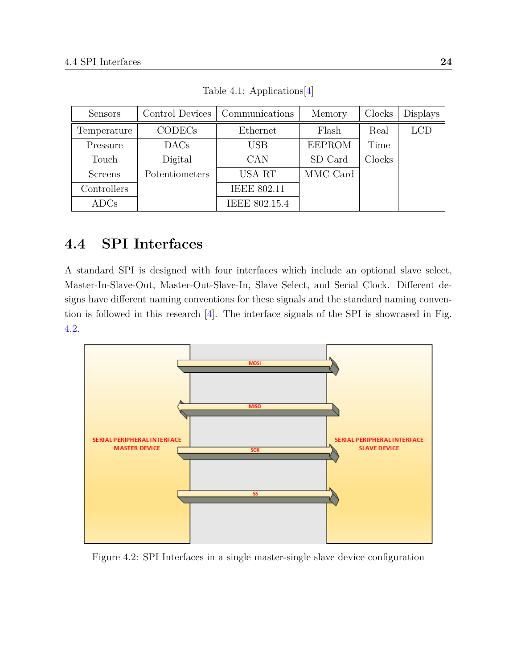<span id="page-35-2"></span>

| <b>Sensors</b> | Control Devices | Communications     | Memory        | Clocks | <b>Displays</b> |
|----------------|-----------------|--------------------|---------------|--------|-----------------|
| Temperature    | <b>CODECs</b>   | Ethernet           | Flash         | Real   | <b>LCD</b>      |
| Pressure       | $\rm DACs$      | <b>USB</b>         | <b>EEPROM</b> | Time   |                 |
| Touch          | Digital         | CAN                | SD Card       | Clocks |                 |
| <b>Screens</b> | Potentiometers  | <b>USA RT</b>      | MMC Card      |        |                 |
| Controllers    |                 | <b>IEEE 802.11</b> |               |        |                 |
| ADCs           |                 | IEEE 802.15.4      |               |        |                 |

Table 4.1: Applications[\[4\]](#page-61-4)

## <span id="page-35-0"></span>**4.4 SPI Interfaces**

A standard SPI is designed with four interfaces which include an optional slave select, Master-In-Slave-Out, Master-Out-Slave-In, Slave Select, and Serial Clock. Different designs have different naming conventions for these signals and the standard naming convention is followed in this research [\[4\]](#page-61-4). The interface signals of the SPI is showcased in Fig. [4.2.](#page-35-1)

<span id="page-35-1"></span>

Figure 4.2: SPI Interfaces in a single master-single slave device configuration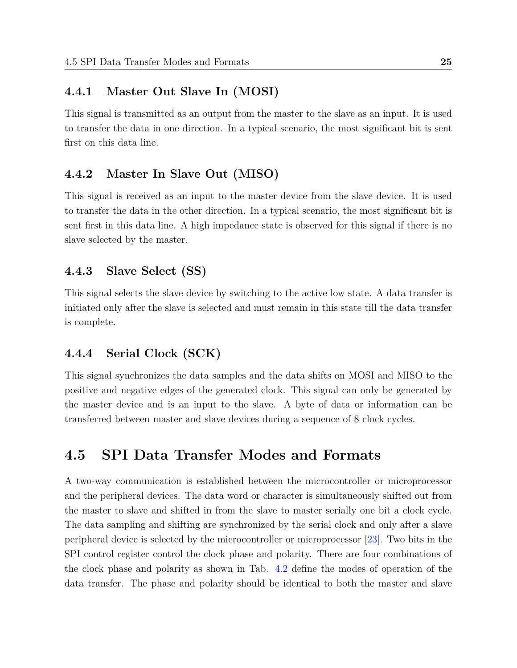### **4.4.1 Master Out Slave In (MOSI)**

This signal is transmitted as an output from the master to the slave as an input. It is used to transfer the data in one direction. In a typical scenario, the most significant bit is sent first on this data line.

#### **4.4.2 Master In Slave Out (MISO)**

This signal is received as an input to the master device from the slave device. It is used to transfer the data in the other direction. In a typical scenario, the most significant bit is sent first in this data line. A high impedance state is observed for this signal if there is no slave selected by the master.

#### **4.4.3 Slave Select (SS)**

This signal selects the slave device by switching to the active low state. A data transfer is initiated only after the slave is selected and must remain in this state till the data transfer is complete.

### **4.4.4 Serial Clock (SCK)**

This signal synchronizes the data samples and the data shifts on MOSI and MISO to the positive and negative edges of the generated clock. This signal can only be generated by the master device and is an input to the slave. A byte of data or information can be transferred between master and slave devices during a sequence of 8 clock cycles.

## **4.5 SPI Data Transfer Modes and Formats**

A two-way communication is established between the microcontroller or microprocessor and the peripheral devices. The data word or character is simultaneously shifted out from the master to slave and shifted in from the slave to master serially one bit a clock cycle. The data sampling and shifting are synchronized by the serial clock and only after a slave peripheral device is selected by the microcontroller or microprocessor [\[23\]](#page-63-0). Two bits in the SPI control register control the clock phase and polarity. There are four combinations of the clock phase and polarity as shown in Tab. [4.2](#page-37-0) define the modes of operation of the data transfer. The phase and polarity should be identical to both the master and slave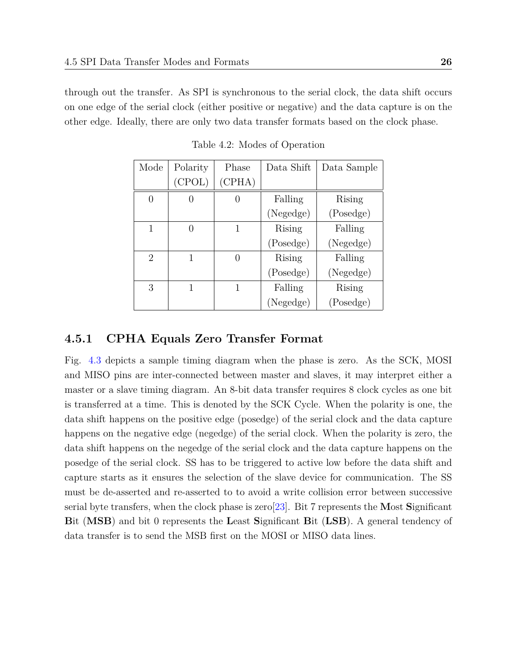<span id="page-37-0"></span>through out the transfer. As SPI is synchronous to the serial clock, the data shift occurs on one edge of the serial clock (either positive or negative) and the data capture is on the other edge. Ideally, there are only two data transfer formats based on the clock phase.

| Mode           | Polarity | Phase  | Data Shift | Data Sample |
|----------------|----------|--------|------------|-------------|
|                | (CPOL)   | (CPHA) |            |             |
|                |          |        | Falling    | Rising      |
|                |          |        | (Negedge)  | (Posedge)   |
| 1              |          |        | Rising     | Falling     |
|                |          |        | (Posedge)  | (Negedge)   |
| $\overline{2}$ | 1        |        | Rising     | Falling     |
|                |          |        | (Posedge)  | (Negedge)   |
| 3              | 1        | 1      | Falling    | Rising      |
|                |          |        | (Negedge)  | (Posedge)   |

Table 4.2: Modes of Operation

#### **4.5.1 CPHA Equals Zero Transfer Format**

Fig. [4.3](#page-38-0) depicts a sample timing diagram when the phase is zero. As the SCK, MOSI and MISO pins are inter-connected between master and slaves, it may interpret either a master or a slave timing diagram. An 8-bit data transfer requires 8 clock cycles as one bit is transferred at a time. This is denoted by the SCK Cycle. When the polarity is one, the data shift happens on the positive edge (posedge) of the serial clock and the data capture happens on the negative edge (negedge) of the serial clock. When the polarity is zero, the data shift happens on the negedge of the serial clock and the data capture happens on the posedge of the serial clock. SS has to be triggered to active low before the data shift and capture starts as it ensures the selection of the slave device for communication. The SS must be de-asserted and re-asserted to to avoid a write collision error between successive serial byte transfers, when the clock phase is zero[\[23\]](#page-63-0). Bit 7 represents the **M**ost **S**ignificant **B**it (**MSB**) and bit 0 represents the **L**east **S**ignificant **B**it (**LSB**). A general tendency of data transfer is to send the MSB first on the MOSI or MISO data lines.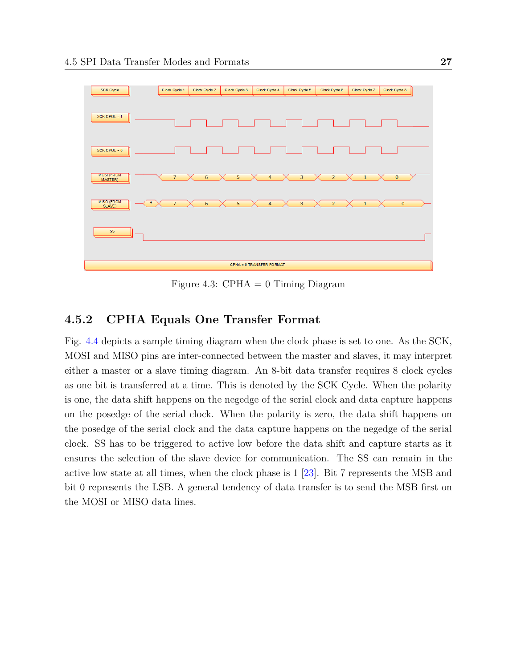<span id="page-38-0"></span>

Figure 4.3: CPHA  $= 0$  Timing Diagram

### **4.5.2 CPHA Equals One Transfer Format**

Fig. [4.4](#page-39-0) depicts a sample timing diagram when the clock phase is set to one. As the SCK, MOSI and MISO pins are inter-connected between the master and slaves, it may interpret either a master or a slave timing diagram. An 8-bit data transfer requires 8 clock cycles as one bit is transferred at a time. This is denoted by the SCK Cycle. When the polarity is one, the data shift happens on the negedge of the serial clock and data capture happens on the posedge of the serial clock. When the polarity is zero, the data shift happens on the posedge of the serial clock and the data capture happens on the negedge of the serial clock. SS has to be triggered to active low before the data shift and capture starts as it ensures the selection of the slave device for communication. The SS can remain in the active low state at all times, when the clock phase is 1 [\[23\]](#page-63-0). Bit 7 represents the MSB and bit 0 represents the LSB. A general tendency of data transfer is to send the MSB first on the MOSI or MISO data lines.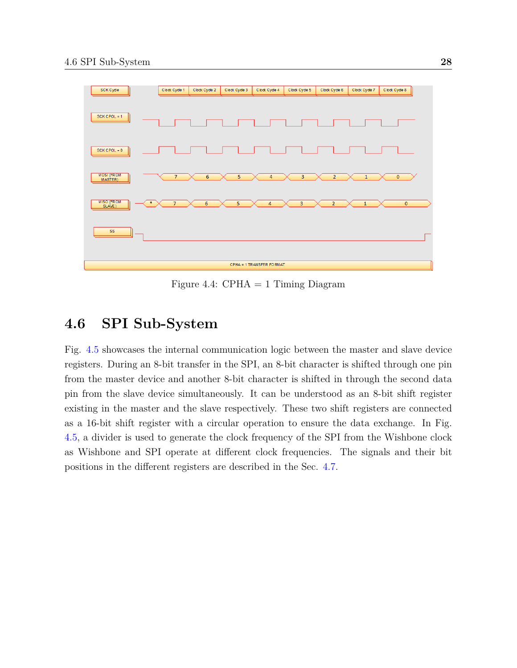<span id="page-39-0"></span>

Figure 4.4:  $CPHA = 1$  Timing Diagram

## **4.6 SPI Sub-System**

Fig. [4.5](#page-40-0) showcases the internal communication logic between the master and slave device registers. During an 8-bit transfer in the SPI, an 8-bit character is shifted through one pin from the master device and another 8-bit character is shifted in through the second data pin from the slave device simultaneously. It can be understood as an 8-bit shift register existing in the master and the slave respectively. These two shift registers are connected as a 16-bit shift register with a circular operation to ensure the data exchange. In Fig. [4.5,](#page-40-0) a divider is used to generate the clock frequency of the SPI from the Wishbone clock as Wishbone and SPI operate at different clock frequencies. The signals and their bit positions in the different registers are described in the Sec. [4.7.](#page-41-0)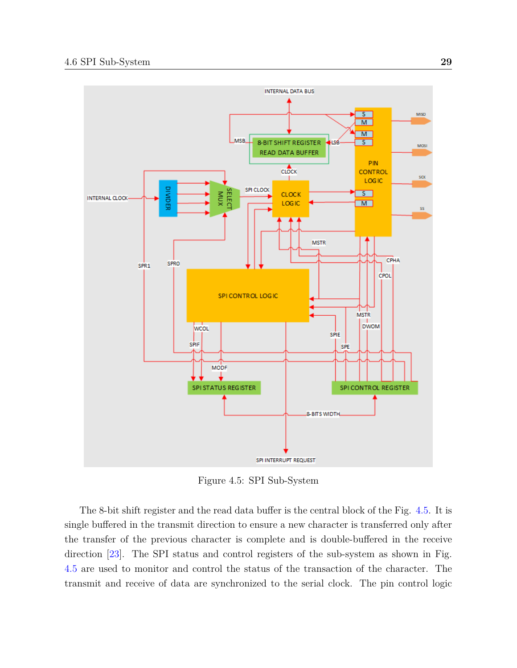<span id="page-40-0"></span>

Figure 4.5: SPI Sub-System

The 8-bit shift register and the read data buffer is the central block of the Fig. [4.5.](#page-40-0) It is single buffered in the transmit direction to ensure a new character is transferred only after the transfer of the previous character is complete and is double-buffered in the receive direction [\[23\]](#page-63-0). The SPI status and control registers of the sub-system as shown in Fig. [4.5](#page-40-0) are used to monitor and control the status of the transaction of the character. The transmit and receive of data are synchronized to the serial clock. The pin control logic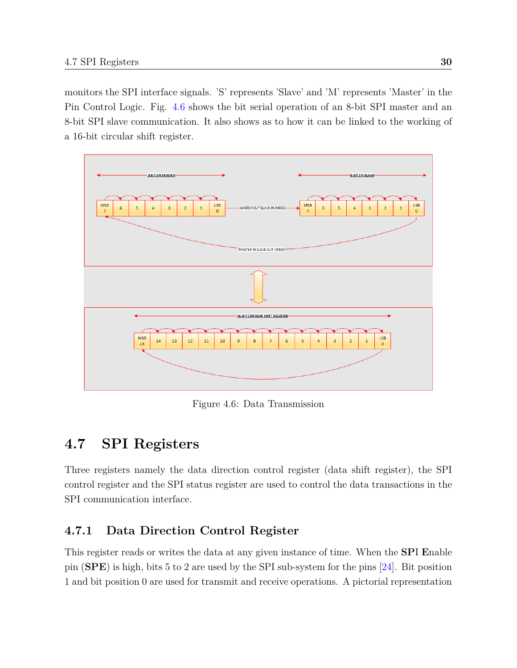monitors the SPI interface signals. 'S' represents 'Slave' and 'M' represents 'Master' in the Pin Control Logic. Fig. [4.6](#page-41-1) shows the bit serial operation of an 8-bit SPI master and an 8-bit SPI slave communication. It also shows as to how it can be linked to the working of a 16-bit circular shift register.

<span id="page-41-1"></span>

Figure 4.6: Data Transmission

# <span id="page-41-0"></span>**4.7 SPI Registers**

Three registers namely the data direction control register (data shift register), the SPI control register and the SPI status register are used to control the data transactions in the SPI communication interface.

## **4.7.1 Data Direction Control Register**

This register reads or writes the data at any given instance of time. When the **SP**I **E**nable pin (**SPE**) is high, bits 5 to 2 are used by the SPI sub-system for the pins [\[24\]](#page-63-1). Bit position 1 and bit position 0 are used for transmit and receive operations. A pictorial representation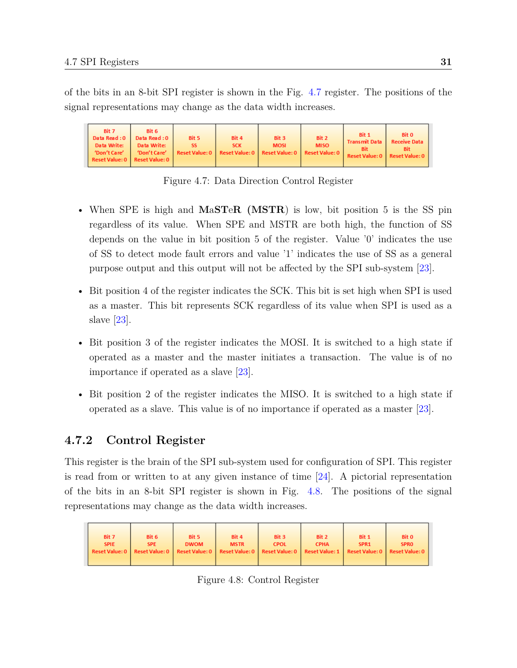of the bits in an 8-bit SPI register is shown in the Fig. [4.7](#page-42-0) register. The positions of the signal representations may change as the data width increases.

<span id="page-42-0"></span>

Figure 4.7: Data Direction Control Register

- When SPE is high and **M**a**ST**e**R (MSTR**) is low, bit position 5 is the SS pin regardless of its value. When SPE and MSTR are both high, the function of SS depends on the value in bit position 5 of the register. Value '0' indicates the use of SS to detect mode fault errors and value '1' indicates the use of SS as a general purpose output and this output will not be affected by the SPI sub-system [\[23\]](#page-63-0).
- Bit position 4 of the register indicates the SCK. This bit is set high when SPI is used as a master. This bit represents SCK regardless of its value when SPI is used as a slave [\[23\]](#page-63-0).
- Bit position 3 of the register indicates the MOSI. It is switched to a high state if operated as a master and the master initiates a transaction. The value is of no importance if operated as a slave [\[23\]](#page-63-0).
- Bit position 2 of the register indicates the MISO. It is switched to a high state if operated as a slave. This value is of no importance if operated as a master [\[23\]](#page-63-0).

### **4.7.2 Control Register**

This register is the brain of the SPI sub-system used for configuration of SPI. This register is read from or written to at any given instance of time  $[24]$ . A pictorial representation of the bits in an 8-bit SPI register is shown in Fig. [4.8.](#page-42-1) The positions of the signal representations may change as the data width increases.

<span id="page-42-1"></span>

Figure 4.8: Control Register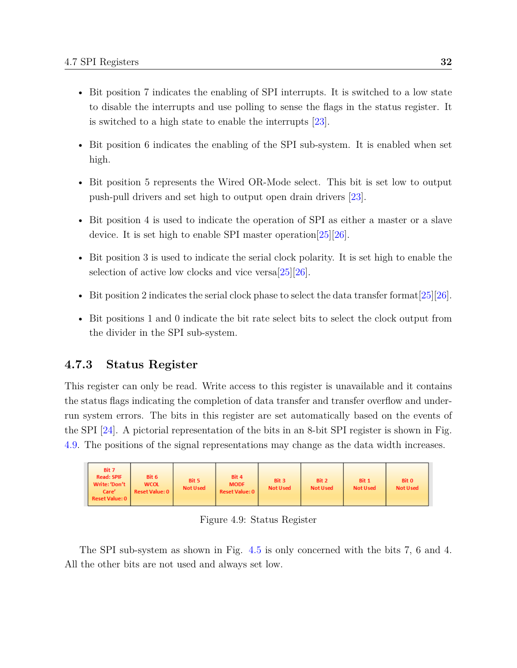- Bit position 7 indicates the enabling of SPI interrupts. It is switched to a low state to disable the interrupts and use polling to sense the flags in the status register. It is switched to a high state to enable the interrupts [\[23\]](#page-63-0).
- Bit position 6 indicates the enabling of the SPI sub-system. It is enabled when set high.
- Bit position 5 represents the Wired OR-Mode select. This bit is set low to output push-pull drivers and set high to output open drain drivers [\[23\]](#page-63-0).
- Bit position 4 is used to indicate the operation of SPI as either a master or a slave device. It is set high to enable SPI master operation[\[25\]](#page-63-2)[\[26\]](#page-63-3).
- Bit position 3 is used to indicate the serial clock polarity. It is set high to enable the selection of active low clocks and vice versa $[25][26]$  $[25][26]$ .
- Bit position 2 indicates the serial clock phase to select the data transfer format [\[25\]](#page-63-2)[\[26\]](#page-63-3).
- Bit positions 1 and 0 indicate the bit rate select bits to select the clock output from the divider in the SPI sub-system.

### **4.7.3 Status Register**

This register can only be read. Write access to this register is unavailable and it contains the status flags indicating the completion of data transfer and transfer overflow and underrun system errors. The bits in this register are set automatically based on the events of the SPI [\[24\]](#page-63-1). A pictorial representation of the bits in an 8-bit SPI register is shown in Fig. [4.9.](#page-43-0) The positions of the signal representations may change as the data width increases.

<span id="page-43-0"></span>

Figure 4.9: Status Register

The SPI sub-system as shown in Fig. [4.5](#page-40-0) is only concerned with the bits 7, 6 and 4. All the other bits are not used and always set low.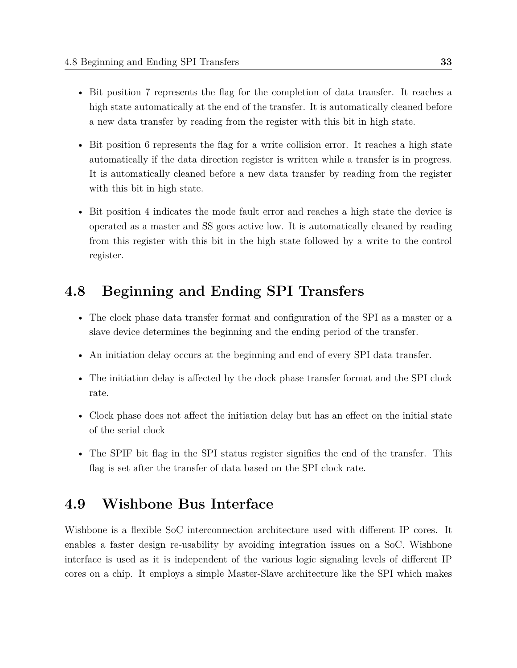- Bit position 7 represents the flag for the completion of data transfer. It reaches a high state automatically at the end of the transfer. It is automatically cleaned before a new data transfer by reading from the register with this bit in high state.
- Bit position 6 represents the flag for a write collision error. It reaches a high state automatically if the data direction register is written while a transfer is in progress. It is automatically cleaned before a new data transfer by reading from the register with this bit in high state.
- Bit position 4 indicates the mode fault error and reaches a high state the device is operated as a master and SS goes active low. It is automatically cleaned by reading from this register with this bit in the high state followed by a write to the control register.

## **4.8 Beginning and Ending SPI Transfers**

- The clock phase data transfer format and configuration of the SPI as a master or a slave device determines the beginning and the ending period of the transfer.
- An initiation delay occurs at the beginning and end of every SPI data transfer.
- The initiation delay is affected by the clock phase transfer format and the SPI clock rate.
- Clock phase does not affect the initiation delay but has an effect on the initial state of the serial clock
- The SPIF bit flag in the SPI status register signifies the end of the transfer. This flag is set after the transfer of data based on the SPI clock rate.

# **4.9 Wishbone Bus Interface**

Wishbone is a flexible SoC interconnection architecture used with different IP cores. It enables a faster design re-usability by avoiding integration issues on a SoC. Wishbone interface is used as it is independent of the various logic signaling levels of different IP cores on a chip. It employs a simple Master-Slave architecture like the SPI which makes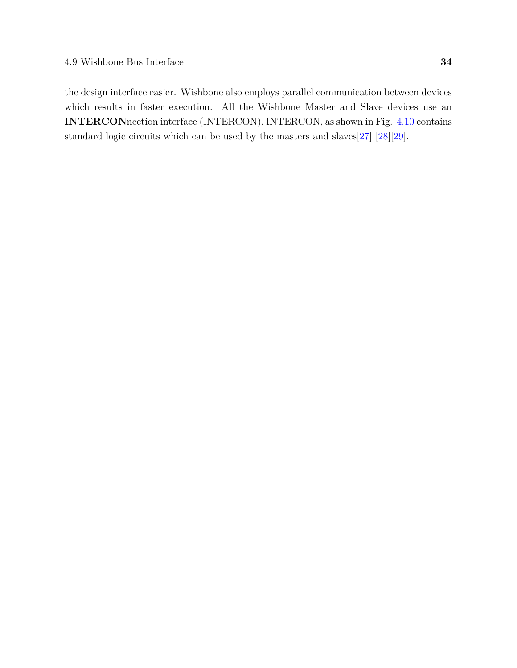the design interface easier. Wishbone also employs parallel communication between devices which results in faster execution. All the Wishbone Master and Slave devices use an **INTERCON**nection interface (INTERCON). INTERCON, as shown in Fig. [4.10](#page-46-0) contains standard logic circuits which can be used by the masters and slaves[\[27\]](#page-63-4) [\[28\]](#page-63-5)[\[29\]](#page-63-6).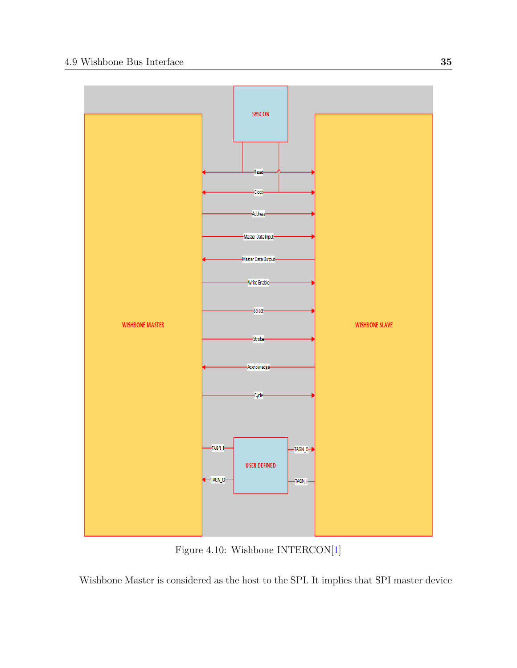<span id="page-46-0"></span>

Figure 4.10: Wishbone INTERCON[\[1\]](#page-61-0)

Wishbone Master is considered as the host to the SPI. It implies that SPI master device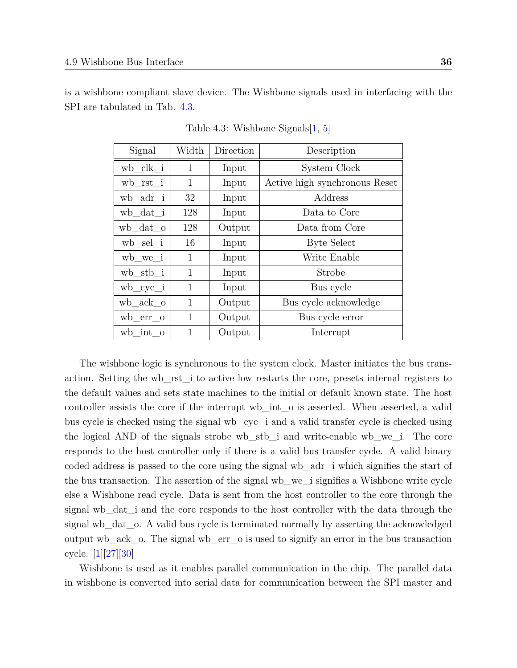<span id="page-47-0"></span>is a wishbone compliant slave device. The Wishbone signals used in interfacing with the SPI are tabulated in Tab. [4.3.](#page-47-0)

| Signal       | Width | Direction | Description                   |  |
|--------------|-------|-----------|-------------------------------|--|
| $wb\_clk_i$  | 1     | Input     | System Clock                  |  |
| $wb\_rst\_i$ | 1     | Input     | Active high synchronous Reset |  |
| wb_adr_i     | 32    | Input     | Address                       |  |
| wb_dat_i     | 128   | Input     | Data to Core                  |  |
| wb_dat_o     | 128   | Output    | Data from Core                |  |
| wb_sel i     | 16    | Input     | Byte Select                   |  |
| wb_we_i      | 1     | Input     | Write Enable                  |  |
| wb_stb_i     | 1     | Input     | Strobe                        |  |
| $wb\_cyc_i$  | 1     | Input     | Bus cycle                     |  |
| wb ack o     | 1     | Output    | Bus cycle acknowledge         |  |
| $wb\_err\_o$ | 1     | Output    | Bus cycle error               |  |
| wb int o     | 1     | Output    | Interrupt                     |  |

Table 4.3: Wishbone Signals $|1, 5|$ 

The wishbone logic is synchronous to the system clock. Master initiates the bus transaction. Setting the wb\_rst\_i to active low restarts the core, presets internal registers to the default values and sets state machines to the initial or default known state. The host controller assists the core if the interrupt wb\_int\_o is asserted. When asserted, a valid bus cycle is checked using the signal wb\_cyc\_i and a valid transfer cycle is checked using the logical AND of the signals strobe wb\_stb\_i and write-enable wb\_we\_i. The core responds to the host controller only if there is a valid bus transfer cycle. A valid binary coded address is passed to the core using the signal wb\_adr\_i which signifies the start of the bus transaction. The assertion of the signal wb\_we\_i signifies a Wishbone write cycle else a Wishbone read cycle. Data is sent from the host controller to the core through the signal wb\_dat\_i and the core responds to the host controller with the data through the signal wb\_dat\_o. A valid bus cycle is terminated normally by asserting the acknowledged output wb\_ack\_o. The signal wb\_err\_o is used to signify an error in the bus transaction cycle. [\[1\]](#page-61-0)[\[27\]](#page-63-4)[\[30\]](#page-64-0)

Wishbone is used as it enables parallel communication in the chip. The parallel data in wishbone is converted into serial data for communication between the SPI master and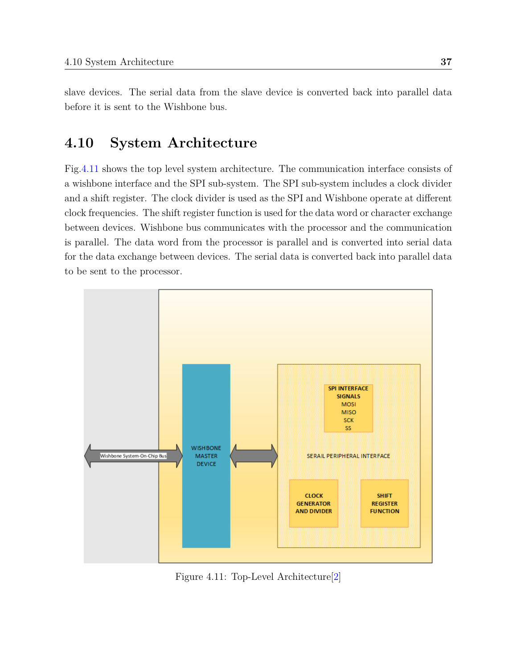slave devices. The serial data from the slave device is converted back into parallel data before it is sent to the Wishbone bus.

# **4.10 System Architecture**

Fig[.4.11](#page-48-0) shows the top level system architecture. The communication interface consists of a wishbone interface and the SPI sub-system. The SPI sub-system includes a clock divider and a shift register. The clock divider is used as the SPI and Wishbone operate at different clock frequencies. The shift register function is used for the data word or character exchange between devices. Wishbone bus communicates with the processor and the communication is parallel. The data word from the processor is parallel and is converted into serial data for the data exchange between devices. The serial data is converted back into parallel data to be sent to the processor.

<span id="page-48-0"></span>

Figure 4.11: Top-Level Architecture[\[2\]](#page-61-2)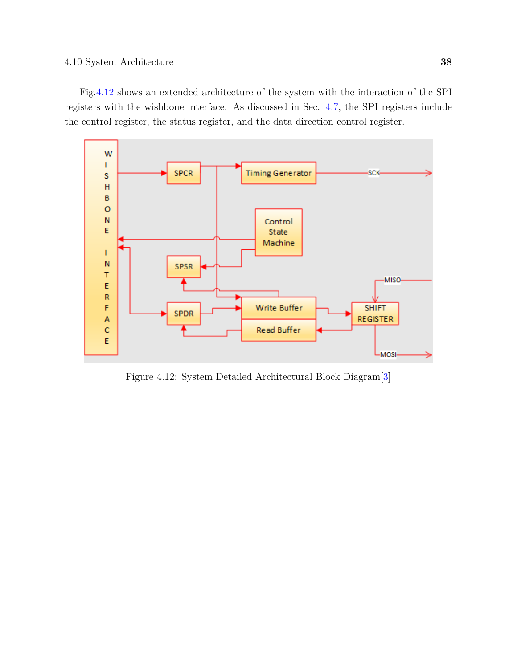Fig[.4.12](#page-49-0) shows an extended architecture of the system with the interaction of the SPI registers with the wishbone interface. As discussed in Sec. [4.7,](#page-41-0) the SPI registers include the control register, the status register, and the data direction control register.

<span id="page-49-0"></span>

Figure 4.12: System Detailed Architectural Block Diagram[\[3\]](#page-61-3)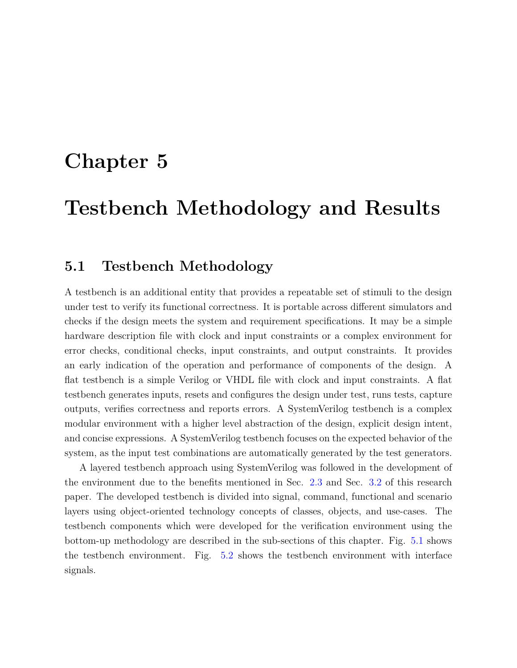# **Chapter 5**

# **Testbench Methodology and Results**

## **5.1 Testbench Methodology**

A testbench is an additional entity that provides a repeatable set of stimuli to the design under test to verify its functional correctness. It is portable across different simulators and checks if the design meets the system and requirement specifications. It may be a simple hardware description file with clock and input constraints or a complex environment for error checks, conditional checks, input constraints, and output constraints. It provides an early indication of the operation and performance of components of the design. A flat testbench is a simple Verilog or VHDL file with clock and input constraints. A flat testbench generates inputs, resets and configures the design under test, runs tests, capture outputs, verifies correctness and reports errors. A SystemVerilog testbench is a complex modular environment with a higher level abstraction of the design, explicit design intent, and concise expressions. A SystemVerilog testbench focuses on the expected behavior of the system, as the input test combinations are automatically generated by the test generators.

A layered testbench approach using SystemVerilog was followed in the development of the environment due to the benefits mentioned in Sec. [2.3](#page-25-0) and Sec. [3.2](#page-29-0) of this research paper. The developed testbench is divided into signal, command, functional and scenario layers using object-oriented technology concepts of classes, objects, and use-cases. The testbench components which were developed for the verification environment using the bottom-up methodology are described in the sub-sections of this chapter. Fig. [5.1](#page-51-0) shows the testbench environment. Fig. [5.2](#page-51-1) shows the testbench environment with interface signals.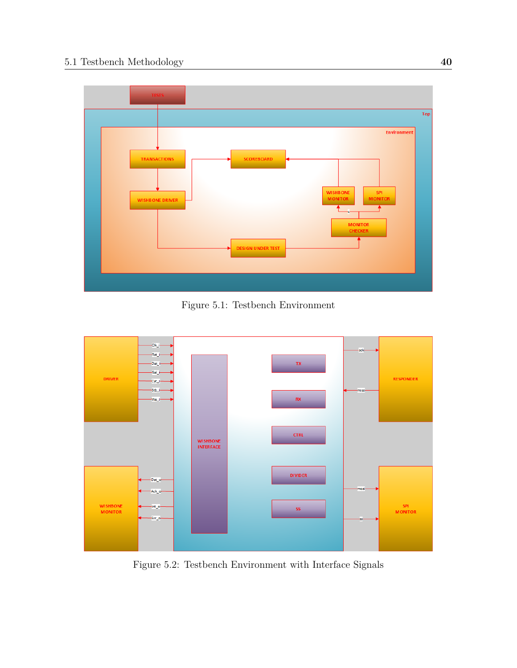<span id="page-51-0"></span>

Figure 5.1: Testbench Environment

<span id="page-51-1"></span>

Figure 5.2: Testbench Environment with Interface Signals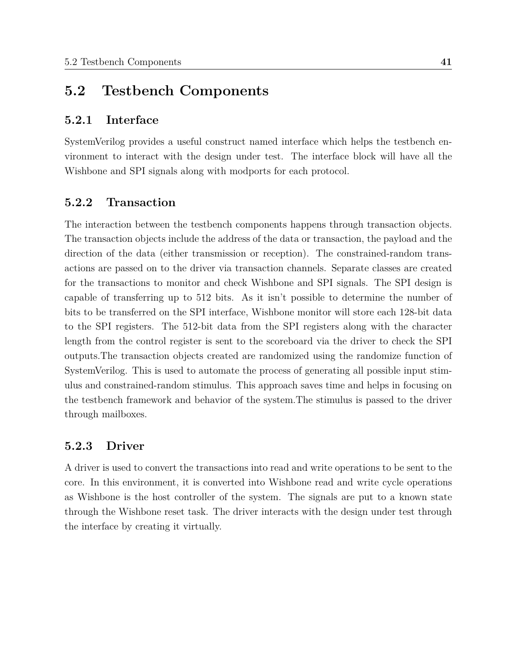## <span id="page-52-0"></span>**5.2 Testbench Components**

#### **5.2.1 Interface**

SystemVerilog provides a useful construct named interface which helps the testbench environment to interact with the design under test. The interface block will have all the Wishbone and SPI signals along with modports for each protocol.

#### **5.2.2 Transaction**

The interaction between the testbench components happens through transaction objects. The transaction objects include the address of the data or transaction, the payload and the direction of the data (either transmission or reception). The constrained-random transactions are passed on to the driver via transaction channels. Separate classes are created for the transactions to monitor and check Wishbone and SPI signals. The SPI design is capable of transferring up to 512 bits. As it isn't possible to determine the number of bits to be transferred on the SPI interface, Wishbone monitor will store each 128-bit data to the SPI registers. The 512-bit data from the SPI registers along with the character length from the control register is sent to the scoreboard via the driver to check the SPI outputs.The transaction objects created are randomized using the randomize function of SystemVerilog. This is used to automate the process of generating all possible input stimulus and constrained-random stimulus. This approach saves time and helps in focusing on the testbench framework and behavior of the system.The stimulus is passed to the driver through mailboxes.

#### **5.2.3 Driver**

A driver is used to convert the transactions into read and write operations to be sent to the core. In this environment, it is converted into Wishbone read and write cycle operations as Wishbone is the host controller of the system. The signals are put to a known state through the Wishbone reset task. The driver interacts with the design under test through the interface by creating it virtually.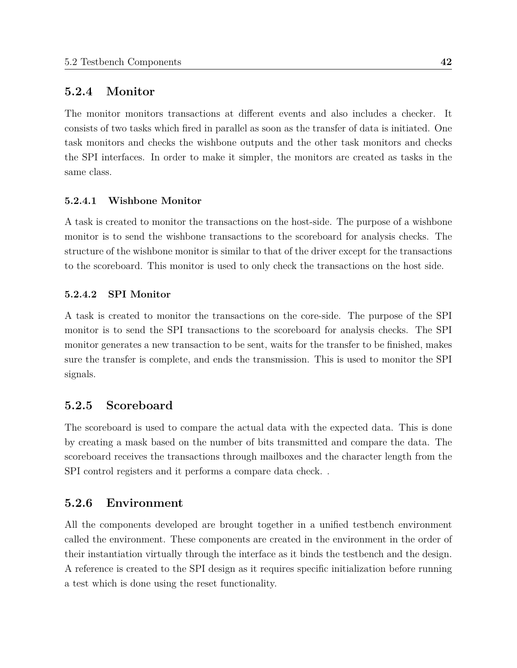## **5.2.4 Monitor**

The monitor monitors transactions at different events and also includes a checker. It consists of two tasks which fired in parallel as soon as the transfer of data is initiated. One task monitors and checks the wishbone outputs and the other task monitors and checks the SPI interfaces. In order to make it simpler, the monitors are created as tasks in the same class.

#### **5.2.4.1 Wishbone Monitor**

A task is created to monitor the transactions on the host-side. The purpose of a wishbone monitor is to send the wishbone transactions to the scoreboard for analysis checks. The structure of the wishbone monitor is similar to that of the driver except for the transactions to the scoreboard. This monitor is used to only check the transactions on the host side.

#### **5.2.4.2 SPI Monitor**

A task is created to monitor the transactions on the core-side. The purpose of the SPI monitor is to send the SPI transactions to the scoreboard for analysis checks. The SPI monitor generates a new transaction to be sent, waits for the transfer to be finished, makes sure the transfer is complete, and ends the transmission. This is used to monitor the SPI signals.

#### **5.2.5 Scoreboard**

The scoreboard is used to compare the actual data with the expected data. This is done by creating a mask based on the number of bits transmitted and compare the data. The scoreboard receives the transactions through mailboxes and the character length from the SPI control registers and it performs a compare data check. .

#### **5.2.6 Environment**

All the components developed are brought together in a unified testbench environment called the environment. These components are created in the environment in the order of their instantiation virtually through the interface as it binds the testbench and the design. A reference is created to the SPI design as it requires specific initialization before running a test which is done using the reset functionality.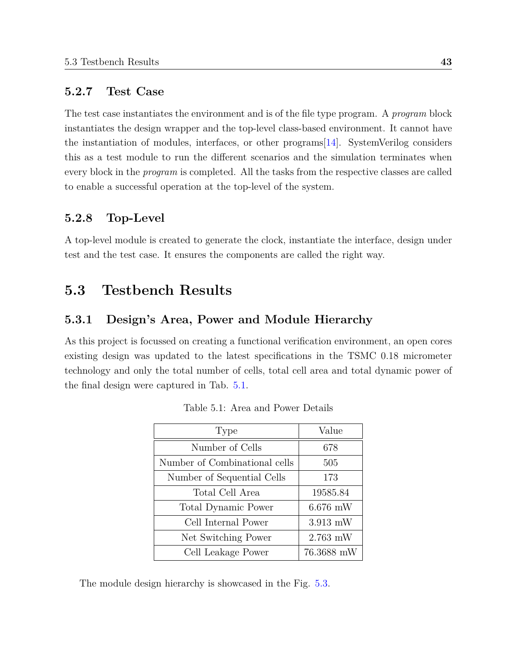#### **5.2.7 Test Case**

The test case instantiates the environment and is of the file type program. A *program* block instantiates the design wrapper and the top-level class-based environment. It cannot have the instantiation of modules, interfaces, or other programs[\[14\]](#page-62-0). SystemVerilog considers this as a test module to run the different scenarios and the simulation terminates when every block in the *program* is completed. All the tasks from the respective classes are called to enable a successful operation at the top-level of the system.

### **5.2.8 Top-Level**

A top-level module is created to generate the clock, instantiate the interface, design under test and the test case. It ensures the components are called the right way.

## **5.3 Testbench Results**

## **5.3.1 Design's Area, Power and Module Hierarchy**

<span id="page-54-0"></span>As this project is focussed on creating a functional verification environment, an open cores existing design was updated to the latest specifications in the TSMC 0.18 micrometer technology and only the total number of cells, total cell area and total dynamic power of the final design were captured in Tab. [5.1.](#page-54-0)

| Type                          | Value      |  |
|-------------------------------|------------|--|
| Number of Cells               | 678        |  |
| Number of Combinational cells | 505        |  |
| Number of Sequential Cells    | 173        |  |
| Total Cell Area               | 19585.84   |  |
| <b>Total Dynamic Power</b>    | $6.676$ mW |  |
| Cell Internal Power           | $3.913$ mW |  |
| Net Switching Power           | $2.763$ mW |  |
| Cell Leakage Power            | 76.3688 mW |  |

Table 5.1: Area and Power Details

The module design hierarchy is showcased in the Fig. [5.3.](#page-55-0)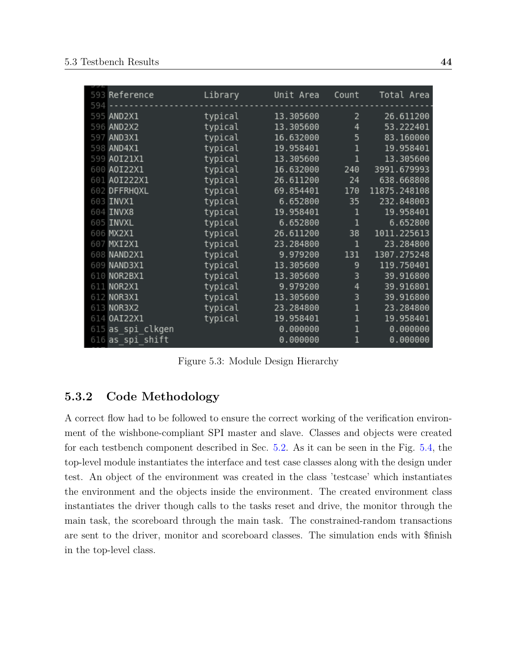<span id="page-55-0"></span>

|     | 593 Reference     | Library | Unit Area | Count        | Total Area   |
|-----|-------------------|---------|-----------|--------------|--------------|
| 594 |                   |         |           |              |              |
|     | 595 AND2X1        | typical | 13.305600 | 2            | 26.611200    |
|     | 596 AND2X2        | typical | 13.305600 | 4            | 53.222401    |
|     | 597 AND3X1        | typical | 16.632000 | 5            | 83.160000    |
|     | 598 AND4X1        | typical | 19.958401 | 1            | 19.958401    |
|     | 599 A0I21X1       | typical | 13.305600 | $\mathbf 1$  | 13.305600    |
|     | 600 A0I22X1       | typical | 16.632000 | 240          | 3991.679993  |
|     | 601 A0I222X1      | typical | 26.611200 | 24           | 638.668808   |
|     | 602 DFFRHQXL      | typical | 69.854401 | 170          | 11875.248108 |
|     | 603 INVX1         | typical | 6.652800  | 35           | 232.848003   |
|     | 604 INVX8         | typical | 19.958401 | 1            | 19.958401    |
|     | 605 INVXL         | typical | 6.652800  | 1            | 6.652800     |
|     | 606 MX2X1         | typical | 26.611200 | 38           | 1011.225613  |
|     | 607 MXI2X1        | typical | 23.284800 | $\mathbf{1}$ | 23.284800    |
|     | 608 NAND2X1       | typical | 9.979200  | 131          | 1307.275248  |
|     | 609 NAND3X1       | typical | 13.305600 | 9            | 119.750401   |
|     | 610 NOR2BX1       | typical | 13.305600 | 3            | 39.916800    |
|     | 611 NOR2X1        | typical | 9.979200  | 4            | 39.916801    |
|     | 612 NOR3X1        | typical | 13.305600 | 3            | 39.916800    |
|     | 613 NOR3X2        | typical | 23.284800 | 1            | 23.284800    |
|     | 614 0AI22X1       | typical | 19.958401 | $\mathbf 1$  | 19.958401    |
|     | 615 as spi clkgen |         | 0.000000  | $\mathbf 1$  | 0.000000     |
|     | 616 as spi shift  |         | 0.000000  | $\mathbf 1$  | 0.000000     |

Figure 5.3: Module Design Hierarchy

## **5.3.2 Code Methodology**

A correct flow had to be followed to ensure the correct working of the verification environment of the wishbone-compliant SPI master and slave. Classes and objects were created for each testbench component described in Sec. [5.2.](#page-52-0) As it can be seen in the Fig. [5.4,](#page-56-0) the top-level module instantiates the interface and test case classes along with the design under test. An object of the environment was created in the class 'testcase' which instantiates the environment and the objects inside the environment. The created environment class instantiates the driver though calls to the tasks reset and drive, the monitor through the main task, the scoreboard through the main task. The constrained-random transactions are sent to the driver, monitor and scoreboard classes. The simulation ends with \$finish in the top-level class.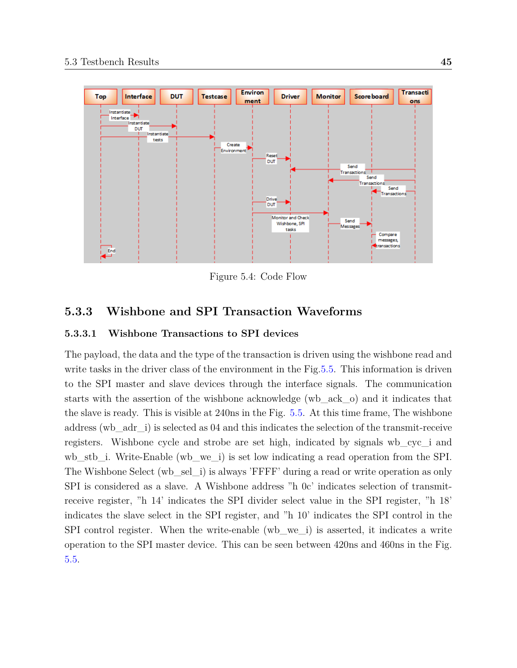<span id="page-56-0"></span>

Figure 5.4: Code Flow

## **5.3.3 Wishbone and SPI Transaction Waveforms**

#### **5.3.3.1 Wishbone Transactions to SPI devices**

The payload, the data and the type of the transaction is driven using the wishbone read and write tasks in the driver class of the environment in the Fig[.5.5.](#page-57-0) This information is driven to the SPI master and slave devices through the interface signals. The communication starts with the assertion of the wishbone acknowledge (wb\_ack\_o) and it indicates that the slave is ready. This is visible at 240ns in the Fig. [5.5.](#page-57-0) At this time frame, The wishbone address (wb\_adr\_i) is selected as 04 and this indicates the selection of the transmit-receive registers. Wishbone cycle and strobe are set high, indicated by signals wb\_cyc\_i and wb\_stb\_i. Write-Enable (wb\_we\_i) is set low indicating a read operation from the SPI. The Wishbone Select (wb\_sel\_i) is always 'FFFF' during a read or write operation as only SPI is considered as a slave. A Wishbone address "h 0c' indicates selection of transmitreceive register, "h 14' indicates the SPI divider select value in the SPI register, "h 18' indicates the slave select in the SPI register, and "h 10' indicates the SPI control in the SPI control register. When the write-enable (wb\_we\_i) is asserted, it indicates a write operation to the SPI master device. This can be seen between 420ns and 460ns in the Fig. [5.5.](#page-57-0)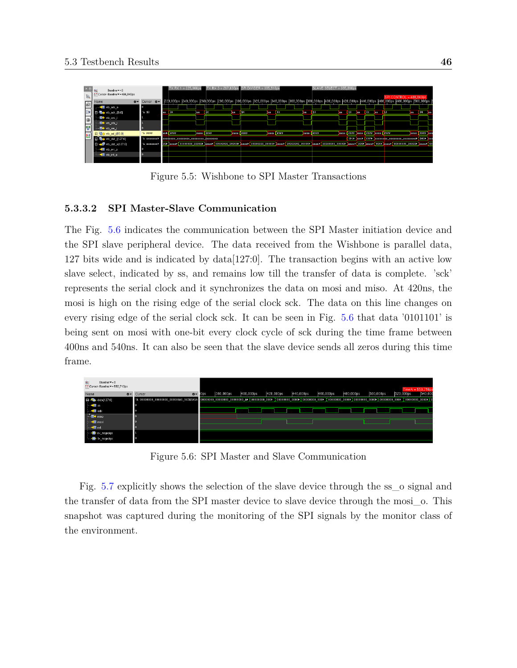<span id="page-57-0"></span>

Figure 5.5: Wishbone to SPI Master Transactions

#### **5.3.3.2 SPI Master-Slave Communication**

The Fig. [5.6](#page-57-1) indicates the communication between the SPI Master initiation device and the SPI slave peripheral device. The data received from the Wishbone is parallel data, 127 bits wide and is indicated by data[127:0]. The transaction begins with an active low slave select, indicated by ss, and remains low till the transfer of data is complete. 'sck' represents the serial clock and it synchronizes the data on mosi and miso. At 420ns, the mosi is high on the rising edge of the serial clock sck. The data on this line changes on every rising edge of the serial clock sck. It can be seen in Fig. [5.6](#page-57-1) that data '0101101' is being sent on mosi with one-bit every clock cycle of sck during the time frame between 400ns and 540ns. It can also be seen that the slave device sends all zeros during this time frame.

<span id="page-57-1"></span>

Figure 5.6: SPI Master and Slave Communication

Fig. [5.7](#page-58-0) explicitly shows the selection of the slave device through the ss\_o signal and the transfer of data from the SPI master device to slave device through the mosi\_o. This snapshot was captured during the monitoring of the SPI signals by the monitor class of the environment.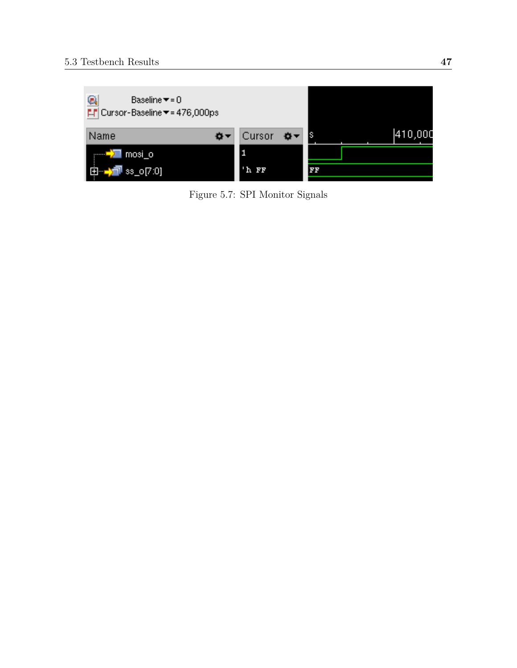<span id="page-58-0"></span>

Figure 5.7: SPI Monitor Signals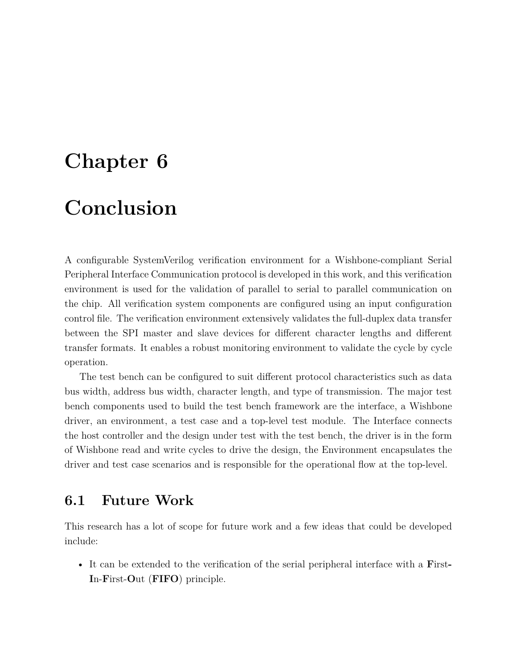# **Chapter 6**

# **Conclusion**

A configurable SystemVerilog verification environment for a Wishbone-compliant Serial Peripheral Interface Communication protocol is developed in this work, and this verification environment is used for the validation of parallel to serial to parallel communication on the chip. All verification system components are configured using an input configuration control file. The verification environment extensively validates the full-duplex data transfer between the SPI master and slave devices for different character lengths and different transfer formats. It enables a robust monitoring environment to validate the cycle by cycle operation.

The test bench can be configured to suit different protocol characteristics such as data bus width, address bus width, character length, and type of transmission. The major test bench components used to build the test bench framework are the interface, a Wishbone driver, an environment, a test case and a top-level test module. The Interface connects the host controller and the design under test with the test bench, the driver is in the form of Wishbone read and write cycles to drive the design, the Environment encapsulates the driver and test case scenarios and is responsible for the operational flow at the top-level.

## **6.1 Future Work**

This research has a lot of scope for future work and a few ideas that could be developed include:

• It can be extended to the verification of the serial peripheral interface with a **F**irst**-I**n-**F**irst-**O**ut (**FIFO**) principle.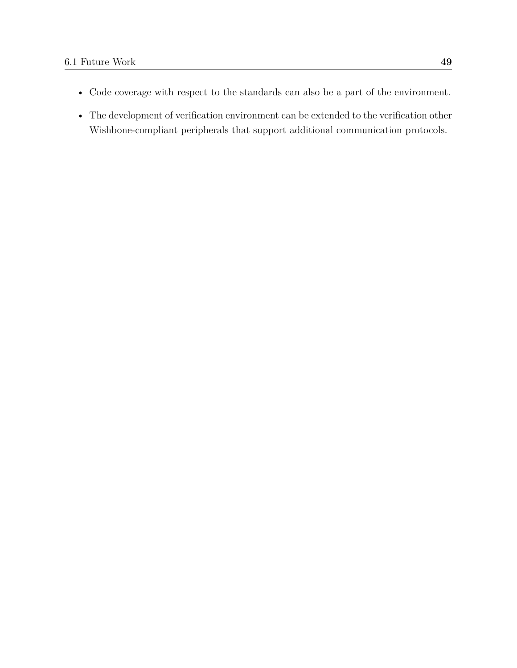- Code coverage with respect to the standards can also be a part of the environment.
- The development of verification environment can be extended to the verification other Wishbone-compliant peripherals that support additional communication protocols.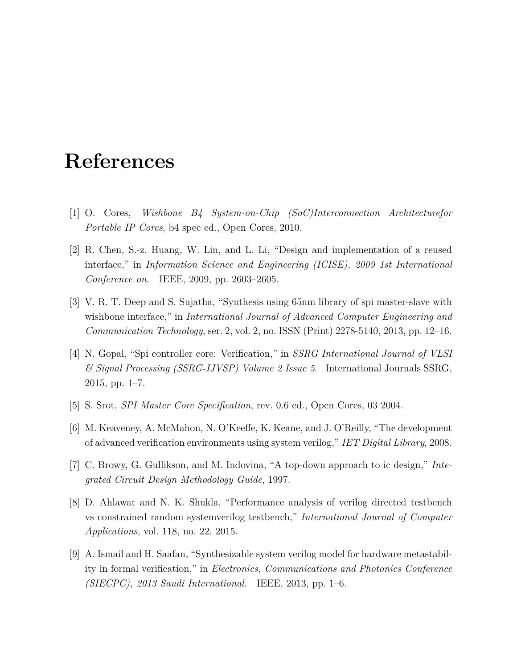# **References**

- <span id="page-61-0"></span>[1] O. Cores, *Wishbone B4 System-on-Chip (SoC)Interconnection Architecturefor Portable IP Cores*, b4 spec ed., Open Cores, 2010.
- <span id="page-61-2"></span>[2] R. Chen, S.-z. Huang, W. Lin, and L. Li, "Design and implementation of a reused interface," in *Information Science and Engineering (ICISE), 2009 1st International Conference on*. IEEE, 2009, pp. 2603–2605.
- <span id="page-61-3"></span>[3] V. R. T. Deep and S. Sujatha, "Synthesis using 65nm library of spi master-slave with wishbone interface," in *International Journal of Advanced Computer Engineering and Communication Technology*, ser. 2, vol. 2, no. ISSN (Print) 2278-5140, 2013, pp. 12–16.
- [4] N. Gopal, "Spi controller core: Verification," in *SSRG International Journal of VLSI & Signal Processing (SSRG-IJVSP) Volume 2 Issue 5*. International Journals SSRG, 2015, pp. 1–7.
- <span id="page-61-1"></span>[5] S. Srot, *SPI Master Core Specification*, rev. 0.6 ed., Open Cores, 03 2004.
- [6] M. Keaveney, A. McMahon, N. O'Keeffe, K. Keane, and J. O'Reilly, "The development of advanced verification environments using system verilog," *IET Digital Library*, 2008.
- [7] C. Browy, G. Gullikson, and M. Indovina, "A top-down approach to ic design," *Integrated Circuit Design Methodology Guide*, 1997.
- [8] D. Ahlawat and N. K. Shukla, "Performance analysis of verilog directed testbench vs constrained random systemverilog testbench," *International Journal of Computer Applications*, vol. 118, no. 22, 2015.
- [9] A. Ismail and H. Saafan, "Synthesizable system verilog model for hardware metastability in formal verification," in *Electronics, Communications and Photonics Conference (SIECPC), 2013 Saudi International*. IEEE, 2013, pp. 1–6.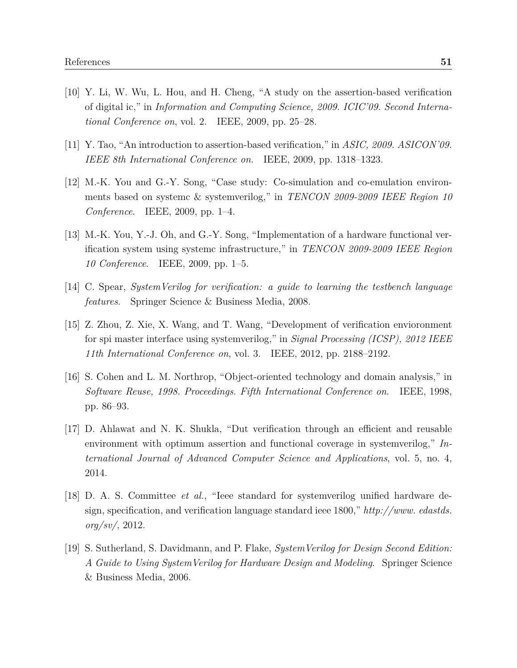- [10] Y. Li, W. Wu, L. Hou, and H. Cheng, "A study on the assertion-based verification of digital ic," in *Information and Computing Science, 2009. ICIC'09. Second International Conference on*, vol. 2. IEEE, 2009, pp. 25–28.
- [11] Y. Tao, "An introduction to assertion-based verification," in *ASIC, 2009. ASICON'09. IEEE 8th International Conference on*. IEEE, 2009, pp. 1318–1323.
- [12] M.-K. You and G.-Y. Song, "Case study: Co-simulation and co-emulation environments based on systemc & systemverilog," in *TENCON 2009-2009 IEEE Region 10 Conference*. IEEE, 2009, pp. 1–4.
- [13] M.-K. You, Y.-J. Oh, and G.-Y. Song, "Implementation of a hardware functional verification system using systemc infrastructure," in *TENCON 2009-2009 IEEE Region 10 Conference*. IEEE, 2009, pp. 1–5.
- <span id="page-62-0"></span>[14] C. Spear, *SystemVerilog for verification: a guide to learning the testbench language features*. Springer Science & Business Media, 2008.
- [15] Z. Zhou, Z. Xie, X. Wang, and T. Wang, "Development of verification envioronment for spi master interface using systemverilog," in *Signal Processing (ICSP), 2012 IEEE 11th International Conference on*, vol. 3. IEEE, 2012, pp. 2188–2192.
- [16] S. Cohen and L. M. Northrop, "Object-oriented technology and domain analysis," in *Software Reuse, 1998. Proceedings. Fifth International Conference on*. IEEE, 1998, pp. 86–93.
- [17] D. Ahlawat and N. K. Shukla, "Dut verification through an efficient and reusable environment with optimum assertion and functional coverage in systemverilog," *International Journal of Advanced Computer Science and Applications*, vol. 5, no. 4, 2014.
- [18] D. A. S. Committee *et al.*, "Ieee standard for systemverilog unified hardware design, specification, and verification language standard ieee 1800," *http://www. edastds. org/sv/*, 2012.
- [19] S. Sutherland, S. Davidmann, and P. Flake, *SystemVerilog for Design Second Edition: A Guide to Using SystemVerilog for Hardware Design and Modeling*. Springer Science & Business Media, 2006.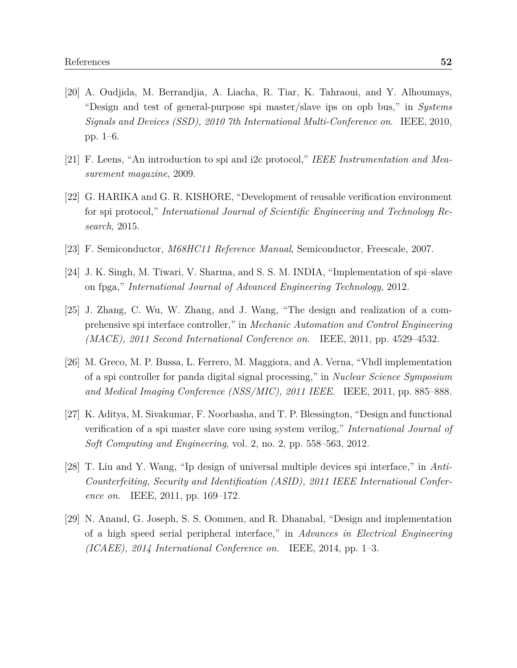- [20] A. Oudjida, M. Berrandjia, A. Liacha, R. Tiar, K. Tahraoui, and Y. Alhoumays, "Design and test of general-purpose spi master/slave ips on opb bus," in *Systems Signals and Devices (SSD), 2010 7th International Multi-Conference on*. IEEE, 2010, pp. 1–6.
- [21] F. Leens, "An introduction to spi and i2c protocol," *IEEE Instrumentation and Measurement magazine*, 2009.
- [22] G. HARIKA and G. R. KISHORE, "Development of reusable verification environment for spi protocol," *International Journal of Scientific Engineering and Technology Research*, 2015.
- <span id="page-63-0"></span>[23] F. Semiconductor, *M68HC11 Reference Manual*, Semiconductor, Freescale, 2007.
- <span id="page-63-1"></span>[24] J. K. Singh, M. Tiwari, V. Sharma, and S. S. M. INDIA, "Implementation of spi–slave on fpga," *International Journal of Advanced Engineering Technology*, 2012.
- <span id="page-63-2"></span>[25] J. Zhang, C. Wu, W. Zhang, and J. Wang, "The design and realization of a comprehensive spi interface controller," in *Mechanic Automation and Control Engineering (MACE), 2011 Second International Conference on*. IEEE, 2011, pp. 4529–4532.
- <span id="page-63-3"></span>[26] M. Greco, M. P. Bussa, L. Ferrero, M. Maggiora, and A. Verna, "Vhdl implementation of a spi controller for panda digital signal processing," in *Nuclear Science Symposium and Medical Imaging Conference (NSS/MIC), 2011 IEEE*. IEEE, 2011, pp. 885–888.
- <span id="page-63-4"></span>[27] K. Aditya, M. Sivakumar, F. Noorbasha, and T. P. Blessington, "Design and functional verification of a spi master slave core using system verilog," *International Journal of Soft Computing and Engineering*, vol. 2, no. 2, pp. 558–563, 2012.
- <span id="page-63-5"></span>[28] T. Liu and Y. Wang, "Ip design of universal multiple devices spi interface," in *Anti-Counterfeiting, Security and Identification (ASID), 2011 IEEE International Conference on*. IEEE, 2011, pp. 169–172.
- <span id="page-63-6"></span>[29] N. Anand, G. Joseph, S. S. Oommen, and R. Dhanabal, "Design and implementation of a high speed serial peripheral interface," in *Advances in Electrical Engineering (ICAEE), 2014 International Conference on*. IEEE, 2014, pp. 1–3.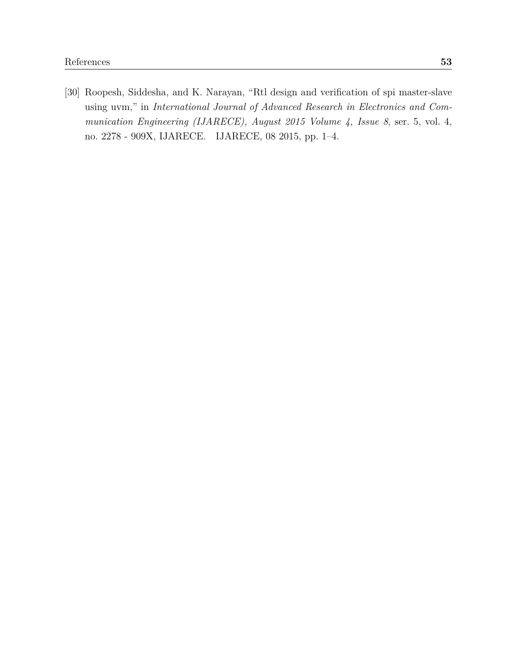<span id="page-64-0"></span>[30] Roopesh, Siddesha, and K. Narayan, "Rtl design and verification of spi master-slave using uvm," in *International Journal of Advanced Research in Electronics and Communication Engineering (IJARECE), August 2015 Volume 4, Issue 8*, ser. 5, vol. 4, no. 2278 - 909X, IJARECE. IJARECE, 08 2015, pp. 1–4.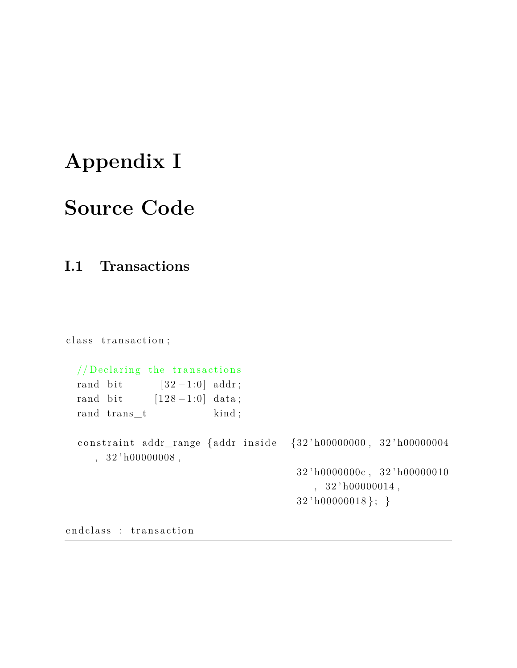# **Appendix I**

# **Source Code**

# **I.1 Transactions**

class transaction;  $//$  Declaring the transactions rand bit  $[32-1:0]$  addr; rand bit  $[128-1:0]$  data; rand trans\_t kind; constraint addr\_range {addr inside {32'h00000000, 32'h00000004  $, 32'h00000008,$ 32 ' h0000000c , 32 ' h00000010  $, 32' h00000014,$ 32 ' h00000018 }; }

end class : transaction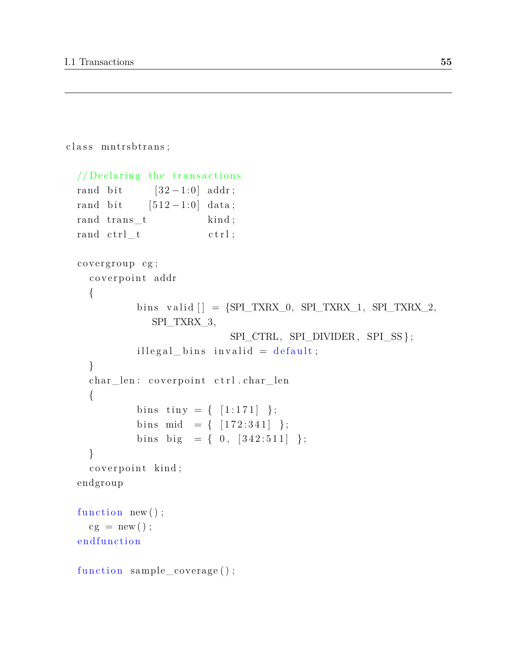```
class mntrsbtrans;
 // Declaring the transactions
 rand bit [32-1:0] addr;
 rand bit [512 - 1:0] data;
 rand trans t kind;
 rand ctrl t ctrl;
  covergroup cg;
    coverpoint addr
    {
            bins valid [\ ] = {\rm SPI\_TXRX\_0, \ SPI\_TXRX\_1, \ SPI\_TXRX\_2, }SPI_TXRX_3,
                            SPI_CTRL, SPI_DIVIDER, SPI_SS };
            illegal bins invalid = default;
    }
    char_len : coverpoint ctrl.char_len
    {
            bins tiny = { [1:171] };
            bins mid = \{ [172:341] \};
            bins big = { 0, [342:511] };
   }
    coverpoint kind;
  endgroup
  function new();
    cg = new();
  endfunction
  function sample_coverage();
```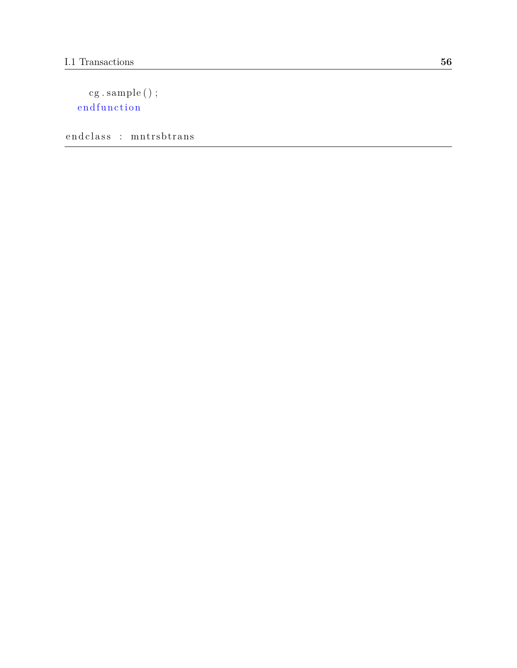```
cg . sample ( ) ;
endfunction
```
end class : mn trsb trans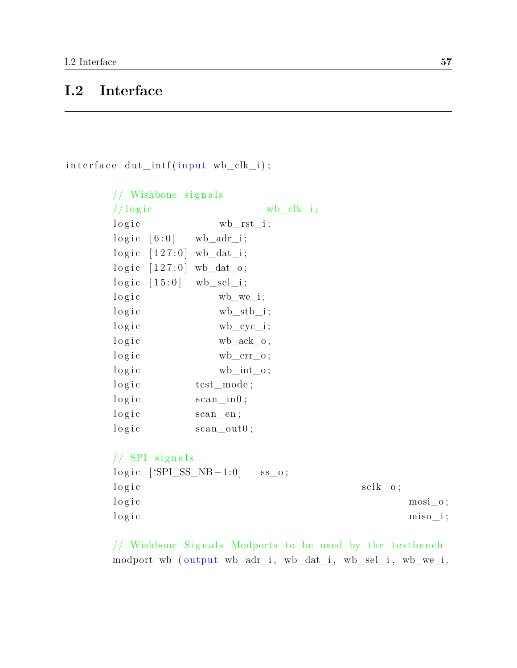# **I.2 Interface**

 $interface \,  $dut\_intf(input \, wb\_clk\_i)$ ;$ 

```
// Wishbone signals
// log i c wb_clk_i;
\log i c wb_rst_i;
\log i c [6:0] wb_adr_i;
\log i c [127:0] wb_dat_i;
\log i c [127:0] wb_dat_o;
logic [15:0] wb_sel_i;
\log i c wb we i;
\log i c wb_stb_i;
\log i c wb_cyc_i;
\log i c wb_ack_o;
l o g i c wb_err_o;
logic wb_int_o;
logic test_mode;
\log i c scan_in0;
logic scan en;
logic scan\_out0;
```
 $//$  SPI signals  $logic$  [ 'SPI\_SS\_NB - 1:0]  $ss\_o$ ;  $\log i \, \text{c}$  sclk\_o;  $\log i \cdot c$  mosi\_o; l o g i c miso\_i ;

 $//$  Wishbone Signals Modports to be used by the testbench modport wb (output wb\_adr\_i, wb\_dat\_i, wb\_sel\_i, wb\_we\_i,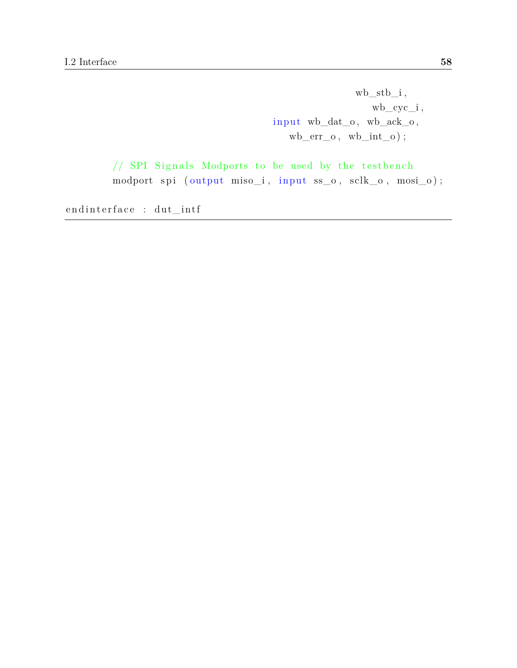$wb\_stb\_i$ , wb\_cyc\_i ,  ${\tt input\ wb\_dat\_o\,},\ {\tt wb\_ack\_o\,},$  $wb\_err\_o$ ,  $wb\_int\_o$  ;

 $//$  SPI Signals Modports to be used by the testbench  $modport$  spi  $(output$   $miso_i$ ,  $input$   $ss_o$ ,  $sclk_o$ ,  $mosi_o$ );

endinterface : dut\_intf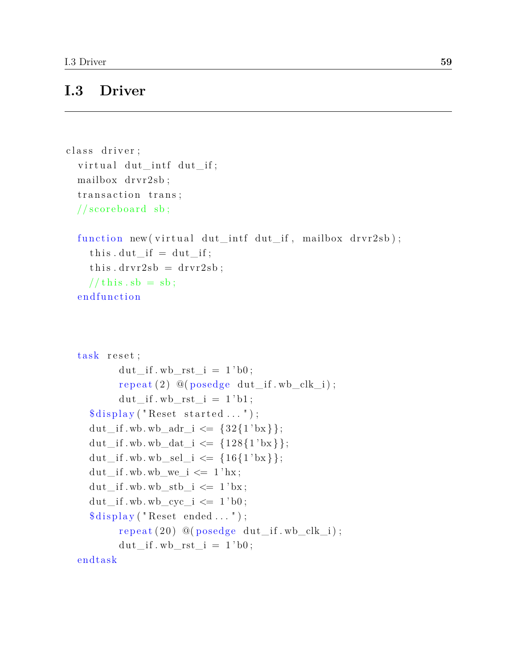# **I.3 Driver**

```
class driver;
  virtual dut intf dut if;
  mailbox drvr2sb;
  transaction trans;
  // scoreboard sb;
  function new (virtual dut_intf dut_if, mailbox drvr2sb);
     this . \, \text{dut\_if} = \, \text{dut\_if};
     this . drvr2sb = drvr2sb;// this.sb = sb;endfunction
  task reset;
           \mathrm{d}u t\_if.wb\_rst\_i = 1'b0;repeated (2) @(posedge du t_i f.wb_clk_i);dut\_if.wb\_rst\_i = 1' b1;\deltadisplay ("Reset started ...");
    dut if \text{wb} wb adr i \leq \{32\{1' bx\} \};dut_if . wb. wb_dat_i <= \{128\{1'bx\}\};dut_if . wb. wb_sel_i <= \{16\{1'bx\}\};\text{dut\_if.wb.wb\_we\_i} \leq 1' \text{hx};
    \mathrm{d}u t\_if. wb. wb_stb_i \leq 1' bx;
    \text{dut\_if.wb. wb\_cyc\_i} \leq 1'b0;
     \delta \text{display} ("Reset ended ...");
           repeat(20) @ (posedge dut_i, wb_clk_i);dut if \text{w}_i rst i = 1 ' b0 ;endtask
```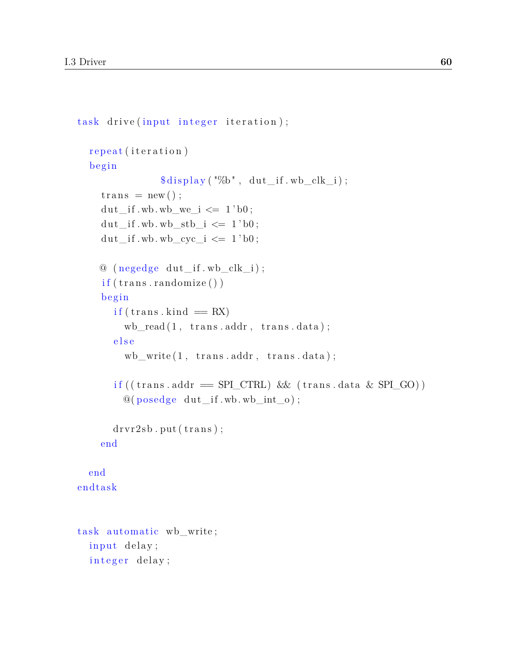```
task drive (input integer iteration);
  repeat (iteration)
  begin
                  \delta \text{display}(\sqrt[m]{b}, \text{dut\_if.wb\_clk_i});trans = new();
     dut if wb. wb we i \leq 1 'b0;
     \text{dut\_if.wb. wb\_stb\_i} \leq 1 \text{ 'b0};\text{dut\_if.wb. wb\_cyc\_i} \leq 1 \text{'b0};@ (negedge du \iota_i f . w b \iota_l k_i ;if (trans.randomize () )b egi n
        if (trans.kind = RX)wb\_read(1, trans.addr, trans.data);e l s e
          wb\_write(1, trans.addr, trans.data);if ((\text{trans}. \text{addr} = \text{SPI\_CTRL}) & (\text{trans}. \text{data} \& \text{SPI}_GO))@( posedge dut_if .wb.wb_int_o );drvr2sb. put (trans);
     end
  end
endtask
task automatic wb_write;
  input delay;
  integer delay;
```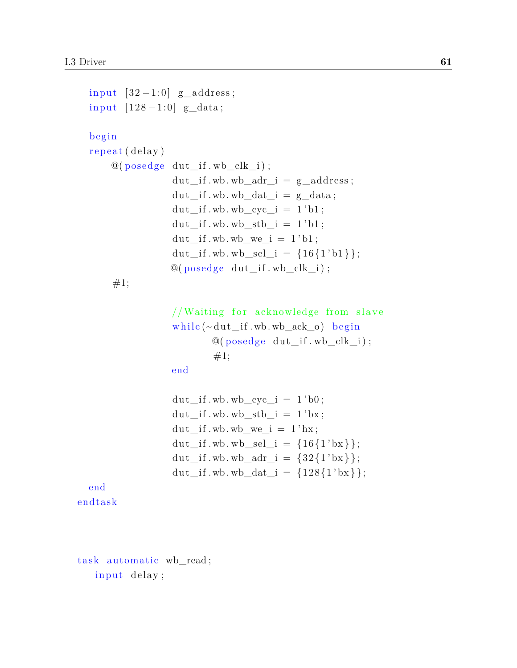```
input [32-1:0] g_address;
  input [128 - 1:0] g_data;
  b egi n
  repeat (delay)
       @( posedge dut_if . wb_clk_i );dut _if . wb. wb_adr_i = g_address;
                     dut if . wb. wb dat i = g data;
                     dut if wb. wb cyc i = 1 ' b1 ;dut if wb. wb stb i = 1 ' b1 ;du t_{i} if . wb. wb_we_i = 1'b1;
                     dut_if . wb. wb_sel_i = \{16\{1' b1\}\};@( posedge dut_if . wb_clk_i );#1;
                     //Waiting for acknowledge from slave
                     while (\sim du t if . wb. wb ack o ) begin
                              \mathcal{Q}(\text{posedge} \text{dut if.wb} \text{clk } i);
                              #1;end
                     dut if wb. wb cyc i = 1 ' b0;
                     \mathrm{d}u\mathrm{t}\_\mathrm{if}. wb. wb_stb_i = 1'bx;
                     \mathrm{d}u\mathrm{t}\_\mathrm{if}. wb. wb_we_i = 1'hx;
                     dut_if . wb. wb_sel_i = \{16\{1'bx\}\};dut if . wb. wb adr i = \{32\{1 ' bx \} \};dut_if . wb. wb_dat_i = \{128\{1'bx\}\};end
endtask
```
task automatic wb\_read; input delay;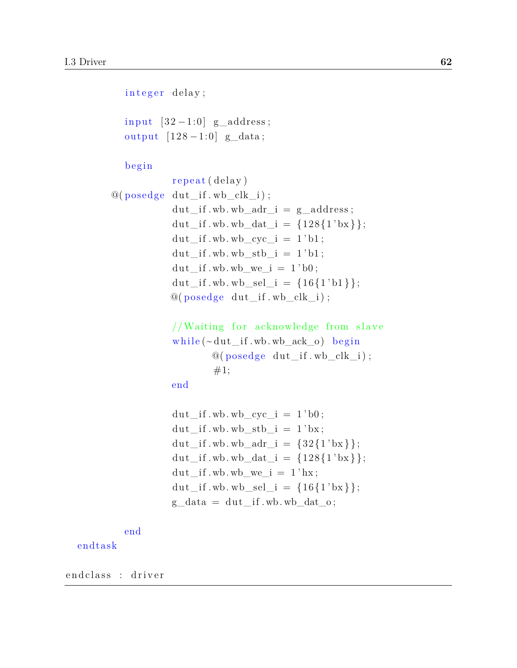```
integer delay;
   input [32-1:0] g_address;
   output [128 - 1:0] g_data;
   begin
             repeat (delay)
@( posedge dut if . wb clk i );dut if . wb. wb adr i = g address;
             dut_if . wb. wb_dat_i = \{128\{1'bx\}\};\text{dut\_if.wb. wb\_cyc\_i} = 1'b1;
             \text{dut\_if.wb.wb\_stb\_i} = 1 \text{ 'b1};\mathrm{d}u\mathrm{t}\_\mathrm{if}. wb. wb_we_i = 1'b0;
             dut _if . wb. wb_sel_i = {16{1'bl}};
             @( posedge dut_if . wb_clk_i );//Waiting for acknowledge from slave
             while (\sim du t if . wb. wb ack o ) begin
                       @( posedge dut_if . wb_clk_i );#1;end
             \mathrm{d}u\mathrm{t}\_\mathrm{if}. wb. wb_cyc_i = 1 'b0;
             \frac{du t_{i} + iv b_{i} w + iv b_{i}}{dt} = 1' bx;
             dut_if . wb. wb_adr_i = {32{1 'bx}} ;
             dut if . wb. wb dat i = \{128\{1 ' bx \} \};dut if w wh we i = 1 ' hx;
             dut_if . wb. wb_sel_i = \{16\{1'bx\}\};g_{\text{data}} = \text{dut\_if.wb.wb\_dat\_o};
```
end

#### endtask

endclass : driver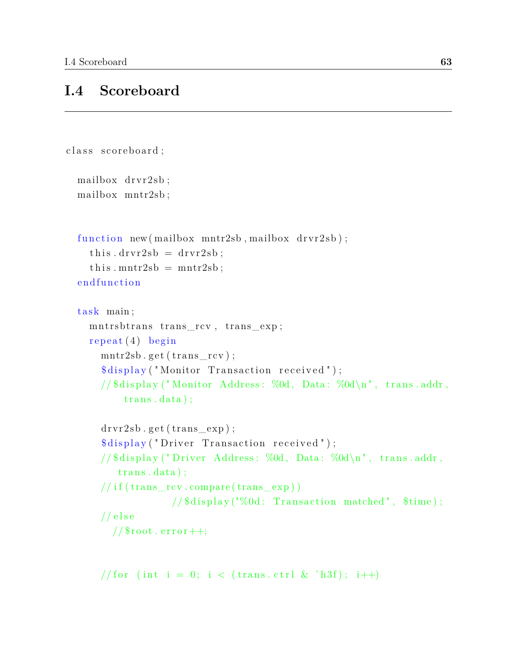#### **I.4 Scoreboard**

```
class scoreboard;
 mailbox drvr2sb;
 mailbox mntr2sb ;
  function new (mailbox mntr2sb, mailbox drvr2sb);
    this . drvr2sb = drvr2sb;
    this . mntr2sb = mntr2sb;
  endfunction
  task main;
    mn t rsb trans_rcv, trans_exp;
    repeated(4)beginmntr2sb. get (trans\_rcv);\deltadisplay ("Monitor Transaction received");
      //\display ("Monitor Address: %0d, Data: %0d\n", trans.addr,
          trans.data ;
      drvr2sb.get(trains-exp);$display ("Driver Transaction received");
      // $display ("Driver Address: %0d, Data: %0d\n", trans.addr,
         trans.data ;
      // if (trans\_rev.\ncompare (trans\_exp))// $display ("%0d: Transaction matched", $time);
      // e l s e
        // $root . error ++;
```
// for (int i = 0; i < (trans.ctrl & 'h3f); i++)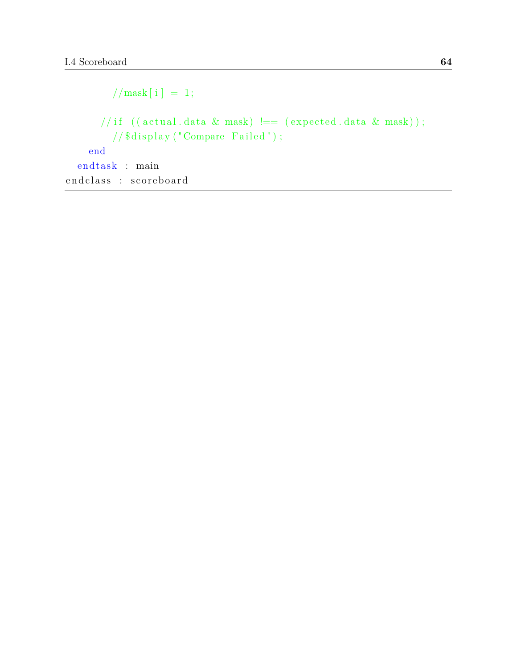$//$ mask [ i ] = 1; //if  $((actual.data & mask) == (expected.data & mask));$  $\frac{1}{8}$  salisplay ("Compare Failed"); end  $end task$  : main end class : scoreboard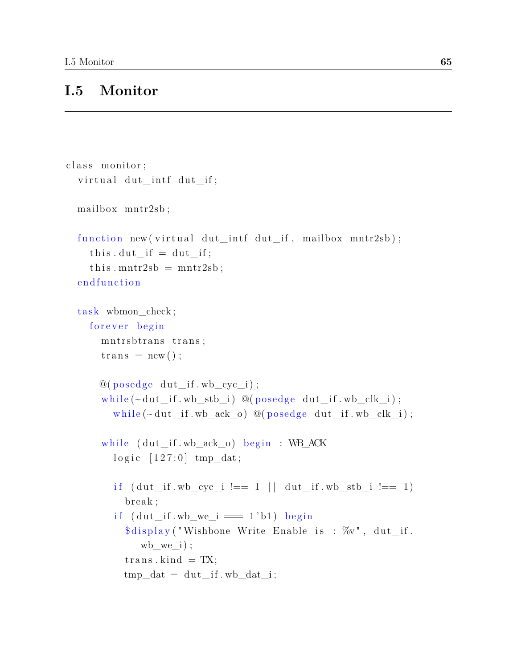## **I.5 Monitor**

```
class monitor;
  virtual dut_intf dut_if;
  mailbox mntr2sb ;
  function new (virtual dut_intf dut_if, mailbox mntr2sb);
     this . \, \text{dut\_if} = \, \text{dut\_if};
     this . mntr2sb = mntr2sb;
  endfunction
  task wbmon_check;
     forever begin
       mntrsbtrans trans;
       trans = new();
       @( posedge dut_if . wb_cyc_i );while (\sim \text{dut\_if.wb\_stb\_i} ) @(posedge dut_if.wb_clk_i);
         while (\sim \text{dut} if . wb ack o ) @( posedge dut if . wb clk i );
       while (du t_i f. w b_a c k_0) begin : WB_ACK
         \log i c [127:0] tmp_dat;
         if (\text{du} t_if \cdot \text{wb}_cyc_i := 1 - 1 \mid \text{du} t_if \cdot \text{wb}_stb_i := 1)break;
          if (du t_if.wb_we_i == 1'b1) begin
            \deltadisplay ("Wishbone Write Enable is : \%v", dut_if.
               wb we i );
            trans. kind = TX;
            tmp_data = dut_if.wb_data_i;
```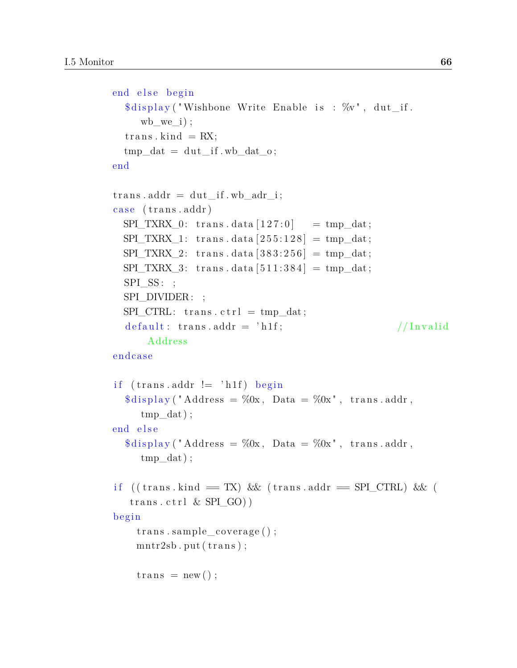```
end else begin
  \deltadisplay ("Wishbone Write Enable is : \%v", dut_if.
     wb we i );
  trans. kind = RX;
  tmp_data = dut_if.wb_data_0;end
trans. addr = dut if . wb adr i;
case (trans.addr)
  SPI_TXRX_0: trans. data [127:0] = tmp_dat;
 SPI_TXRX_1: trans.data [255:128] = \text{tmp_data};SPI_TXRX_2: trans.data [383:256] = tmp_dat;
 SPI_TXRX_3: trans.data [511:384] = tmp_dat;
  SPI\_SS: ;
  SPI_DIVIDER : ;
  SPI_CTRL: trans.ctrl = tmp_dat;
  default: trans.addr = \hat{h}1f; //Invalid
      Address
endca se
if (\text{trans}. \text{addr } != \text{'h1f}) begin
  \deltadisplay ("Address = %0x, Data = %0x", trans.addr,
     tmp_data ;
end else
  \delta \text{display} ("Address = \%0x, Data = \%0x", trans. addr,
     tmp_data ;
if ((trans.kind = TX) \& (trans.addr = SPI_CTRL) \& (trans. c tr1 & SPI_GO)begin
    trans \cdot sample\_coverage();
    mntr2sb. put (trans);trans = new();
```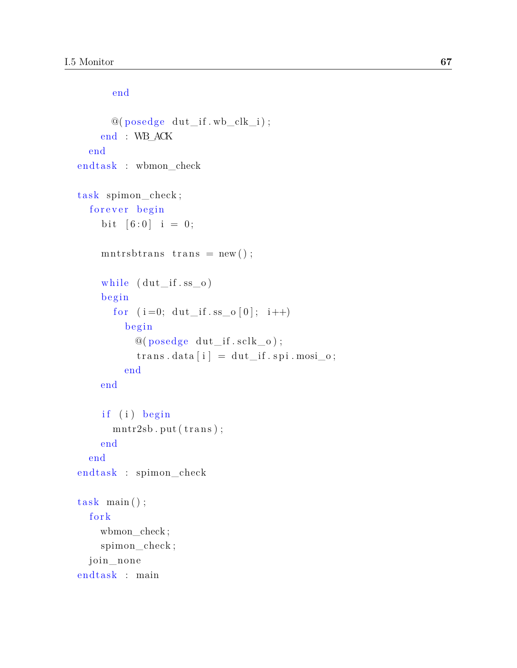```
end
      @( posedge dut_if . wb_clk_i );end : WB_ACK
  end
end task : wbmon_check
task spimon check;
  forever begin
    bit [6:0] i = 0;
    mntr sbtrans trans = new ();
    while (dut_{if.ss_0})begin
       for (i=0; \text{dut}_{i} if ss_{0} [0]; i++)b egi n
           @( posedge dut_if . sclk_o );trans.data[i] = dat\_if.split\_nosi_o;end
    end
    if (i) begin
       mntr2sb. put (trans);end
  end
end task : spimon_check
task \ \ \text{main}();
  fork
    wbmon_check ;
    spimon_check ;
  join_none
end task : main
```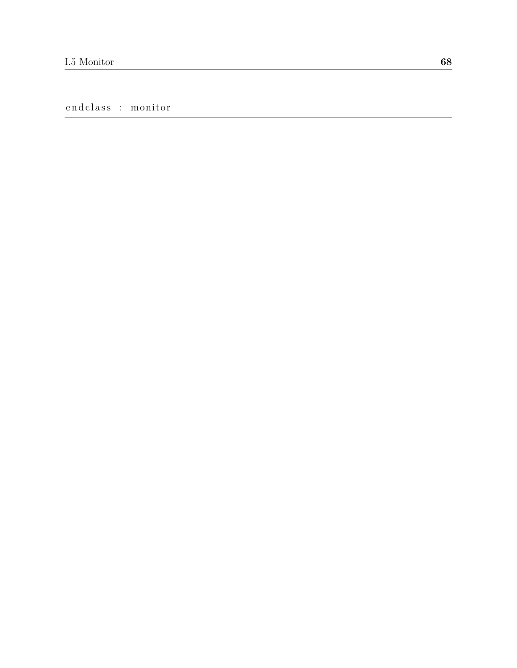endclass : monitor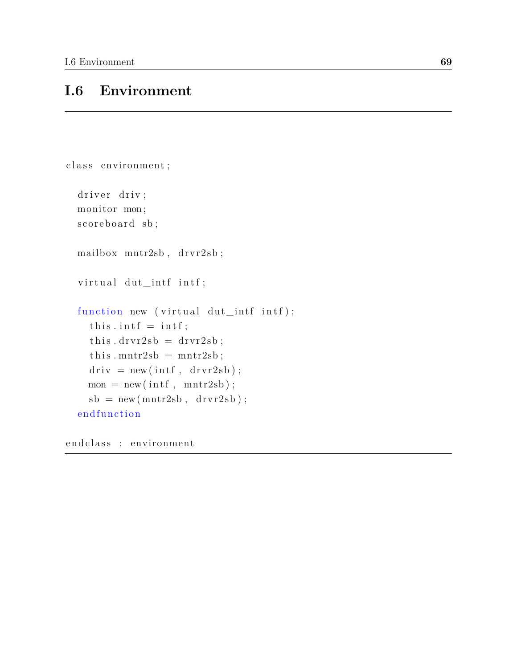## **I.6 Environment**

```
class environment;
  driver driv;
  monitor mon ;
  scoreboard sb;
  mailbox m n r 2 s b, d r v r 2 s b;
  virtual dut_intf intf;
  function new (virtual dut_intf intf);
     this . intf = intf;
     this . drvr2sb = drvr2sb ;this . mntr2sb = mntr2sb;
     driv = new(int, drvr2sb);\label{eq:22} \begin{array}{l} \mathrm{mon}\ =\ \mathrm{new}\big(\,\mathrm{int}\,f\ ,\ \mathrm{mntr2sb}\,\big)\ ; \end{array}sb = new(mntr2sb, drvr2sb);endfunction
```
end class : environment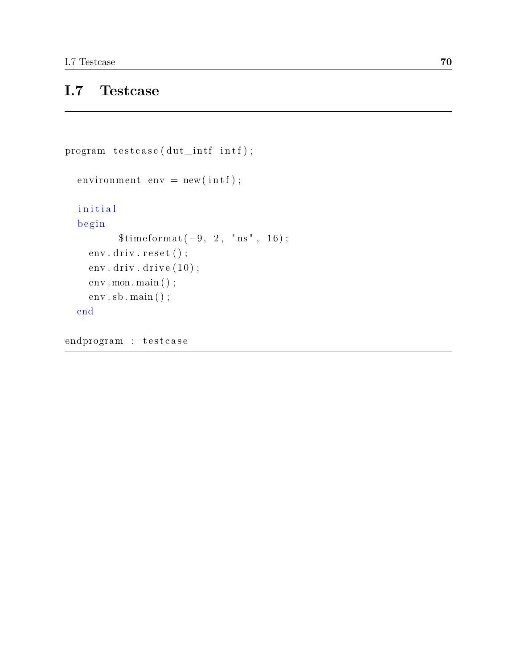# **I.7 Testcase**

```
program testcase (dut_intf intf);
  environment env = new(int);
  in itial
  begin
          $timeformat (-9, 2, "ns", 16);env.driv.reset();
    env. driv. drive (10);
    env.mon.main ();
    env . sb . main ( ) ;
  end
```
endprogram : testcase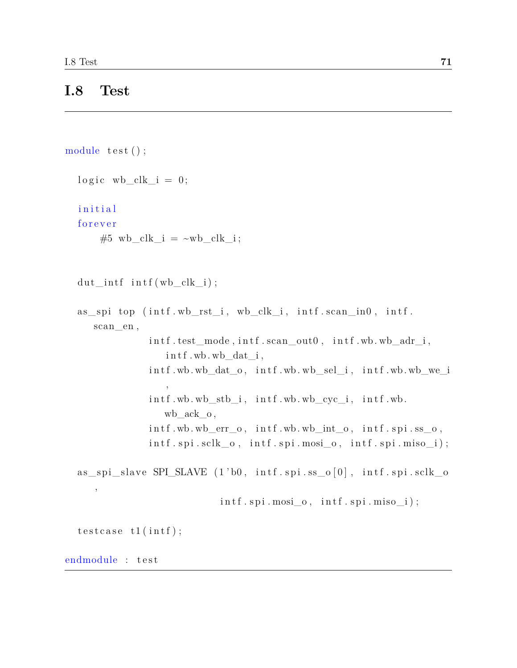#### **I.8 Test**

```
module test ();
     logic wb clk i = 0;
     i n i t i a l
     forever
              #5 wb_clk_i = ~\simwb_clk_i;
     \mathrm{d} u t_{\text{int}} f \text{int} f ( w b_{\text{right}} i );
     as\_ spi top (intf.wb\_rst\_i, wb\_clk\_i, intf.scan\_in0, intf.scan_en,
                                   \int \int \text{dist}_\text{mod}, \int \text{dist}_\text{mod} , \int \text{dist}_\text{mod} , \int \text{dist}_\text{mod} , \int \text{dist}_\text{mod}int f. wb. wb_dat_i,
                                   \int \int \int \text{w} \cdot \text{w} \cdot \text{w} \cdot \text{w} \cdot \text{w} \cdot \text{w} \cdot \text{w} \cdot \text{w} \cdot \text{w} \cdot \text{w} \cdot \text{w} \cdot \text{w} \cdot \text{w} \cdot \text{w} \cdot \text{w} \cdot \text{w} \cdot \text{w} \cdot \text{w} \cdot \text{w} \cdot \text{w} \cdot \text{w} \cdot \text{w} \cdot \text{w} \cdot \text{w} \cdot \text{w} \cdot \text{w} \cdot \text{w} \cdot \text{w} \cdot \text{w} \cdot \text{w} \cdot \text{w,
                                   i n t f . wb. wb_stb_i , i n t f . wb. wb_cyc_i , i n t f . wb.
                                         wb ack o,
                                   \int \int f w dx. wb err o, \int \int f w dx. wb int o, \int \int f u dx in \int f . ss_o,
                                   \text{int } f \text{. spl.} \text{s} \text{ol } k\_o, \text{int } f \text{. spi.} \text{mosi}_o, \text{int } f \text{. spi.} \text{m} iso\text{.} i);
     as\_ spi\_slave SPI\_SLAVE (1'b0, intf.spi.s\_o[0], intf.spi.sclk_o,
                                                                \int \inf f \cdot \text{spin} \cdot \text{mosi}_0, \quad \inf f \cdot \text{spin} \cdot \text{miso}_i ;testcase t1(int);endmodule : test
```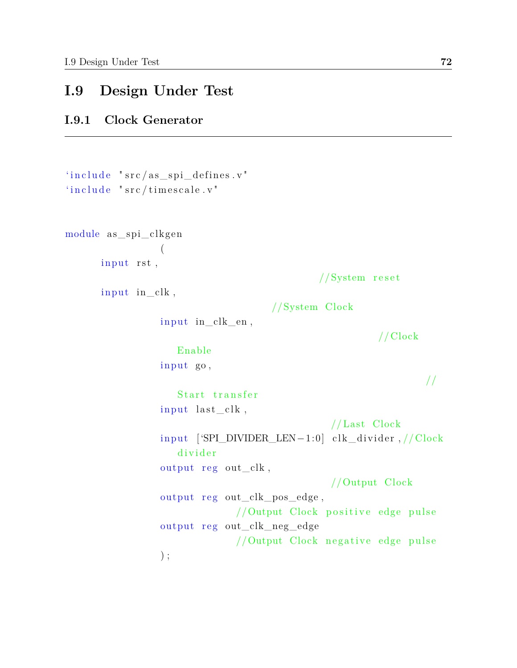## **I.9 Design Under Test**

#### **I.9.1 Clock Generator**

```
'include "src/as\_ spi\_defines.v"'include' "src/time scale.v'module as\_ spi\_clkgen(
      input rst,
                                                // System reset
      input in\vphantom{\ddots} clk,
                                       //System Clock
                  input in clk en,
                                                           // Clock
                     Enable
                  input go,
                                                                    //
                     Start transfer
                  input last_clk,
                                                  // Last Clock
                  input ['SPI_DIVIDER_LEN-1:0] clk_divider, // \text{Clock}divider
                  output reg out_clk,
                                                  //Output Clock
                  output reg out_clk_pos_edge,
                                //Output Clock positive edge pulse
                  output r eg out_clk_neg_edge
                                //Output Clock negative edge pulse
                  ) ;
```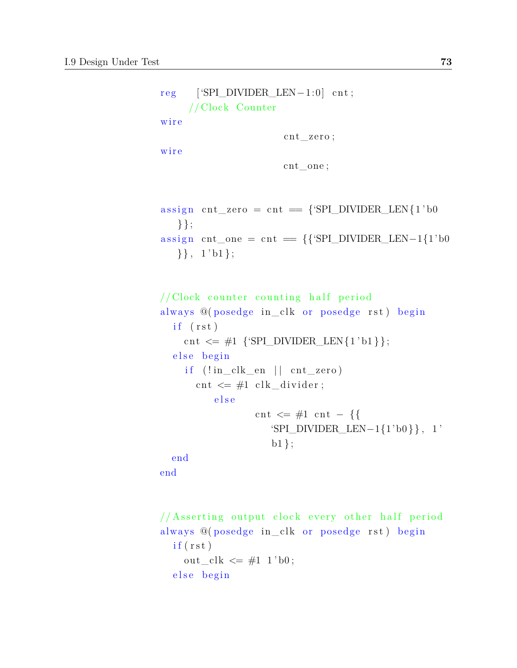```
reg [ 'SPI_DIVIDER_LEN − 1:0] cnt;
     // Clock Counter
wire
                       cnt_zero;
wire
                       cnt_one ;
assign cnt_zero = cnt = {'SPI_DIVIDER_LEN{1'b0
   } };
assign cnt_one = cnt = \{\{\text{`SPI_DIVIDER\_LEN-1}\{1\} \}\}, \; 1 \text{ 'b1};// <b>Clock</b> counter counting half periodalways @(posedge in_clk or posedge rst) begin
  if (rst)cnt \leq #1 {'SPI_DIVIDER_LEN{1'b1}};
  else begin
    if (!in\_clk\_en || cnt\_zero)cnt \leq #1 clk_divider;
          else
                  cnt \leq \#1 cnt - {{
                     'SPI_DIVIDER_LEN−1{1'b0 }} , 1 '
                     b1 };
  end
end
```

```
// Asserting output clock every other half period
always @(posedge in_clk or posedge rst) begin
  if (rst)out\_clk \leq \#1 \; 1 \; bb;else begin
```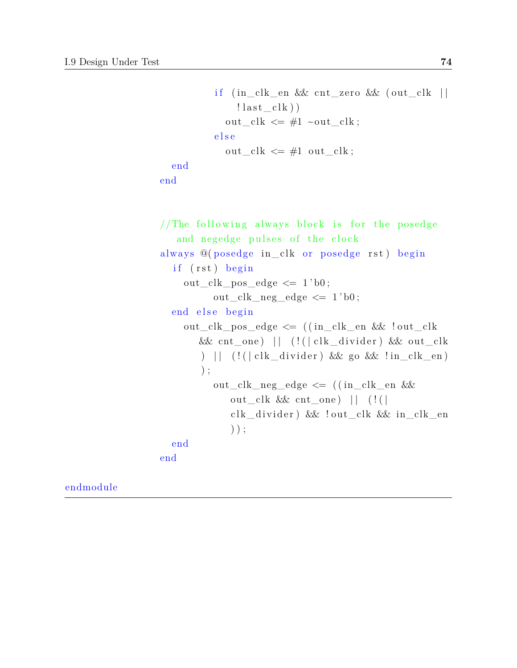```
if (in\_clk\_en \&x \text{ ent\_zero} \&x \text{ (out\_clk } ||)! last _{\rm clk}) )
            out\_clk \leq #1 \sim out\_clk;
          e l s e
            out\_clk \leq #1 out\_clk;end
end
//The following always block is for the posedge
   and negedge pulses of the clock
always @(posedge in_clk or posedge rst) begin
  if (rst) begin
    out_clk_pos_edge \leq 1'b0;
          out_clk_neg_edge \leq 1'b0;
  end else begin
    out_clk_pos_edge <= ( ( in_clk_en && ! out_clk
       & cnt_one) || (||||c| (||d| ivider) & out_clk
       ) | | (!( | clk_divider ) && go && !in_clk_en )
       ) ;
          out_clk_neg_edge \leq ((in_clk_en &&
             out_clk & cnt_one ) || (!(
             clk_divider) && !out_clk && in_clk_en
             ) ) ;
  end
end
```
endmodule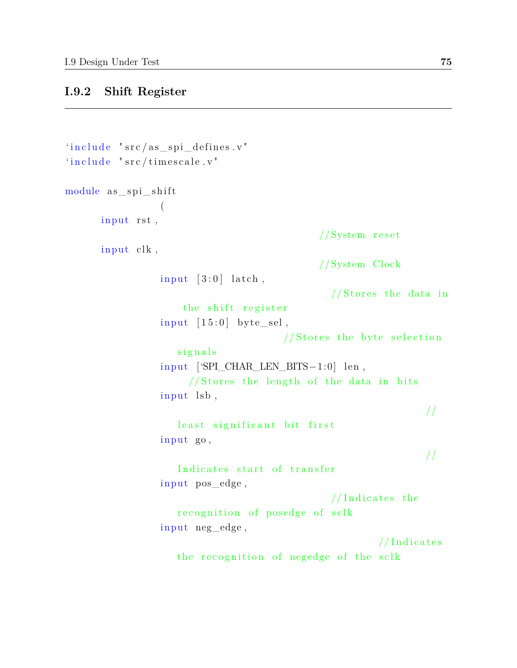#### **I.9.2 Shift Register**

```
'include "src/as\_ spi\_defines.v"'include 'include 'src/time scale.v'module as\_ spi\_shift(
      input rst,
                                                // System resetinput clk,
                                                //System Clock
                  input \quad [3:0] \quad latch,
                                                  // \text{Stores the data in}the shift register
                  input \ [15:0] byte\_sel,// \text{Stores the byte selection}signals
                  input ['SPI CHAR LEN BITS-1:0] len,
                       // Stores the length of the data in bits
                  in put lsb,
                                                                     //
                     least significant bit first
                  input go,
                                                                     //
                     Indicates start of transfer
                  in put pos edge,
                                                  //Indicates therecognition of posedge of sclk
                  in put neg_edge,
                                                            // Indicates
                     the recognition of negedge of the sclk
```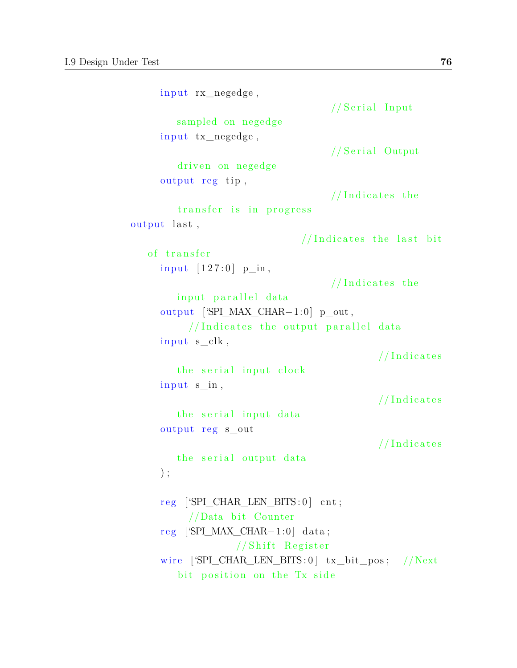```
input rx_negedge,
                                   // Serial Input
        sampled on negedge
     in put tx_negedge,
                                   // Serial Output
        driven on negedge
     output reg tip,
                                   //Indicates thetransfer is in progress
output last,
                              //Indicates the last bitof transfer
     input [127:0] p_in,//Indicates theinput parallel data
     output ['SPI_MAX_CHAR−1:0] p_out ,
          //Indicates the output parallel data
     input s clk,
                                           //Indicates
        the serial input clock
     input s_in,// Indicates
        the serial input data
     output reg s_out
                                           // Indicates
        the serial output data
     ) ;
     reg ['SPI_CHAR_LEN_BITS:0] cnt;
          //Data bit Counter
     r eg ['SPI_MAX_CHAR−1:0] data ;
                  // Shift Register
     wire [SPI_CHAR_LEN_BITS:0] tx_bit_pos; //Next
        bit position on the Tx side
```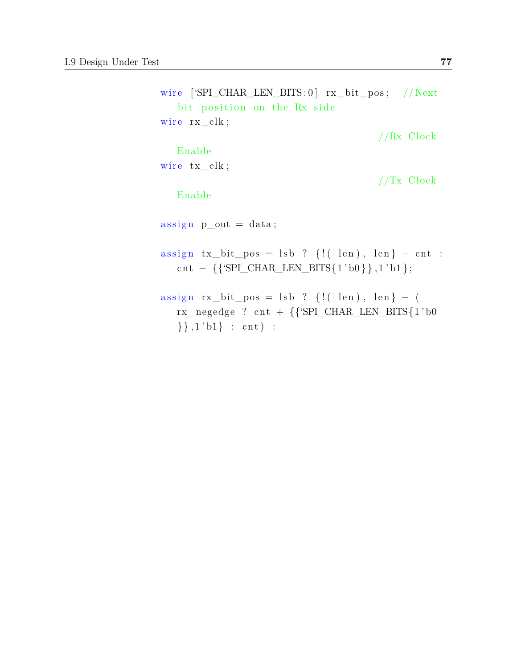```
wire [ 'SPI_CHAR_LEN_BITS : 0 ] rx\_bit\_pos ; //Next
   bit position on the Rx side
wire rx<sub>clk;</sub>
                                                  //Rx Clock
   Enable
wire tx<sub>clk</sub>;
                                                  //Tx Clock
   Enable
\text{assign } p\_out = data;\text{assign tx\_bit\_pos = lsb ? } \{! (\mid \text{len}), \text{ len}\} - \text{cnt :}cnt – {\{\SPI\_CHAR\_LEN\_BITS\{1'bo\}\}\}\, 1'b1 };
\text{assign } rx\_bit\_pos = \text{lsb ? } \{! (|\text{len}), \text{len}\} - (rx\_negedge? cnt + {{'SPI_CHAR_LEN_BITS{1'b0
   \{\},1'b1\} : cnt) :
```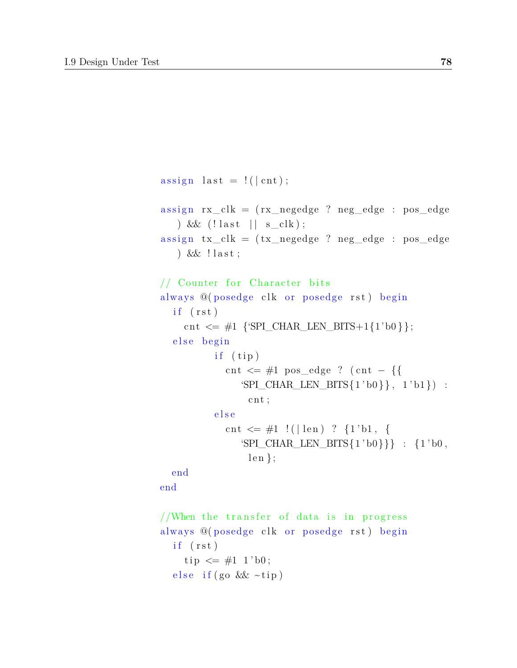```
assign last = ! ( | cnt );
assign rx\_clk = (rx\_negedge ? neg\_edge : pos\_edge) & \ell (! last || s_clk);
assign tx\_clk = (tx\_negedge ? neg\_edge : pos\_edge) &  ! last;
// Counter for Character bits
always @(posedge clk or posedge rst) begin
  if (rst)cnt \leq \#1 {'SPI_CHAR_LEN_BITS+1{1'b0}};
  else begin
          if ( tip)cnt \leq #1 pos_edge ? (cnt – {{
               'SPI_CHAR_LEN_BITS{1 'b0}, 1 'b1} :
                cnt;
          else
            cnt \leq \#1 ! (|len) ? {1'b1, {
               'SPI_CHAR_LEN_BITS\{1'b0\}} : \{1'b0,
                len };
  end
end
//When the transfer of data is in progress
always @(posedge clk or posedge rst) begin
  if (rst)tip \leq #1 \; 1 \; bb;
```

```
e lse if (go & x \sim tip)
```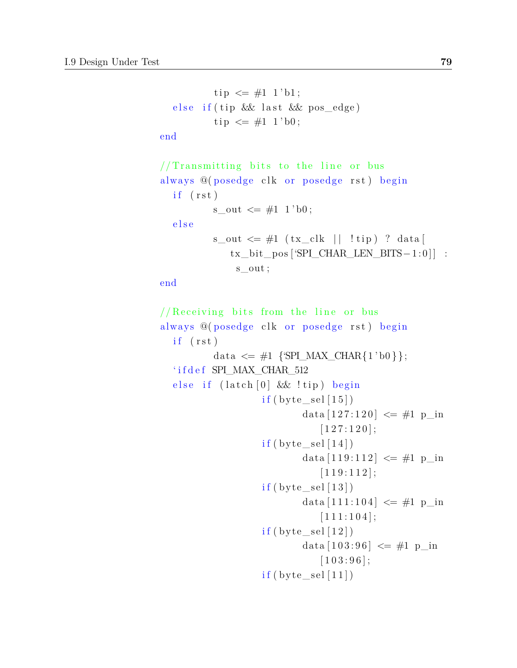```
tip \leq #1 1'bl;else if (tip && last && pos_edge)
           tip \leq #1 \; 1 \; bb;end
// Transmitting bits to the line or busalways @(posedge clk or posedge rst) begin
  if (rst)s out \leq \#1 \; 1' b0;
  e l s e
          s\_{out} \leq \#1 (tx\_{clk} | !tip) ? data [
              tx_bit_pos ['SPI_CHAR_LEN_BITS−1 : 0 ] ] :
               s_out ;
end
// Receiving bits from the line or busalways @(posedge clk or posedge rst) begin
  if (rst)data \leq \#1 \; \{ \text{SPI\_MAX\_CHAR} \{ 1 \text{ 'b0} \} \};' i f d e f SPI_MAX_CHAR_512
  else if (latch [0] & \& \& Itip) begin
                     if (byte\_sel [15])data [127:120] \leq #1 p_in[1 2 7 : 1 2 0];if (byte\_sel[14])data [119:112] \leq #1 p in
                                 [1 1 9 : 1 1 2];if (byte\_sel [13])data [111:104] \leq #1 p_in[1 1 1 1 1 0 4];if (byte\_sel [12])data [103:96] \leq #1 \text{ p} in
                                 [1 0 3 : 9 6];if (byte\_sel [11])
```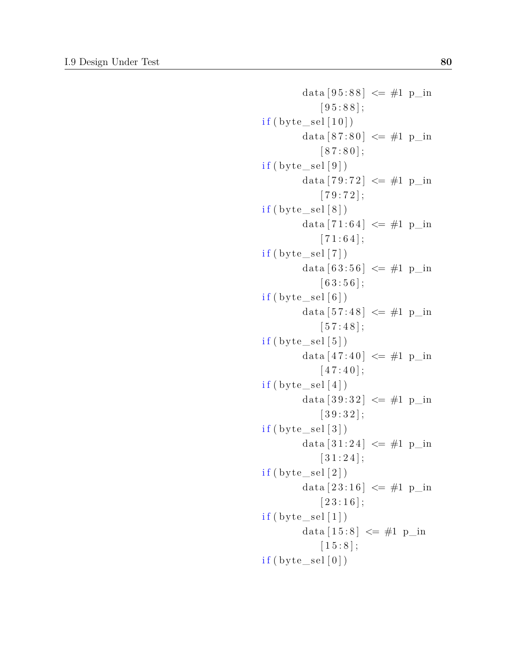```
data [95:88] \leq #1 \text{ p_in}[95:88];
if (byte\_sel [10])data [87:80] \leq #1 \text{ p} in
             [ 87 : 80 ];
if (byte\_sel [9])data [79:72] \leq #1 \text{ p_in}[79:72];
if (byte \, sel [8])data [71:64] \leq #1 \text{ p_in}[71:64];
if (byte\_sel [7])data [63:56] \leq #1 \text{ p_in}[63:56];
if (byte\_sel [6])data [57:48] \leq #1 \text{ p} in
             [57:48];
if (byte \, sel [5])data [47:40] \leq #1 \text{ p} in
            [47:40];
if (byte\_sel[4])data [39:32] \leq #1 \text{ p} in
             [39:32];
if (byte\_sel [3])data [31:24] \leq #1 \text{ p} in
             [31:24];
if (byte\_sel [2])data [23:16] \leq #1 \text{ p_in}[23:16];
if (byte\_sel [1])data [15:8] \leq #1 \text{ p} in
             [1 5 : 8];
if (byte\_sel[0])
```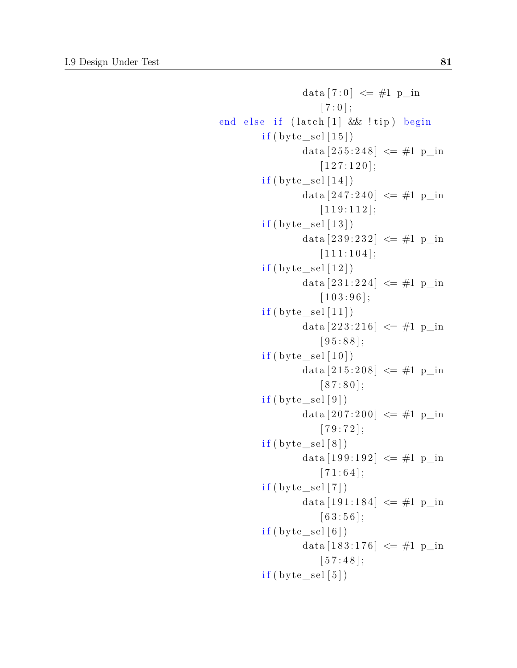```
data [7:0] \leq \#1 p_in
                      [7:0];
end else if (latch [1] & !tip) begin
         if (byte\_sel [15])data [255:248] \leq #1 \text{ p_in}[1 2 7 : 1 2 0];if (byte\_sel [14])data [247:240] \leq #1 \text{ p} in
                      [1 1 9 : 1 1 2];if (byte\_sel [13])data [239:232] \leq #1 \text{ p}_\text{in}[1 1 1 1 1 0 4];if (byte\_sel [12])data [231:224] \leq #1 \text{ p} in
                      [1 0 3 : 9 6];
         if (byte\_sel [11])data [223:216] \leq #1 \text{ p} in
                      [95:88];
         if (byte\_sel [10])data [215:208] \leq #1 \text{ p_in}[ 87 : 80 ];
         if (byte\_sel [9])data [207:200] \leq #1 \text{ p_in}[79:72];
         if (byte\_sel [8])data [199:192] \leq #1 \text{ p} in
                      [71:64];
         if (byte\_sel [7])data [191:184] \leq #1 p_in[63:56];
         if (byte\_sel [6])data [183:176] \leq #1 p_in[57:48];
         if (byte\_sel [5])
```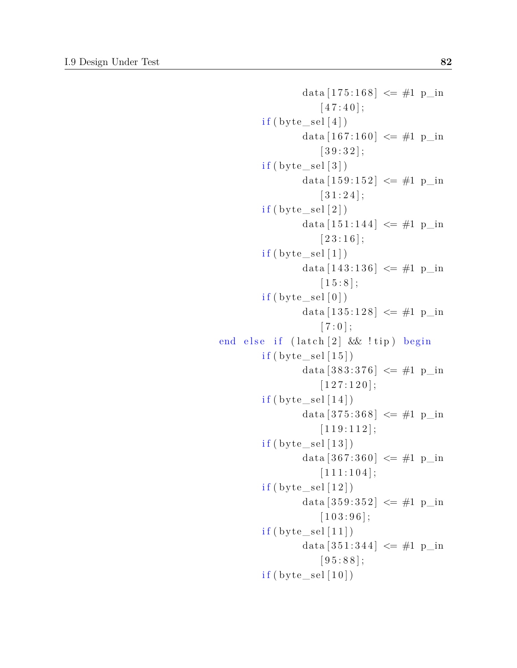```
data [175:168] \leq #1 p_in[47:40];
        if (byte\_sel[4])data [167:160] \leq #1 p_in[39:32];
        if (byte\_sel [3])data [159:152] \leq #1 \text{ p_in}[31:24];
        if (byte \, sel [2])data [151:144] \leq #1 p_in[23:16];
        if (byte\_sel [1])data [143:136] \leq #1 p_in[1 5 : 8];if (byte\_sel [0])data [135:128] \leq #1 \text{ p_in}[7:0];
end else if (latch [2] & !tip) begin
        if (byte\_sel[15])data [383:376] \leq #1 \text{ p_in}[1 2 7 : 1 2 0];if (byte\_sel [14])data [375:368] \leq #1 p_in
                    [1 1 9 : 1 1 2];if (byte\_sel[13])data [367:360] \leq #1 p_in
                    [1 1 1 1 1 0 4];if (byte\_sel [12])data [359:352] \leq #1 \text{ p}_\text{in}[1 0 3 : 9 6];if (byte\_sel [11])data [351:344] \leq #1 p_in[95:88];
        if (byte\_sel [10])
```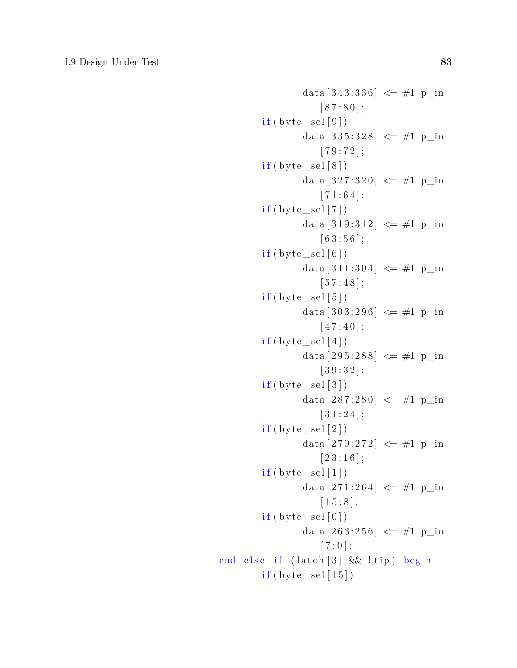```
data [343:336] \leq #1 \text{ p_in}[ 87 : 80 ];
         if (byte\_sel [9])data [335:328] \leq #1 \text{ p}_\text{in}[79:72];
         if (byte\_sel [8])data [327:320] \leq #1 \text{ p_in}[71:64];
         if (byte \, sel [7])data [319:312] \leq #1 p_in[63:56];
         if (byte\_sel [6])data [311:304] \leq #1 p_in[57:48];
         if (byte\_sel [5])data [303:296] \leq #1 \text{ p} in
                     [47:40];
         if (byte\_sel[4])data [295:288] \leq #1 \text{ p_in}[39:32];
         if (byte\_sel [3])data [287:280] \leq #1 \text{ p} in
                     [31:24];
         if (byte\_sel [2])data [279:272] \leq #1 \text{ p} in
                     [23:16];
         if (byte\_sel [1])data [271:264] \leq #1 \text{ p_in}[1 5 : 8];if (byte\_sel [0])data [263:256] \leq #1 \text{ p_in}[7:0];
end else if (latch [3] & !tip) begin
         if (byte\_sel [15])
```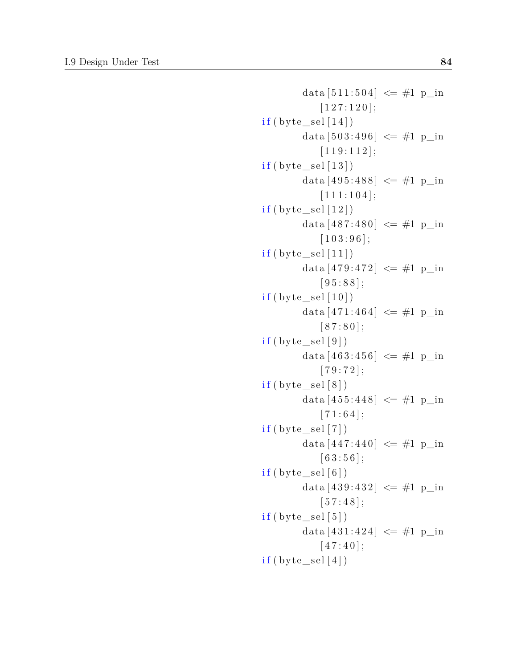```
data [511:504] \leq #1 p_in[1 2 7 : 1 2 0];if (byte\_sel [14])data [503:496] \leq #1 \text{ p} in
             [1 1 9 : 1 1 2];if (byte\_sel [13])data [495:488] \leq #1 \text{ p_in}[1 1 1 1 1 0 4];if (byte \, sel [12])data [487:480] \leq #1 \text{ p_in}[1 0 3 : 9 6];if (byte\_sel [11])data [479:472] \leq #1 \text{ p_in}[95:88];
if (byte\_sel [10])data [471:464] \leq #1 \text{ p} in
             [87:80];
if (byte \, sel [9])data [463:456] \leq #1 \text{ p}_in[79:72];
if (byte\_sel [8])data [455:448] \leq #1 \text{ p} in
             [71:64];
if (byte\_sel [7])data [447:440] \leq #1 \text{ p} in
             [63:56];
if (byte\_sel [6])data [439:432] \leq #1 \text{ p}_\text{in}[57:48];
if (byte\_sel [5])data [431:424] \leq #1 \text{ p} in
             [47:40];
if (byte\_sel[4])
```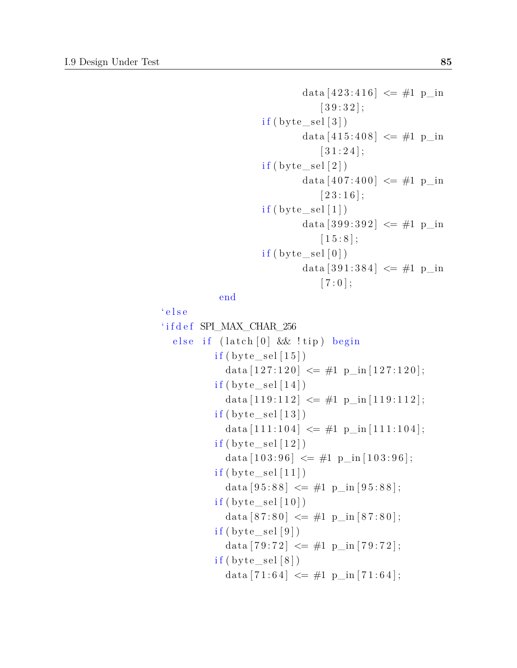```
data [423:416] \leq #1 \text{ p}_\text{in}[39:32];
if (byte\_sel [3])data [415:408] \leq #1 p_in[31:24];
if (byte\_sel [2])data [407:400] \leq #1 p_in[23:16];
if (byte \, sel [1])data [399:392] \leq #1 p_in
           [1 5 : 8];if (byte\_sel [0])data [391:384] \leq #1 p_in
            [7:0];
```
end

```
' e l s e
' i f d e f SPI_MAX_CHAR_256
  else if (\text{latch} [0] \&\& !\text{tip}) begin
           if (byte\_sel [15])data [127:120] \leq #1 \text{ p_in} [127:120];if (byte\_sel [14])data [119:112] \leq #1 \text{ p_in} [119:112];if (byte\_sel [13])data [111:104] \leq \#1 p_in [111:104];
           if (byte\_sel [12])data [103:96] \leq #1 \text{ p_in} [103:96];if (byte\_sel[11])data [95:88] \leq #1 \text{ p_in} [95:88];if (byte \, sel [10])data [87:80] \leq \#1 p_in [87:80];
           if (byte\_sel [9])data [79:72] \leq #1 \text{ p_in} [79:72];if (byte\_sel [8])data [71:64] \leq #1 \text{ p} \text{ in } [71:64];
```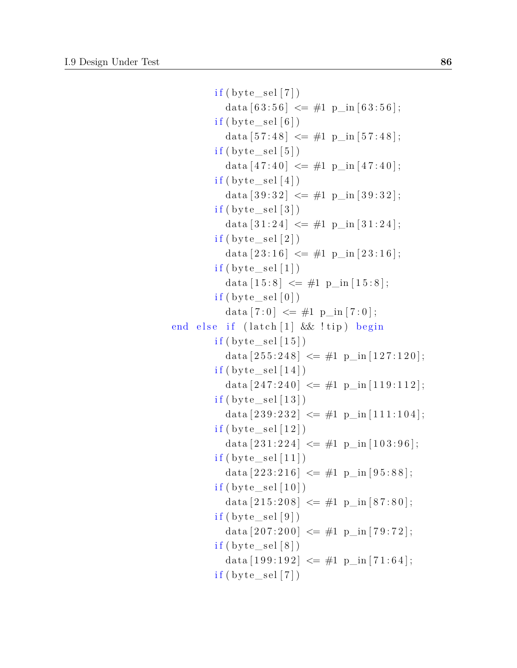```
if (byte\_sel [7])data [63:56] \leq #1 \text{ p_in} [63:56];if (byte\_sel [6])data [57:48] \leq #1 \text{ p_in} [57:48];if (byte\_sel [5])data [47:40] \leq #1 \text{ p} in [47:40];
          if (byte\_sel [4])data [39:32] \leq #1 \text{ p in } [39:32];
          if (byte \, sel [3])data [31:24] \leq \#1 p_in [31:24];
          if (byte\_sel [2])data [23:16] \leq #1 \text{ p_in} [23:16];if (byte\_sel [1])data \begin{bmatrix} 15.8 \end{bmatrix} \leq \#1 \text{ p} \text{ in } \begin{bmatrix} 15.8 \end{bmatrix};if (byte\_sel [0])data [7:0] \leq \#1 \text{ p_in} [7:0];end else if (latch [1] & tip) begin
          if (byte\_sel [15])data [255:248] \leq #1 \text{ p_in} [127:120];if (byte\_sel [14])data [247:240] \leq #1 \text{ p} \text{ in } [119:112];if (byte\_sel [13])data [239:232] \leq #1 \text{ p_in}[111:104];if (byte\_sel [12])data [231:224] \leq #1 p_in [103:96];if (byte\_sel[11])data [223:216] \leq #1 \text{ p_in} [95:88];if (byte\_sel [10])data [215:208] \leq #1 \text{ p_in} [87:80];if (byte\_sel [9])data [207:200] \leq #1 \text{ p} \text{ in } [79:72];if (byte\_sel [8])data [199:192] \leq #1 \text{ p_in} [71:64];if (byte\_sel [7])
```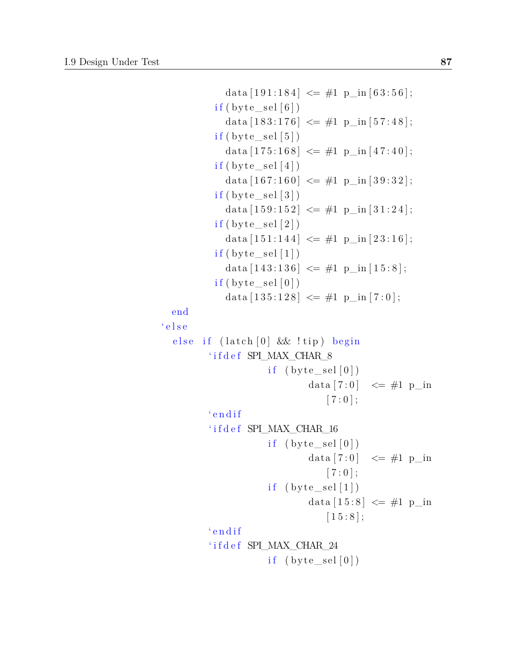```
data [191:184] \leq \#1 p_in [63:56];
            if (byte\_sel [6])data [183:176] \leq #1 \text{ p_in} [57:48];if (byte\_sel [5])data [175:168] \leq \#1 \text{ p_in} [47:40];if (byte\_sel [4])data [167:160] \leq #1 \text{ p_in} [39:32];if (byte \; sel [3])data [159:152] \leq #1 \text{ p in } [31:24];
            if (byte\_sel [2])data [151:144] \leq #1 \text{ p}_in [23:16];if (byte\_sel [1])data [143:136] \leq #1 \text{ p_in} [15:8];if (byte\_sel [0])data [135:128] \leq #1 \text{ p_in} [7:0];end
' e l s e
  else if (latch [0] & \& \& Itip) begin
          ' i f d e f SPI_MAX_CHAR_8
                        if (byte\_sel[0])data [7:0] \leq \#1 p_in
                                     [7:0];
          ' endif
          ' i f d e f SPI_MAX_CHAR_16
                        if (\text{byte\_sel}[0])data [7:0] \leq \text{\#1 p} in
                                    [7:0];
                        if (\text{byte\_sel}[1])data [15:8] \leq #1 \text{ p_in}[1 5 : 8];' e n d i f
          i i f d e f SPI_MAX_CHAR_24
                        if (\text{byte\_sel}[0])
```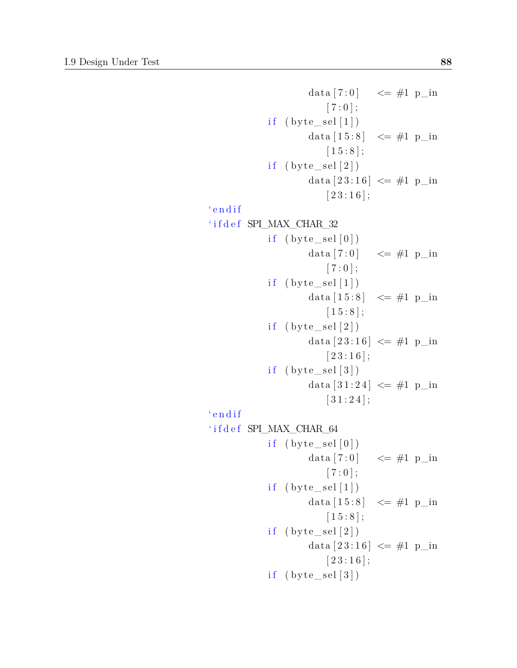```
data [7:0] \leq #1 p_in
                          [ 7 : 0 ];
             if (byte\_sel[1])data [15:8] \leq #1 \text{ p_in}[1 5 : 8];if (\text{byte\_sel} [2])data [23:16] \leq #1 \text{ p_in}[23:16];
' e n d i f
' i f d e f SPI_MAX_CHAR_32
             if (byte\_sel[0])data [7:0] \leq \#1 p_in
                          [ 7 : 0 ];
             if (\text{byte\_sel}[1])data [15:8] \leq #1 \text{ p} in
                          [1 5 : 8];if (\text{byte} \text{sel} [2])data [23:16] \leq #1 \text{ p} in
                          [23:16];
             if (\text{byte\_sel}[3])data [31:24] \leq #1 \text{ p} in
                          [31:24];
' endif
' i f d e f SPI_MAX_CHAR_64
             if (\text{byte\_sel}[0])data [7:0] \leq \#1 p_in
                          [ 7 : 0 ];
             if (\text{byte\_sel}[1])data [15:8] \leq #1 p_in
                         [1 5 : 8];
             if (\text{byte\_sel} [2])data [23:16] \leq #1 \text{ p_in}[23:16];
             if (byte\_sel [3])
```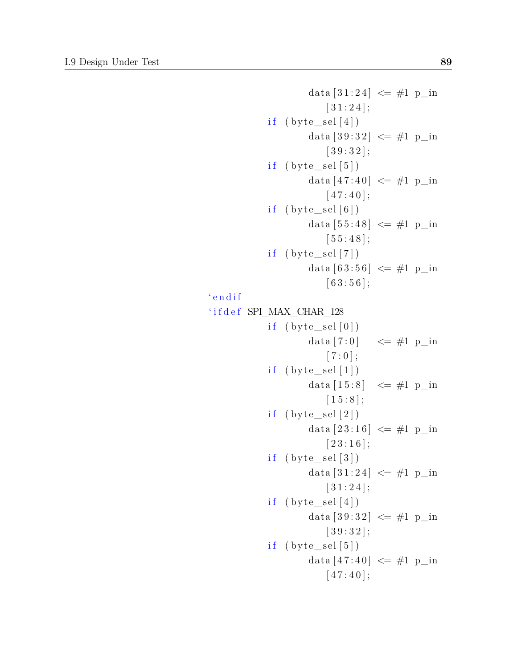```
data [31:24] \leq #1 \text{ p_in}[31:24];
             if (byte\_sel [4])data [39:32] \leq #1 \text{ p} in
                          [39:32];
             if (\text{byte\_sel}[5])data [47:40] \leq #1 \text{ p} in
                          [47:40];
             if (\text{byte} \text{sel} [6])data [55:48] \leq #1 p_in
                          [55:48];
             if (byte\_sel[7])data [63:56] \leq #1 p_in
                          [63:56];
' endif
' i f d e f SPI_MAX_CHAR_128
             if (\text{byte} \text{sel} [0])data [7:0] \leq \neq 1 p_in
                          [ 7 : 0 ];
             if (\text{byte\_sel}[1])data [15:8] \leq #1 \text{ p} in
                          [1 5 : 8];if (\text{byte\_sel} [2])data [23:16] \leq #1 \text{ p_in}[23:16];
             if (byte\_sel [3])data [31:24] \leq #1 \text{ p} in
                          [31:24];
             if (byte\_sel [4])data [39:32] \leq #1 \text{ p} in
                          [39:32];
             if (byte\_sel[5])data [47:40] \leq #1 \text{ p} in
                          [47:40];
```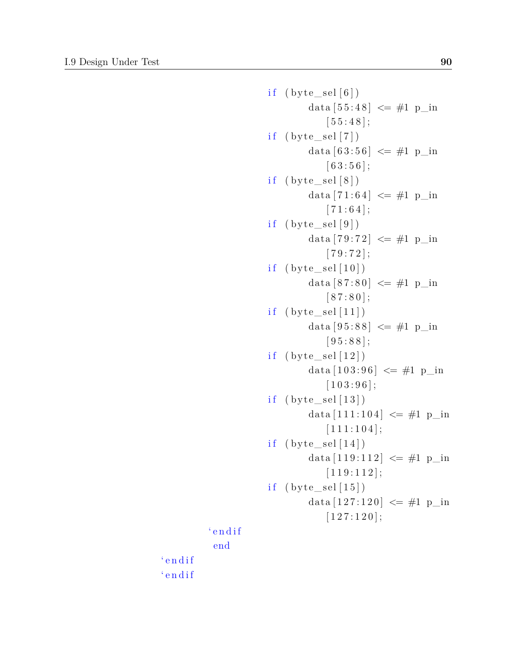```
if (\text{byte\_sel}[6])data [55:48] \leq #1 \text{ p} in
                         [55:48];
             if (byte\_sel [7])data [63:56] \leq #1 \text{ p_in}[63:56];
             if (byte\_sel [8])data [71:64] \leq \#1 p in
                          [71:64];
             if (\text{byte\_sel} [9])data [79:72] \leq #1 \text{ p} in
                          [79:72];
             if (byte\_sel [10])data [87:80] \leq #1 \text{ p} in
                          [ 87 : 80 ];
             if (byte\_sel[11])data [95:88] \leq #1 \text{ p} in
                          [95:88];
             if (byte\_sel[12])data [103:96] \leq #1 \text{ p_in}[1 0 3 : 9 6];if (\text{byte\_sel} [13])data [111:104] \leq #1 p_in[1 1 1 1 1 0 4];if (byte\_sel[14])data [119:112] \leq #1 p_in[1 1 9 : 1 1 2];if (byte\_sel [15])data [127:120] \leq #1 \text{ p_in}[1 2 7 : 1 2 0];' endif
end
```
' e n d i f ' e n d i f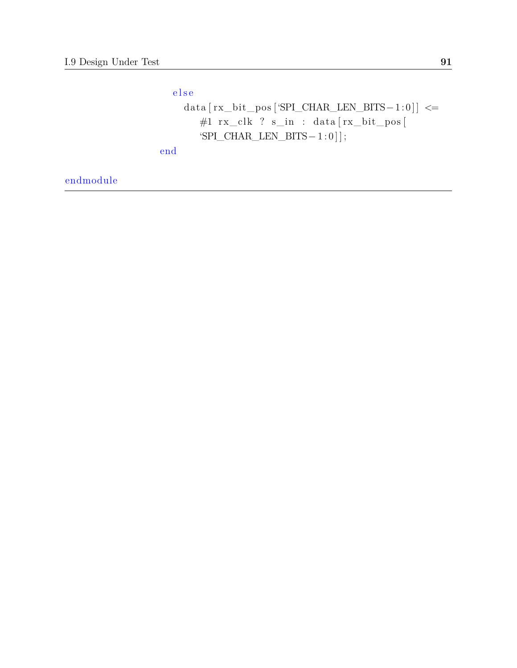e l s e  $\mathtt{data}\:\big[\:\textsc{rx\_bit\_pos}\:\big[\:\!\texttt{SPI\_CHAR\_LEN\_BITS-1:0}\:\big]\right\} \leq =$ #1 rx\_clk ? s\_in : data [ rx\_bit\_pos [ 'SPI\_CHAR\_LEN\_BITS $-1:0$ ]; end

endmodule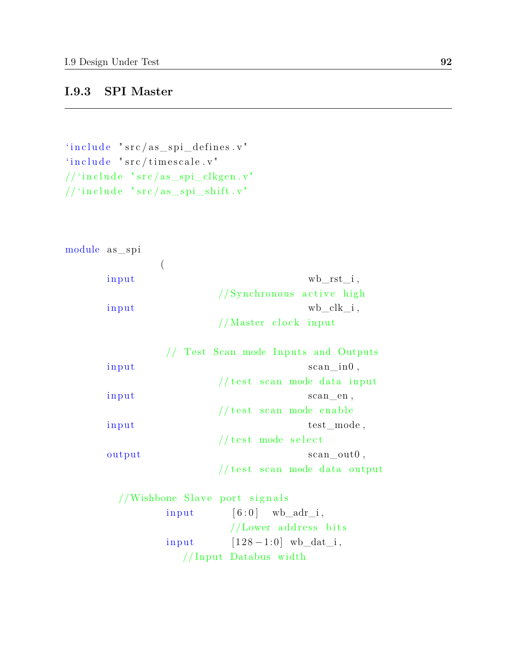#### **I.9.3 SPI Master**

```
'include "src/as\_ spi\_defines.v"i include " src/timescale.v"
// 'include 'src/as\_ spi\_clkgen.v'// 'include 'src / as\_ spi\_shift.v'
```

```
module as spi
```

| input | $wb\_rst\_i$ ,            |
|-------|---------------------------|
|       | //Synchronous active high |
| input | wb clk i,                 |
|       | //Master clock input      |

|        | // Test Scan mode Inputs and Outputs |
|--------|--------------------------------------|
| input  | $scan_in0$ ,                         |
|        | //test scan mode data input          |
| input  | scan en,                             |
|        | //test scan mode enable              |
| input  | test mode,                           |
|        | // test mode select                  |
| output | scan out0,                           |
|        | $//$ test scan mode data output      |

```
//Wishbone Slave port signals
       input [6:0] wb\_adr\_i,
                 //Lower address bitsinput [128-1:0] wb_dat_i,
          //Input Databus width
```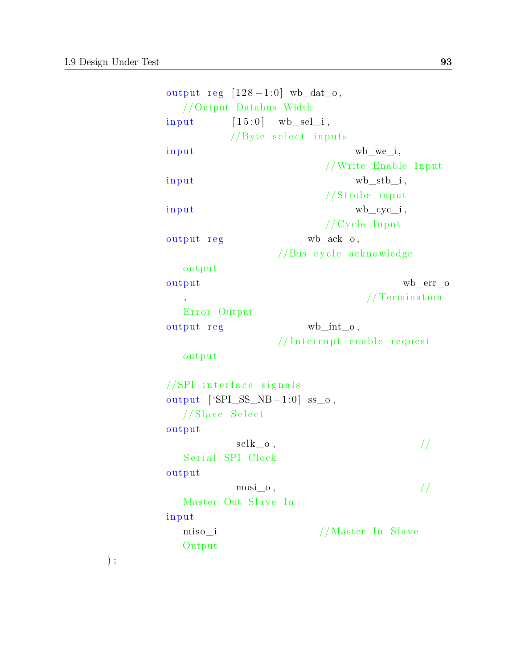) ;

```
output reg[128-1:0]wb_dat_o,
  //Output Databus Width
input \qquad [15:0] \quad \text{wb\_sel\_i},
         //Byte select inputs
\text{input} wb_we_i,
                      // Write Enable Input
\text{input} wb_stb_i,
                      //Strobe input
input wb cyc i,
                      // Cycle Inputoutput reg wb_ack_o,
               //Bus cycle acknowledge
  output
output wb_err_o
                            , // Termina tion
  Error Output
output reg wb_int_o,
               // Interrupt enable request
  output
//SPI interface signalsoutput [ 'SPI_SS_NB-1:0] ss_o,
  //Slave Select
output
         \text{sclk\_o}, \frac{1}{2}Serial SPI Clock
output
         \text{mosi\_o}, //Master Out Slave In
input
  miso_i //Master In Slave
  Output
```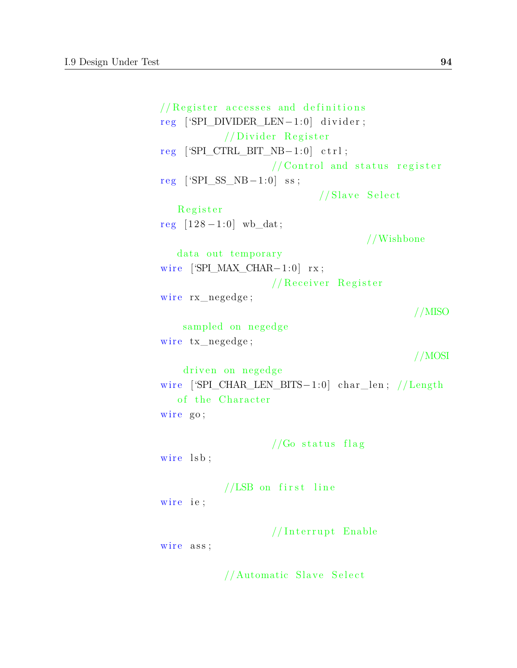```
// Register accesses and definitions
reg ['SPI_DIVIDER_LEN−1:0] divider;
           // Divider Register
r eg ['SPI_CTRL_BIT_NB−1:0] c t r l ;
                    // Control and status register
reg [ 'SPI_SS_NB - 1:0] ss;
                            //Slave Select
   R e gi s t e r
reg [128 - 1:0] wb_dat;
                                     //Wishbone
   data out temporary
wire [SPI_MAX_CHAR-1:0]rx;// Receiver Register
wire rx_negedge;
                                              //MISO
    sampled on negedge
wire tx_negedge;
                                              //MOSI
    driven on negedge
wire ['SPI_CHAR_LEN_BITS-1:0] char_len; //Length
   of the Character
wire go;
                    //Go status flag
wire lsb;
           //LSB on first line
wire ie;
                    // Interrupt Enable
wire ass;
           //Automatic Slave Select
```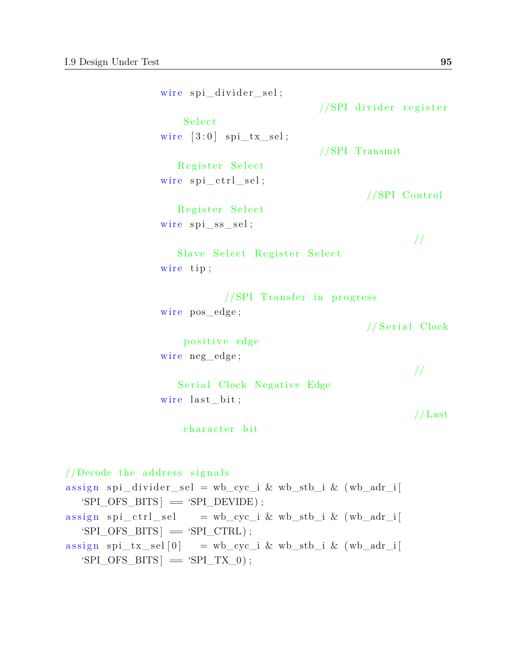wire spi\_divider\_sel;  $//SPI$  divider register S e le ct wire  $[3:0]$  spi\_tx\_sel; //SPI Transmit Register Select wire  $\text{spi}\_{\text{ctrl}\_{\text{sel}}};$  $//SPI Control$ Register Select  $wire$   $spi$ <sub> $s$ </sub> $sel$ ; // Slave Select Register Select wire tip;  $//SPI Transfer in progress$  $wire pos\_edge;$ //Serial Clock positive edge wire neg\_edge; // Serial Clock Negative Edge wire last\_bit;  $//$  Last character bit  $//$ Decode the address signals  $\text{assign } \text{ spi\_divider\_sel} = \text{wb\_cyc\_i} \& \text{wb\_stb\_i} \& (\text{wb\_adr\_i} [$  $'SPI_OFS_BITS$  =  $'SPI_DEVIDE$  ;  $\text{assign } \text{spi\_ctrl\_sel}$  = wb\_cyc\_i & wb\_stb\_i & (wb\_adr\_i  $'SPI_OFS_BITS$  =  $'SPI_CTRL$  ;

 $\text{assign } \text{ spi\_tx\_sel} \text{[0]} = \text{wb\_cyc\_i} \& \text{wb\_stb\_i} \& \text{ (wb\_adr\_i}$  $'SPI_OFS_BITS$  =  $'SPI_TX_0$  ;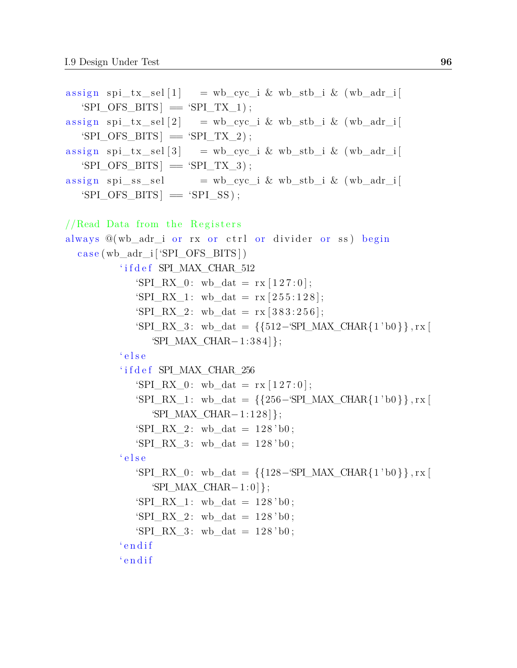```
\text{assign } \text{ spi\_tx\_sel}[1] = \text{wb\_cyc\_i} \& \text{wb\_stb\_i} \& \text{ (wb\_adr\_i}'SPI OFS BITS ] = 'SPI TX 1 ;
\text{assign } \text{ spi\_tx\_sel} \{2\} = wb_cyc_i & wb_stb_i & (wb_adr_i
   'SPI_OFS_BITS = 'SPI_TX_2 ;
\text{assign } \text{ spi\_tx\_sel} \text{[3]} = \text{wb\_cyc\_i} \& \text{wb\_stb\_i} \& \text{ (wb\_adr\_i} \text{[3]})'SPI_OFS_BITS = 'SPI_TX_3 ;
\text{assign } \text{ spi}\_\text{ss}\_\text{sel} = \text{wb}\_\text{cyc}\_\text{i} \& \text{wb}\_\text{stb}\_\text{i} \& \text{ (wb}\_\text{adr}\_\text{i}'SPI OFS BITS ] = 'SPI SS );//Read Data from the Registersalways @(wb_adr_i or rx or ctrl or divider or ss) begin
  case (wb\_adr\_i [ 'SPI_OFS\_BITS ] )'ifdef SPI_MAX_CHAR_512
               'SPI_RX_0: wb_dat = rx [127:0];
               'SPI RX 1: wb dat = rx [ 255 : 128 ];
               'SPI RX 2: wb dat = rx [ 383 : 256 ];
               'SPI_RX_3 : wb_dat = {{512−'SPI_MAX_CHAR{1 'b0 }}, rx [
                   'SPI_MAX_CHAR-1: 384 };
            ' e l s e
            ' i f d e f SPI_MAX_CHAR_256
               'SPI_RX_0: wb_dat = rx [127:0];
               'SPI_RX_1: wb_dat = {{256-'SPI_MAX_CHAR{1'b0}}, rx [
                   'SPI_MAX_CHAR-1: 1 2 8 };
               'SPI RX 2: wb dat = 128 'b0;
               'SPI_RX_3: wb_dat = 128 'b0;
            ' e l s e
               'SPI_RX_0 : wb_dat = {{128-}'SPI_MAX_CHAR{1 ' b0 }}, rx [
                   \text{SPI} MAX CHAR-1: 0 };
               'SPI RX 1: wb dat = 128 ' b0;
               'SPI_RX_2: wb_dat = 128 'b0;
               'SPI RX 3: wb dat = 128 'b0;
            ' e n d i f
            ' e n d i f
```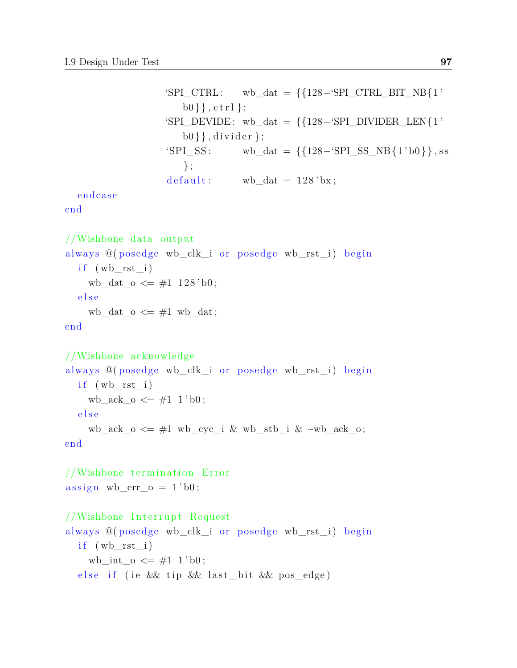```
'SPI_CTRL: wb_dat = {{128-'SPI_CTRL_BIT_NB{1'
   b0 \}, c \text{tr} 1};
'SPI\_DEVIDE: wb_dat = {{128-'SPI\_DIVIDER\_LEN{1'
   b0}}, divider };
'SPI\_SS: wb_dat = {{128-'SPI\_SS\_NB{1'b0}}, ss
   };
\text{default}: \quad \text{wb\_dat} = 128 \text{ 'bx};
```
endca se

end

//Wishbone data output always @(posedge wb\_clk\_i or posedge wb\_rst\_i) begin  $if (wb\_rst\_i)$ wb\_dat\_o  $\leq \#1$  128 'b0; e l s e wb\_dat\_o  $\leq \#1$  wb\_dat; end

```
//Wishbone acknowledge
always @(posedge wb_clk_i or posedge wb_rst_i) begin
  if (wb\_rst\_i)wb_ack_o \leq \#1 1'b0;
  e l s e
    wb_ack_o \leq #1 wb_cyc_i & wb_stb_i & ~wb_ack_o;
end
```
 $//Wishbone termination Error$  $\text{assign } \text{wb\_err\_o} = 1 \text{ 'b0};$ 

## //Wishbone Interrupt Request

always @(posedge wb\_clk\_i or posedge wb\_rst\_i) begin  $if (wb\_rst\_i)$ wb\_int\_o  $\leq \#1$  1'b0; else if (ie  $&$  tip  $&$  last bit  $&$  pos\_edge)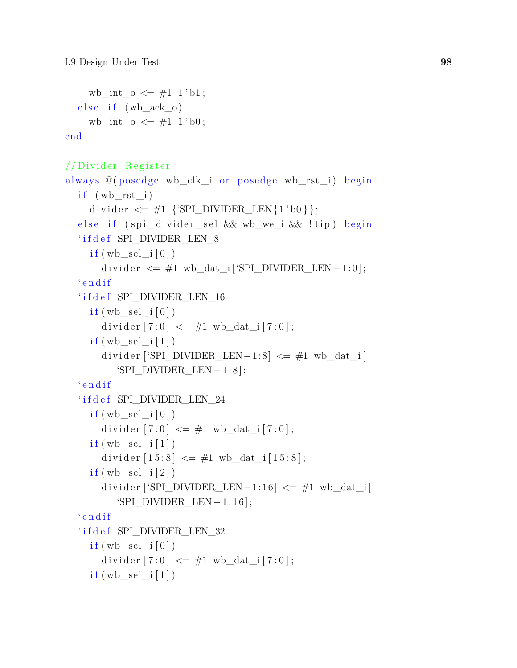wb\_int\_o  $\leq \#1$  1'b1;  $else if (wback_0)$ wb int  $o \leq #1 1' b0$ ; end

 $//Divider$  Register

```
always @(posedge wb_clk_i or posedge wb_rst_i) begin
  if (wb rst i)
    divider \leq \#1 {'SPI DIVIDER LEN{1'b0}};
  else if (spi_divider_sel && wb_we_i && !tip) begin
  'ifdef SPI_DIVIDER LEN_8
    if (wb\_sel\_i [0])divider \leq #1 \text{ wb\_dat\_i} ['SPI_DIVIDER_LEN-1:0];
  ' endif
  'ifdef SPI DIVIDER LEN 16
    if (wb\_sel_i [0])divider [7:0] \leq \#1 wb dat i[7:0];
    if (wb sel i [1])divider ['SPI_DIVIDER_LEN-1:8] \leq \#1 wb_dat_i[
         'SPI_DIVIDER_LEN-1:8 ;
  ' endif
  'ifdef SPI_DIVIDER LEN_24
    if (wb\_sel\_i [0])divider [7:0] \leq #1 wb_dat_i[7:0];
    if (wb\_sel_i [1])divider [15:8] \leq #1 wb dat i[15:8];
    if (wb\_sel\_i [2])divider ['SPI_DIVIDER_LEN-1:16] \leq \#1 wb_dat_i[
         'SPI_DIVIDER_LEN−1: 1 6];
  ' endif
  'ifdef SPI_DIVIDER LEN_32
    if (wb\_sel_i [0])divider [7:0] \leq #1 wb_dat_i[7:0];
    if (wb\_sel_i [1])
```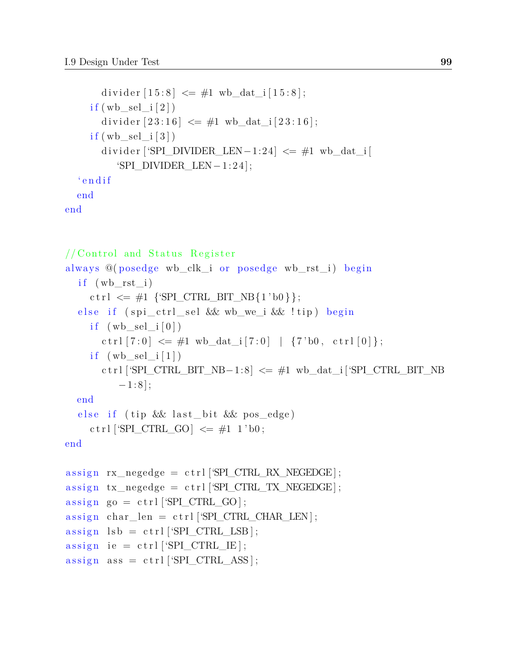```
divider [15:8] \leq #1 wb_dat_i[15:8];
    if (wb \ sel \ i [ 2 ] )divider [23:16] \leq #1 wb_dat_i[23:16];
    if (wb\_sel_i [3])divider ['SPI_DIVIDER_LEN-1:24] \leq \#1 wb_dat_i [
          'SPI_DIVIDER_LEN-1: 24;
  ' endif
  end
end
```

```
// Control and Status Register
always @(posedge wb_clk_i or posedge wb_rst_i) begin
  if (wb\_rst\_i)ctrl \leq \#1 {'SPI CTRL BIT NB{1'b0}};
   else if (spi_ctrl_sel && wb_we_i && !tip) begin
     if (wb sel i [ 0 ])
        \text{ctrl}[7:0] \leq \#1 wb dat i [ 7:0 ] | {7' b0, \text{ctrl}[0]};
     if (wb<sup>[\text{sel}<sup>[1]</sup>)</sup>
        c \text{tr} \left[ \text{SPI\_CTRL\_BIT\_NB-1:8} \right] \leq \#1 \text{ wb\_dat\_i} \left[ \text{SPI\_CTRL\_BIT\_NB} \right]-1:8 ;
  end
   else if ( tip && last_bit && pos_edge)
     ctrl ['SPI_CTRL_GO] \leq \#1 1'b0;
end
assign \ rx\_negedge = \ ctr1 ['SPI_CTRL_RX_NEGEDGE];
\text{assign } tx\_negedge = \text{ctrl} ['SPI_CTRL_TX_NEGEDGE];
assign go = ctrl ['SPI_CTRL_GO];
\text{assign } char\_len = \text{ctrl} ['SPI_CTRL_CHAR_LEN] ;
assign \text{lsb} = \text{ctrl} \text{SPI\_CTRL\_LSB};
assign ie = c tr1['SPI_CTRL_IE];assign ass = \text{ctrl} ['SPI_CTRL_ASS ];
```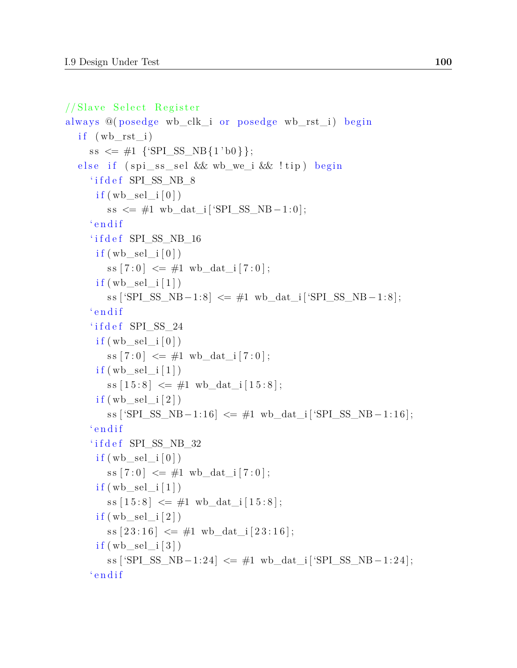```
//Slave Select Register
always \mathcal{Q}(\text{posedge } \text{wb\_clk\_i or posedge } \text{wb\_rst\_i}) begin
   if (wb\_rst\_i)ss \leq \#1 \{ 'SPI\_SS\_NB\{1\} \};else if (spi_ss_sel && wb_we_i && !tip) begin
     'ifdef SPI_SS_NB_8
       if (wb sel i [ 0 ] )ss \leq #1 wb dat i [ 'SPI SS NB - 1 : 0 ];
     ' endif
     ' if d e f SPI_SS_NB_16
       if (wb\_sel\_i [0])ss [7:0] \leq \#1 wb_dat_i[7:0];
       if (wb\_sel_i [1])ss [ 'SPI_SS_NB - 1:8] \leq \#1 wb_dat_i [ 'SPI_SS_NB - 1:8];
     ' endif
     'ifdef SPI_SS_24
       if (wb sel i [ 0 ] )ss [7:0] \leq \#1 \text{ wb\_dat\_i}[7:0];if (wb\_sel\_i [1])ss [15:8] \leq #1 \text{ wb\_dat\_i}[15:8];if (wb\_sel_i [2])ss [\text{SPI}\_S\ S\ NB-1:16] \leq \#1 wb_dat_i [\text{SPI}\_S\ S\ NB-1:16];
     'endif
     'ifdef SPI_SS_NB_32
       if (wb sel i [ 0 ] )ss [7:0] \leq \#1 \text{ wb\_dat\_i}[7:0];if (wb\_sel\_i [1])ss [15:8] \leq \#1 wb_dat_i[15:8];
       if (wb\_sel_i [2])\text{ss} \left[ 23:16 \right] \leq \#1 \text{wb\_dat\_i} \left[ 23:16 \right];if (wb\_sel\_i [3])ss [\text{SPI}\_S S \text{NB}-1:24] \leq \#1 wb_dat_i [\text{SPI}\_S S \text{NB}-1:24];
     'endif
```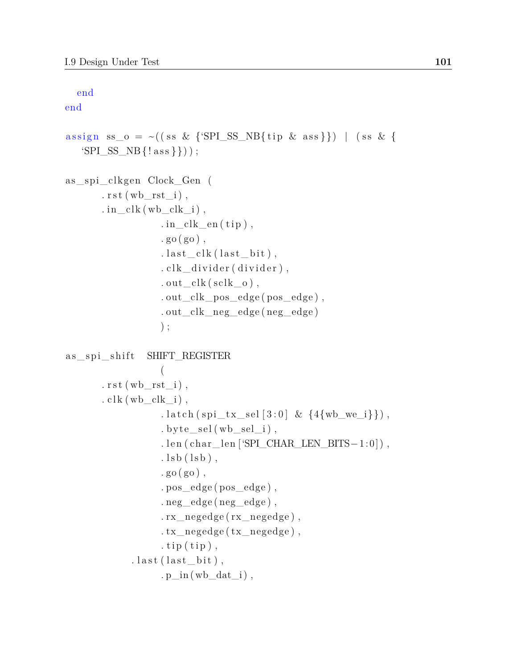end

end assign ss\_o = ~ ( ( ss & {'SPI\_SS\_NB{ tip & ass } }) | ( ss & {  $'SPI\_SS\_NB$  {! ass } }) ) ; as\_spi\_clkgen Clock\_Gen (  $rst(wbrst i)$ , . in  $clk (wb \;clk \; i )$ ,  $\cdot$  in \_clk\_en ( tip ),  $.$  go  $(go)$ ,  $.$  last\_clk(last\_bit),  $.$  clk\_divider (divider),  $.out\_clk ( sclk_0 )$ ,

```
. out_clk_pos_edge ( pos_edge ) ,
. out_clk_neg_edge ( neg_edge )
) ;
```

```
as_spi_shift SHIFT_REGISTER
                    (
        r s t (wb\_rst\_i),
        . clk (wb_clk_i),
                    . latch (spi_tx_sel [3:0] & \{4\}wb_we_i}}),
                    . by te_sel (wb_sel_i),
                    . len ( char_len ['SPI_CHAR_LEN_BITS−1:0]),
                    . \text{lsb}(\text{lsb}),
                    (go)(go),
                    . pos_edge ( pos_edge ) ,
                    \cdot neg_edge ( neg_edge),
                    . rx_negedge ( rx_negedge ) ,
                    .txt\_negedge ( tx\_negedge ),
                    . tip (iip),
              . last (last\_bit),
                    . p\_in ( wb\_dat\_i ),
```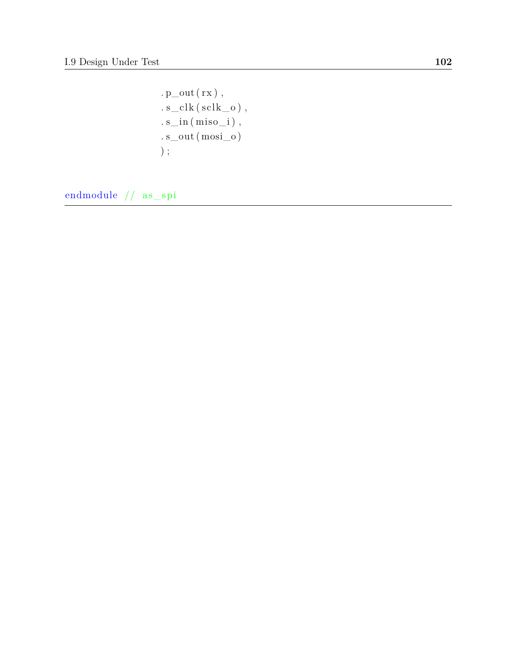$\cdot$  p\_out (  $\rm rx$  ) ,  $s\_c$ lk ( $s$ clk $\_o$ ),  $\ldots$ s $\ldots$ in (miso $\ldots$ i),  $s\_out (~\text{mosi\_o})$  $)$  ;

endmodule //  $\,\mathrm{as\_spi}$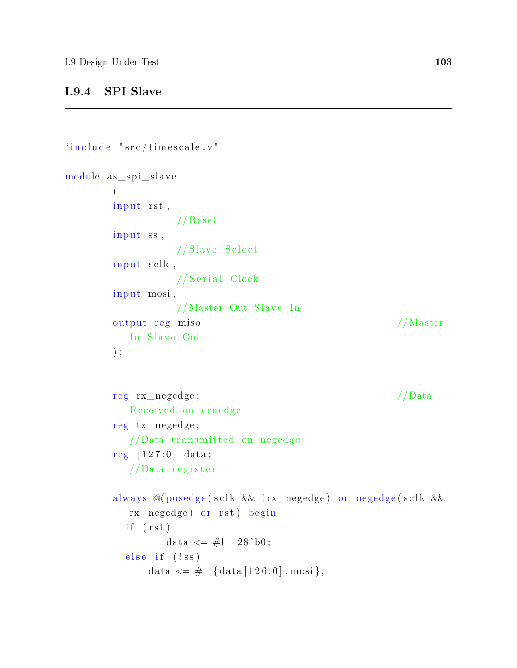## **I.9.4 SPI Slave**

```
'include' "src/time scale.v"module as spi_slave
        (
        input rst,
                  // Reset
        input ss,
                  // Slave Select
        in put sclk,
                  //Serial Clock
        input mosi,
                  //Master Out Slave In
        output reg miso //Master
          In Slave Out
        ) ;
        reg rx_negedge; //DataReceived on negedge
        r eg tx_negedge ;
          // Data transmitted on negedge
        reg [127:0] data;
          //Data register
        always @(posedge(sclk && !rx_negedge) or negedge(sclk &&
          rx_negedge) or rst) begin
          if (rst)data \leq \#1 128'b0;
          else if (!ss)
              data \langle = \#1 \{ \text{data} [ 126:0 ] , \text{mosi} \};
```